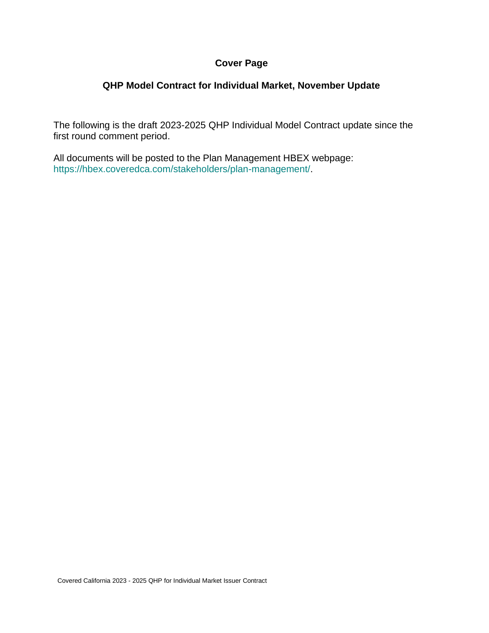#### **Cover Page**

#### **QHP Model Contract for Individual Market, November Update**

The following is the draft 2023-2025 QHP Individual Model Contract update since the first round comment period.

All documents will be posted to the Plan Management HBEX webpage: https://hbex.coveredca.com/stakeholders/plan-management/.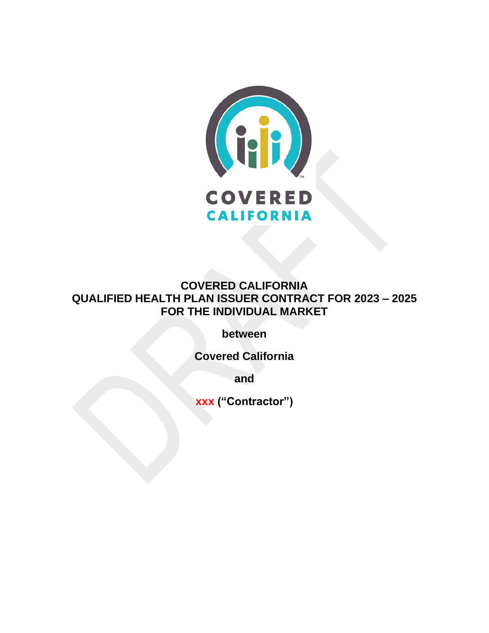

**COVERED CALIFORNIA QUALIFIED HEALTH PLAN ISSUER CONTRACT FOR 2023 – 2025 FOR THE INDIVIDUAL MARKET** 

**between**

**Covered California**

**and**

**xxx ("Contractor")**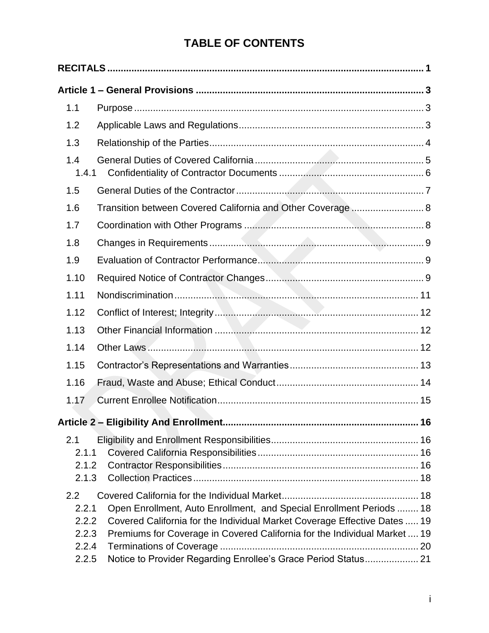# **TABLE OF CONTENTS**

| 1.1                                              |                                                                                                                                                                                                                                                                                                  |  |
|--------------------------------------------------|--------------------------------------------------------------------------------------------------------------------------------------------------------------------------------------------------------------------------------------------------------------------------------------------------|--|
| 1.2                                              |                                                                                                                                                                                                                                                                                                  |  |
| 1.3                                              |                                                                                                                                                                                                                                                                                                  |  |
| 1.4<br>1.4.1                                     |                                                                                                                                                                                                                                                                                                  |  |
| 1.5                                              |                                                                                                                                                                                                                                                                                                  |  |
| 1.6                                              | Transition between Covered California and Other Coverage  8                                                                                                                                                                                                                                      |  |
| 1.7                                              |                                                                                                                                                                                                                                                                                                  |  |
| 1.8                                              |                                                                                                                                                                                                                                                                                                  |  |
| 1.9                                              |                                                                                                                                                                                                                                                                                                  |  |
| 1.10                                             |                                                                                                                                                                                                                                                                                                  |  |
| 1.11                                             |                                                                                                                                                                                                                                                                                                  |  |
| 1.12                                             |                                                                                                                                                                                                                                                                                                  |  |
| 1.13                                             |                                                                                                                                                                                                                                                                                                  |  |
| 1.14                                             |                                                                                                                                                                                                                                                                                                  |  |
| 1.15                                             |                                                                                                                                                                                                                                                                                                  |  |
| 1.16                                             |                                                                                                                                                                                                                                                                                                  |  |
| 1.17                                             |                                                                                                                                                                                                                                                                                                  |  |
|                                                  |                                                                                                                                                                                                                                                                                                  |  |
| 2.1<br>2.1.1<br>2.1.2<br>2.1.3                   |                                                                                                                                                                                                                                                                                                  |  |
| 2.2<br>2.2.1<br>2.2.2<br>2.2.3<br>2.2.4<br>2.2.5 | Open Enrollment, Auto Enrollment, and Special Enrollment Periods  18<br>Covered California for the Individual Market Coverage Effective Dates  19<br>Premiums for Coverage in Covered California for the Individual Market  19<br>Notice to Provider Regarding Enrollee's Grace Period Status 21 |  |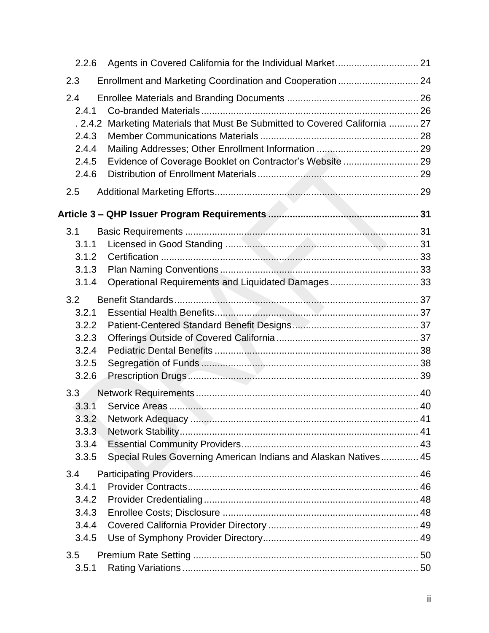| 2.2.6                  |                                                                      |  |
|------------------------|----------------------------------------------------------------------|--|
| 2.3                    | Enrollment and Marketing Coordination and Cooperation  24            |  |
| 2.4<br>2.4.1<br>.2.4.2 | Marketing Materials that Must Be Submitted to Covered California  27 |  |
| 2.4.3<br>2.4.4         |                                                                      |  |
| 2.4.5                  | Evidence of Coverage Booklet on Contractor's Website  29             |  |
| 2.4.6                  |                                                                      |  |
| 2.5                    |                                                                      |  |
|                        |                                                                      |  |
| 3.1                    |                                                                      |  |
| 3.1.1                  |                                                                      |  |
| 3.1.2                  |                                                                      |  |
| 3.1.3                  |                                                                      |  |
| 3.1.4                  | Operational Requirements and Liquidated Damages 33                   |  |
| 3.2                    |                                                                      |  |
| 3.2.1                  |                                                                      |  |
| 3.2.2<br>3.2.3         |                                                                      |  |
| 3.2.4                  |                                                                      |  |
| 3.2.5                  |                                                                      |  |
| 3.2.6                  |                                                                      |  |
| 3.3                    |                                                                      |  |
| 3.3.1                  |                                                                      |  |
| 3.3.2                  |                                                                      |  |
| $3.3.\overline{3}$     |                                                                      |  |
| 3.3.4                  |                                                                      |  |
| 3.3.5                  | Special Rules Governing American Indians and Alaskan Natives 45      |  |
| 3.4                    |                                                                      |  |
| 3.4.1                  |                                                                      |  |
| 3.4.2                  |                                                                      |  |
| 3.4.3                  |                                                                      |  |
| 3.4.4<br>3.4.5         |                                                                      |  |
|                        |                                                                      |  |
| 3.5                    |                                                                      |  |
| 3.5.1                  |                                                                      |  |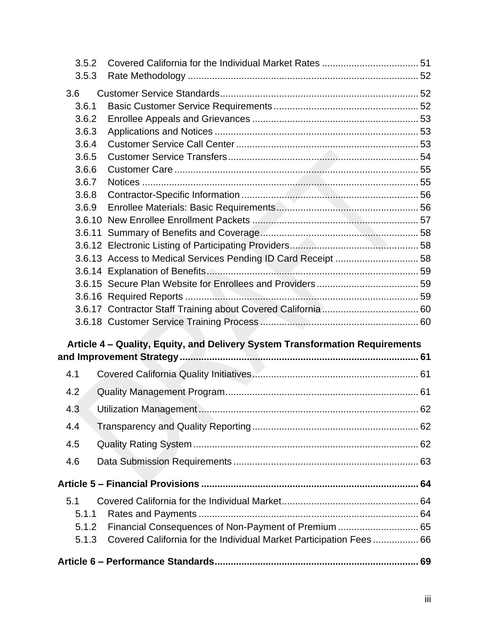| 3.5.2 |                                                                              |  |
|-------|------------------------------------------------------------------------------|--|
| 3.5.3 |                                                                              |  |
| 3.6   |                                                                              |  |
| 3.6.1 |                                                                              |  |
| 3.6.2 |                                                                              |  |
| 3.6.3 |                                                                              |  |
| 3.6.4 |                                                                              |  |
| 3.6.5 |                                                                              |  |
| 3.6.6 |                                                                              |  |
| 3.6.7 |                                                                              |  |
| 3.6.8 |                                                                              |  |
| 3.6.9 |                                                                              |  |
|       |                                                                              |  |
|       |                                                                              |  |
|       |                                                                              |  |
|       | 3.6.13 Access to Medical Services Pending ID Card Receipt  58                |  |
|       |                                                                              |  |
|       |                                                                              |  |
|       |                                                                              |  |
|       |                                                                              |  |
|       |                                                                              |  |
|       | Article 4 - Quality, Equity, and Delivery System Transformation Requirements |  |
|       |                                                                              |  |
|       |                                                                              |  |
| 4.1   |                                                                              |  |
| 4.2   |                                                                              |  |
| 4.3   |                                                                              |  |
| 4.4   |                                                                              |  |
| 4.5   |                                                                              |  |
| 4.6   |                                                                              |  |
|       |                                                                              |  |
|       |                                                                              |  |
| 5.1   |                                                                              |  |
| 5.1.1 |                                                                              |  |
| 5.1.2 | Financial Consequences of Non-Payment of Premium  65                         |  |
| 5.1.3 | Covered California for the Individual Market Participation Fees 66           |  |
|       |                                                                              |  |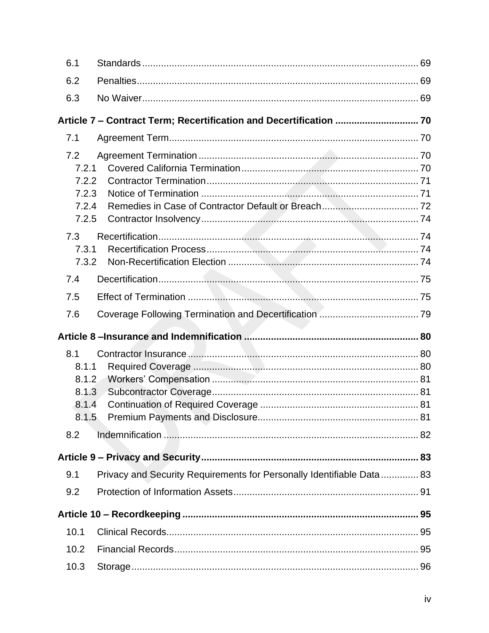| 6.1   |                                                                       |  |
|-------|-----------------------------------------------------------------------|--|
| 6.2   |                                                                       |  |
| 6.3   |                                                                       |  |
|       |                                                                       |  |
| 7.1   |                                                                       |  |
|       |                                                                       |  |
| 7.2   | 7.2.1                                                                 |  |
|       | 7.2.2                                                                 |  |
|       | 7.2.3                                                                 |  |
|       | 7.2.4                                                                 |  |
|       | 7.2.5                                                                 |  |
| 7.3   |                                                                       |  |
|       | 7.3.1                                                                 |  |
|       | 7.3.2                                                                 |  |
| 7.4   |                                                                       |  |
| 7.5   |                                                                       |  |
| 7.6   |                                                                       |  |
|       |                                                                       |  |
|       |                                                                       |  |
| 8.1   |                                                                       |  |
| 8.1.1 |                                                                       |  |
|       | 8.1.2                                                                 |  |
|       | 8.1.3                                                                 |  |
|       | 8.1.4                                                                 |  |
|       |                                                                       |  |
| 8.2   |                                                                       |  |
|       |                                                                       |  |
| 9.1   | Privacy and Security Requirements for Personally Identifiable Data 83 |  |
| 9.2   |                                                                       |  |
|       |                                                                       |  |
| 10.1  |                                                                       |  |
| 10.2  |                                                                       |  |
| 10.3  |                                                                       |  |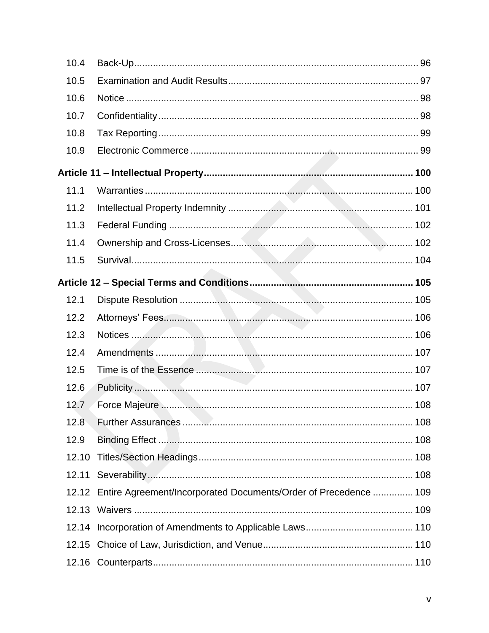| 10.4  |                                                                        |  |
|-------|------------------------------------------------------------------------|--|
| 10.5  |                                                                        |  |
| 10.6  |                                                                        |  |
| 10.7  |                                                                        |  |
| 10.8  |                                                                        |  |
| 10.9  |                                                                        |  |
|       |                                                                        |  |
| 11.1  |                                                                        |  |
| 11.2  |                                                                        |  |
| 11.3  |                                                                        |  |
| 11.4  |                                                                        |  |
| 11.5  |                                                                        |  |
|       |                                                                        |  |
| 12.1  |                                                                        |  |
| 12.2  |                                                                        |  |
| 12.3  |                                                                        |  |
| 12.4  |                                                                        |  |
| 12.5  |                                                                        |  |
| 12.6  |                                                                        |  |
| 12.7  | Force Majeure <b>Mainter According to the Maritime Marshall</b> 108    |  |
| 12.8  |                                                                        |  |
| 12.9  |                                                                        |  |
| 12.10 |                                                                        |  |
|       |                                                                        |  |
|       | 12.12 Entire Agreement/Incorporated Documents/Order of Precedence  109 |  |
|       |                                                                        |  |
|       |                                                                        |  |
|       |                                                                        |  |
|       |                                                                        |  |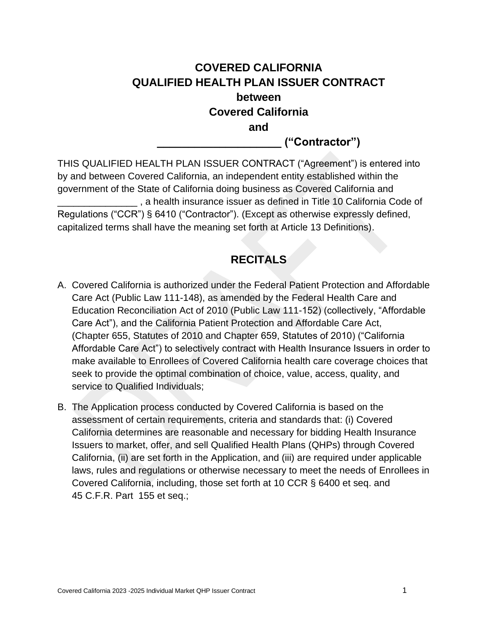# **COVERED CALIFORNIA QUALIFIED HEALTH PLAN ISSUER CONTRACT between Covered California and**

**\_\_\_\_\_\_\_\_\_\_\_\_\_\_\_\_\_\_\_\_ ("Contractor")**

THIS QUALIFIED HEALTH PLAN ISSUER CONTRACT ("Agreement") is entered into by and between Covered California, an independent entity established within the government of the State of California doing business as Covered California and \_\_\_\_\_\_\_\_\_\_\_\_\_\_\_ , a health insurance issuer as defined in Title 10 California Code of Regulations ("CCR") § 6410 ("Contractor"). (Except as otherwise expressly defined, capitalized terms shall have the meaning set forth at Article 13 Definitions).

# **RECITALS**

- <span id="page-9-0"></span>A. Covered California is authorized under the Federal Patient Protection and Affordable Care Act (Public Law 111-148), as amended by the Federal Health Care and Education Reconciliation Act of 2010 (Public Law 111-152) (collectively, "Affordable Care Act"), and the California Patient Protection and Affordable Care Act, (Chapter 655, Statutes of 2010 and Chapter 659, Statutes of 2010) ("California Affordable Care Act") to selectively contract with Health Insurance Issuers in order to make available to Enrollees of Covered California health care coverage choices that seek to provide the optimal combination of choice, value, access, quality, and service to Qualified Individuals;
- B. The Application process conducted by Covered California is based on the assessment of certain requirements, criteria and standards that: (i) Covered California determines are reasonable and necessary for bidding Health Insurance Issuers to market, offer, and sell Qualified Health Plans (QHPs) through Covered California, (ii) are set forth in the Application, and (iii) are required under applicable laws, rules and regulations or otherwise necessary to meet the needs of Enrollees in Covered California, including, those set forth at 10 CCR § 6400 et seq. and 45 C.F.R. Part 155 et seq.;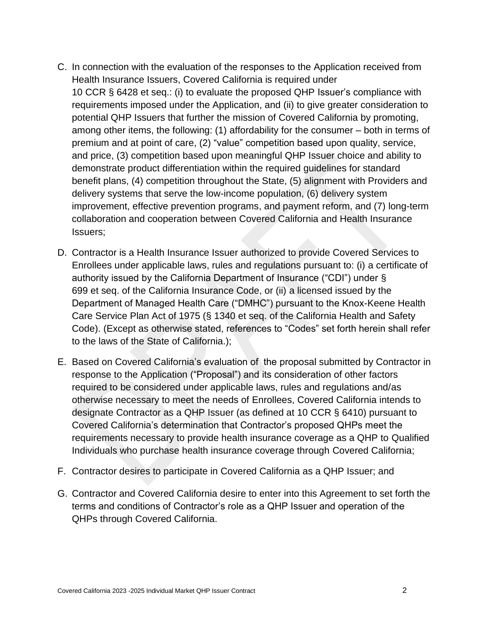- C. In connection with the evaluation of the responses to the Application received from Health Insurance Issuers, Covered California is required under 10 CCR § 6428 et seq.: (i) to evaluate the proposed QHP Issuer's compliance with requirements imposed under the Application, and (ii) to give greater consideration to potential QHP Issuers that further the mission of Covered California by promoting, among other items, the following: (1) affordability for the consumer – both in terms of premium and at point of care, (2) "value" competition based upon quality, service, and price, (3) competition based upon meaningful QHP Issuer choice and ability to demonstrate product differentiation within the required guidelines for standard benefit plans, (4) competition throughout the State, (5) alignment with Providers and delivery systems that serve the low-income population, (6) delivery system improvement, effective prevention programs, and payment reform, and (7) long-term collaboration and cooperation between Covered California and Health Insurance Issuers;
- D. Contractor is a Health Insurance Issuer authorized to provide Covered Services to Enrollees under applicable laws, rules and regulations pursuant to: (i) a certificate of authority issued by the California Department of Insurance ("CDI") under § 699 et seq. of the California Insurance Code, or (ii) a licensed issued by the Department of Managed Health Care ("DMHC") pursuant to the Knox-Keene Health Care Service Plan Act of 1975 (§ 1340 et seq. of the California Health and Safety Code). (Except as otherwise stated, references to "Codes" set forth herein shall refer to the laws of the State of California.);
- E. Based on Covered California's evaluation of the proposal submitted by Contractor in response to the Application ("Proposal") and its consideration of other factors required to be considered under applicable laws, rules and regulations and/as otherwise necessary to meet the needs of Enrollees, Covered California intends to designate Contractor as a QHP Issuer (as defined at 10 CCR § 6410) pursuant to Covered California's determination that Contractor's proposed QHPs meet the requirements necessary to provide health insurance coverage as a QHP to Qualified Individuals who purchase health insurance coverage through Covered California;
- F. Contractor desires to participate in Covered California as a QHP Issuer; and
- G. Contractor and Covered California desire to enter into this Agreement to set forth the terms and conditions of Contractor's role as a QHP Issuer and operation of the QHPs through Covered California.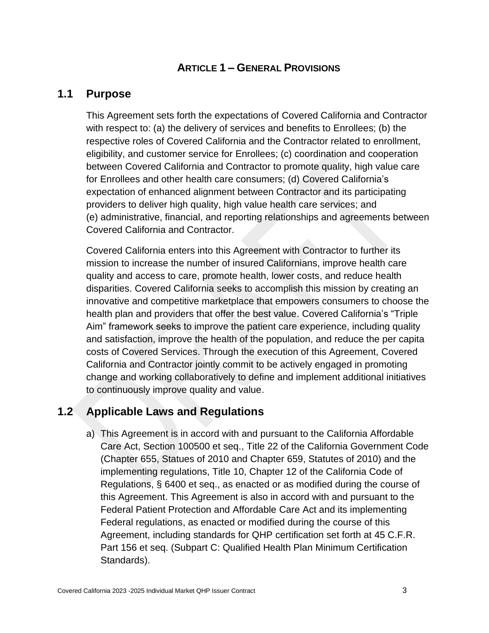## **ARTICLE 1 – GENERAL PROVISIONS**

## <span id="page-11-1"></span><span id="page-11-0"></span>**1.1 Purpose**

This Agreement sets forth the expectations of Covered California and Contractor with respect to: (a) the delivery of services and benefits to Enrollees; (b) the respective roles of Covered California and the Contractor related to enrollment, eligibility, and customer service for Enrollees; (c) coordination and cooperation between Covered California and Contractor to promote quality, high value care for Enrollees and other health care consumers; (d) Covered California's expectation of enhanced alignment between Contractor and its participating providers to deliver high quality, high value health care services; and (e) administrative, financial, and reporting relationships and agreements between Covered California and Contractor.

Covered California enters into this Agreement with Contractor to further its mission to increase the number of insured Californians, improve health care quality and access to care, promote health, lower costs, and reduce health disparities. Covered California seeks to accomplish this mission by creating an innovative and competitive marketplace that empowers consumers to choose the health plan and providers that offer the best value. Covered California's "Triple Aim" framework seeks to improve the patient care experience, including quality and satisfaction, improve the health of the population, and reduce the per capita costs of Covered Services. Through the execution of this Agreement, Covered California and Contractor jointly commit to be actively engaged in promoting change and working collaboratively to define and implement additional initiatives to continuously improve quality and value.

## <span id="page-11-2"></span>**1.2 Applicable Laws and Regulations**

a) This Agreement is in accord with and pursuant to the California Affordable Care Act, Section 100500 et seq., Title 22 of the California Government Code (Chapter 655, Statues of 2010 and Chapter 659, Statutes of 2010) and the implementing regulations, Title 10, Chapter 12 of the California Code of Regulations, § 6400 et seq., as enacted or as modified during the course of this Agreement. This Agreement is also in accord with and pursuant to the Federal Patient Protection and Affordable Care Act and its implementing Federal regulations, as enacted or modified during the course of this Agreement, including standards for QHP certification set forth at 45 C.F.R. Part 156 et seq. (Subpart C: Qualified Health Plan Minimum Certification Standards).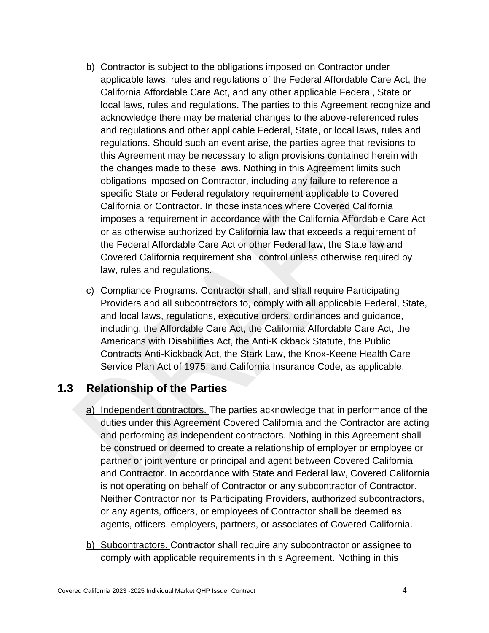- b) Contractor is subject to the obligations imposed on Contractor under applicable laws, rules and regulations of the Federal Affordable Care Act, the California Affordable Care Act, and any other applicable Federal, State or local laws, rules and regulations. The parties to this Agreement recognize and acknowledge there may be material changes to the above-referenced rules and regulations and other applicable Federal, State, or local laws, rules and regulations. Should such an event arise, the parties agree that revisions to this Agreement may be necessary to align provisions contained herein with the changes made to these laws. Nothing in this Agreement limits such obligations imposed on Contractor, including any failure to reference a specific State or Federal regulatory requirement applicable to Covered California or Contractor. In those instances where Covered California imposes a requirement in accordance with the California Affordable Care Act or as otherwise authorized by California law that exceeds a requirement of the Federal Affordable Care Act or other Federal law, the State law and Covered California requirement shall control unless otherwise required by law, rules and regulations.
- c) Compliance Programs. Contractor shall, and shall require Participating Providers and all subcontractors to, comply with all applicable Federal, State, and local laws, regulations, executive orders, ordinances and guidance, including, the Affordable Care Act, the California Affordable Care Act, the Americans with Disabilities Act, the Anti-Kickback Statute, the Public Contracts Anti-Kickback Act, the Stark Law, the Knox-Keene Health Care Service Plan Act of 1975, and California Insurance Code, as applicable.

## <span id="page-12-0"></span>**1.3 Relationship of the Parties**

- a) Independent contractors. The parties acknowledge that in performance of the duties under this Agreement Covered California and the Contractor are acting and performing as independent contractors. Nothing in this Agreement shall be construed or deemed to create a relationship of employer or employee or partner or joint venture or principal and agent between Covered California and Contractor. In accordance with State and Federal law, Covered California is not operating on behalf of Contractor or any subcontractor of Contractor. Neither Contractor nor its Participating Providers, authorized subcontractors, or any agents, officers, or employees of Contractor shall be deemed as agents, officers, employers, partners, or associates of Covered California.
- b) Subcontractors. Contractor shall require any subcontractor or assignee to comply with applicable requirements in this Agreement. Nothing in this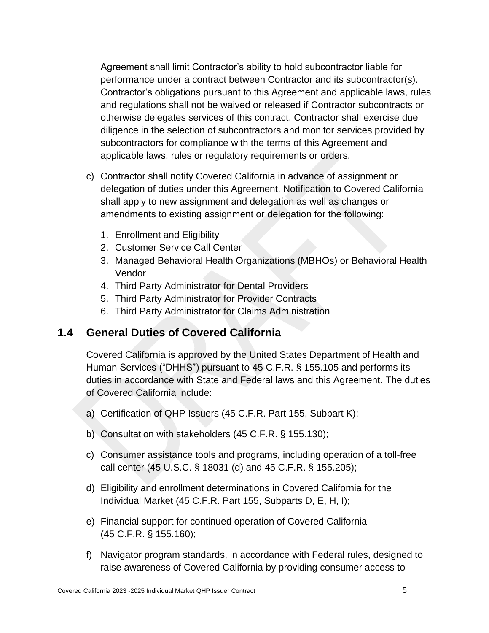Agreement shall limit Contractor's ability to hold subcontractor liable for performance under a contract between Contractor and its subcontractor(s). Contractor's obligations pursuant to this Agreement and applicable laws, rules and regulations shall not be waived or released if Contractor subcontracts or otherwise delegates services of this contract. Contractor shall exercise due diligence in the selection of subcontractors and monitor services provided by subcontractors for compliance with the terms of this Agreement and applicable laws, rules or regulatory requirements or orders.

- c) Contractor shall notify Covered California in advance of assignment or delegation of duties under this Agreement. Notification to Covered California shall apply to new assignment and delegation as well as changes or amendments to existing assignment or delegation for the following:
	- 1. Enrollment and Eligibility
	- 2. Customer Service Call Center
	- 3. Managed Behavioral Health Organizations (MBHOs) or Behavioral Health Vendor
	- 4. Third Party Administrator for Dental Providers
	- 5. Third Party Administrator for Provider Contracts
	- 6. Third Party Administrator for Claims Administration

## <span id="page-13-0"></span>**1.4 General Duties of Covered California**

Covered California is approved by the United States Department of Health and Human Services ("DHHS") pursuant to 45 C.F.R. § 155.105 and performs its duties in accordance with State and Federal laws and this Agreement. The duties of Covered California include:

- a) Certification of QHP Issuers (45 C.F.R. Part 155, Subpart K);
- b) Consultation with stakeholders (45 C.F.R. § 155.130);
- c) Consumer assistance tools and programs, including operation of a toll-free call center (45 U.S.C. § 18031 (d) and 45 C.F.R. § 155.205);
- d) Eligibility and enrollment determinations in Covered California for the Individual Market (45 C.F.R. Part 155, Subparts D, E, H, I);
- e) Financial support for continued operation of Covered California (45 C.F.R. § 155.160);
- f) Navigator program standards, in accordance with Federal rules, designed to raise awareness of Covered California by providing consumer access to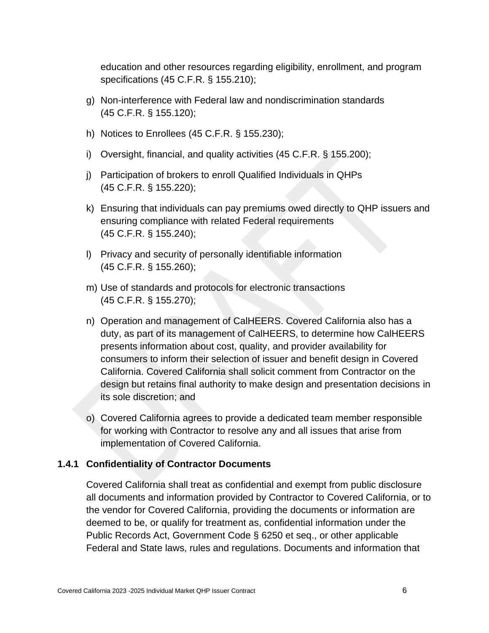education and other resources regarding eligibility, enrollment, and program specifications (45 C.F.R. § 155.210);

- g) Non-interference with Federal law and nondiscrimination standards (45 C.F.R. § 155.120);
- h) Notices to Enrollees (45 C.F.R. § 155.230);
- i) Oversight, financial, and quality activities (45 C.F.R. § 155.200);
- j) Participation of brokers to enroll Qualified Individuals in QHPs (45 C.F.R. § 155.220);
- k) Ensuring that individuals can pay premiums owed directly to QHP issuers and ensuring compliance with related Federal requirements (45 C.F.R. § 155.240);
- l) Privacy and security of personally identifiable information (45 C.F.R. § 155.260);
- m) Use of standards and protocols for electronic transactions (45 C.F.R. § 155.270);
- n) Operation and management of CalHEERS. Covered California also has a duty, as part of its management of CalHEERS, to determine how CalHEERS presents information about cost, quality, and provider availability for consumers to inform their selection of issuer and benefit design in Covered California. Covered California shall solicit comment from Contractor on the design but retains final authority to make design and presentation decisions in its sole discretion; and
- o) Covered California agrees to provide a dedicated team member responsible for working with Contractor to resolve any and all issues that arise from implementation of Covered California.

#### <span id="page-14-0"></span>**1.4.1 Confidentiality of Contractor Documents**

Covered California shall treat as confidential and exempt from public disclosure all documents and information provided by Contractor to Covered California, or to the vendor for Covered California, providing the documents or information are deemed to be, or qualify for treatment as, confidential information under the Public Records Act, Government Code § 6250 et seq., or other applicable Federal and State laws, rules and regulations. Documents and information that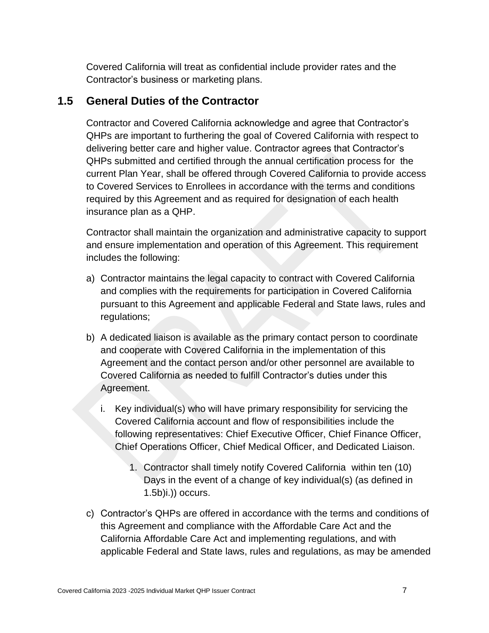Covered California will treat as confidential include provider rates and the Contractor's business or marketing plans.

#### <span id="page-15-0"></span>**1.5 General Duties of the Contractor**

Contractor and Covered California acknowledge and agree that Contractor's QHPs are important to furthering the goal of Covered California with respect to delivering better care and higher value. Contractor agrees that Contractor's QHPs submitted and certified through the annual certification process for the current Plan Year, shall be offered through Covered California to provide access to Covered Services to Enrollees in accordance with the terms and conditions required by this Agreement and as required for designation of each health insurance plan as a QHP.

Contractor shall maintain the organization and administrative capacity to support and ensure implementation and operation of this Agreement. This requirement includes the following:

- a) Contractor maintains the legal capacity to contract with Covered California and complies with the requirements for participation in Covered California pursuant to this Agreement and applicable Federal and State laws, rules and regulations;
- b) A dedicated liaison is available as the primary contact person to coordinate and cooperate with Covered California in the implementation of this Agreement and the contact person and/or other personnel are available to Covered California as needed to fulfill Contractor's duties under this Agreement.
	- i. Key individual(s) who will have primary responsibility for servicing the Covered California account and flow of responsibilities include the following representatives: Chief Executive Officer, Chief Finance Officer, Chief Operations Officer, Chief Medical Officer, and Dedicated Liaison.
		- 1. Contractor shall timely notify Covered California within ten (10) Days in the event of a change of key individual(s) (as defined in 1.5b)i.)) occurs.
- c) Contractor's QHPs are offered in accordance with the terms and conditions of this Agreement and compliance with the Affordable Care Act and the California Affordable Care Act and implementing regulations, and with applicable Federal and State laws, rules and regulations, as may be amended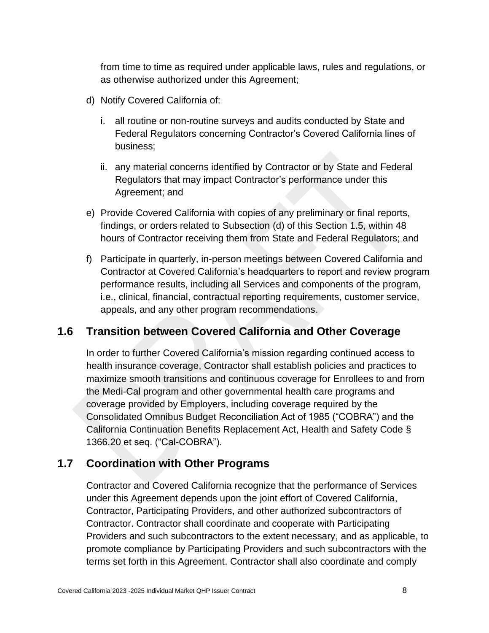from time to time as required under applicable laws, rules and regulations, or as otherwise authorized under this Agreement;

- d) Notify Covered California of:
	- i. all routine or non-routine surveys and audits conducted by State and Federal Regulators concerning Contractor's Covered California lines of business;
	- ii. any material concerns identified by Contractor or by State and Federal Regulators that may impact Contractor's performance under this Agreement; and
- e) Provide Covered California with copies of any preliminary or final reports, findings, or orders related to Subsection (d) of this Section 1.5, within 48 hours of Contractor receiving them from State and Federal Regulators; and
- f) Participate in quarterly, in-person meetings between Covered California and Contractor at Covered California's headquarters to report and review program performance results, including all Services and components of the program, i.e., clinical, financial, contractual reporting requirements, customer service, appeals, and any other program recommendations.

## <span id="page-16-0"></span>**1.6 Transition between Covered California and Other Coverage**

In order to further Covered California's mission regarding continued access to health insurance coverage, Contractor shall establish policies and practices to maximize smooth transitions and continuous coverage for Enrollees to and from the Medi-Cal program and other governmental health care programs and coverage provided by Employers, including coverage required by the Consolidated Omnibus Budget Reconciliation Act of 1985 ("COBRA") and the California Continuation Benefits Replacement Act, Health and Safety Code § 1366.20 et seq. ("Cal-COBRA").

#### <span id="page-16-1"></span>**1.7 Coordination with Other Programs**

Contractor and Covered California recognize that the performance of Services under this Agreement depends upon the joint effort of Covered California, Contractor, Participating Providers, and other authorized subcontractors of Contractor. Contractor shall coordinate and cooperate with Participating Providers and such subcontractors to the extent necessary, and as applicable, to promote compliance by Participating Providers and such subcontractors with the terms set forth in this Agreement. Contractor shall also coordinate and comply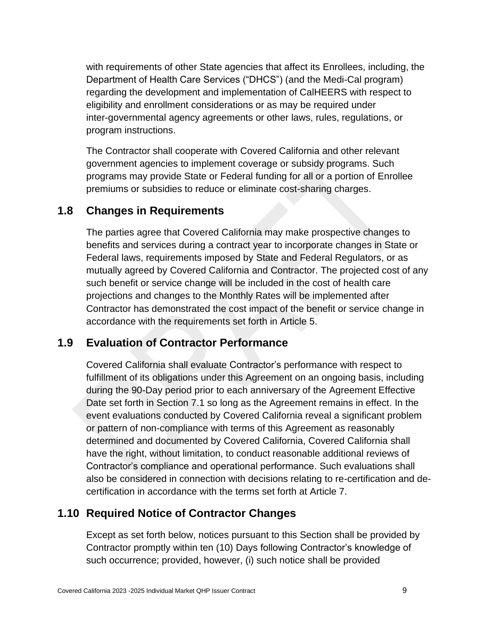with requirements of other State agencies that affect its Enrollees, including, the Department of Health Care Services ("DHCS") (and the Medi-Cal program) regarding the development and implementation of CalHEERS with respect to eligibility and enrollment considerations or as may be required under inter-governmental agency agreements or other laws, rules, regulations, or program instructions.

The Contractor shall cooperate with Covered California and other relevant government agencies to implement coverage or subsidy programs. Such programs may provide State or Federal funding for all or a portion of Enrollee premiums or subsidies to reduce or eliminate cost-sharing charges.

## <span id="page-17-0"></span>**1.8 Changes in Requirements**

The parties agree that Covered California may make prospective changes to benefits and services during a contract year to incorporate changes in State or Federal laws, requirements imposed by State and Federal Regulators, or as mutually agreed by Covered California and Contractor. The projected cost of any such benefit or service change will be included in the cost of health care projections and changes to the Monthly Rates will be implemented after Contractor has demonstrated the cost impact of the benefit or service change in accordance with the requirements set forth in Article 5.

## <span id="page-17-1"></span>**1.9 Evaluation of Contractor Performance**

Covered California shall evaluate Contractor's performance with respect to fulfillment of its obligations under this Agreement on an ongoing basis, including during the 90-Day period prior to each anniversary of the Agreement Effective Date set forth in Section 7.1 so long as the Agreement remains in effect. In the event evaluations conducted by Covered California reveal a significant problem or pattern of non-compliance with terms of this Agreement as reasonably determined and documented by Covered California, Covered California shall have the right, without limitation, to conduct reasonable additional reviews of Contractor's compliance and operational performance. Such evaluations shall also be considered in connection with decisions relating to re-certification and decertification in accordance with the terms set forth at Article 7.

## <span id="page-17-2"></span>**1.10 Required Notice of Contractor Changes**

Except as set forth below, notices pursuant to this Section shall be provided by Contractor promptly within ten (10) Days following Contractor's knowledge of such occurrence; provided, however, (i) such notice shall be provided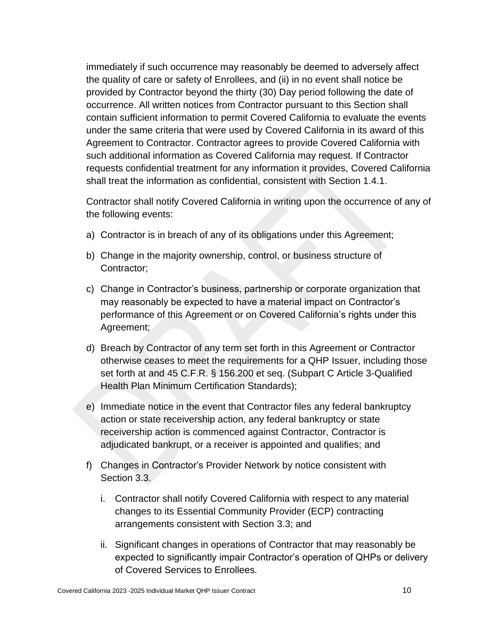immediately if such occurrence may reasonably be deemed to adversely affect the quality of care or safety of Enrollees, and (ii) in no event shall notice be provided by Contractor beyond the thirty (30) Day period following the date of occurrence. All written notices from Contractor pursuant to this Section shall contain sufficient information to permit Covered California to evaluate the events under the same criteria that were used by Covered California in its award of this Agreement to Contractor. Contractor agrees to provide Covered California with such additional information as Covered California may request. If Contractor requests confidential treatment for any information it provides, Covered California shall treat the information as confidential, consistent with Section 1.4.1.

Contractor shall notify Covered California in writing upon the occurrence of any of the following events:

- a) Contractor is in breach of any of its obligations under this Agreement;
- b) Change in the majority ownership, control, or business structure of Contractor;
- c) Change in Contractor's business, partnership or corporate organization that may reasonably be expected to have a material impact on Contractor's performance of this Agreement or on Covered California's rights under this Agreement;
- d) Breach by Contractor of any term set forth in this Agreement or Contractor otherwise ceases to meet the requirements for a QHP Issuer, including those set forth at and 45 C.F.R. § 156.200 et seq. (Subpart C Article 3-Qualified Health Plan Minimum Certification Standards);
- e) Immediate notice in the event that Contractor files any federal bankruptcy action or state receivership action, any federal bankruptcy or state receivership action is commenced against Contractor, Contractor is adjudicated bankrupt, or a receiver is appointed and qualifies; and
- f) Changes in Contractor's Provider Network by notice consistent with Section 3.3.
	- i. Contractor shall notify Covered California with respect to any material changes to its Essential Community Provider (ECP) contracting arrangements consistent with Section 3.3; and
	- ii. Significant changes in operations of Contractor that may reasonably be expected to significantly impair Contractor's operation of QHPs or delivery of Covered Services to Enrollees.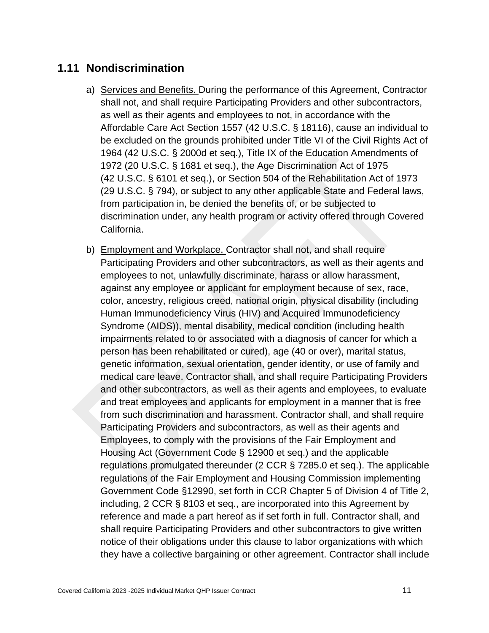## <span id="page-19-0"></span>**1.11 Nondiscrimination**

- a) Services and Benefits. During the performance of this Agreement, Contractor shall not, and shall require Participating Providers and other subcontractors, as well as their agents and employees to not, in accordance with the Affordable Care Act Section 1557 (42 U.S.C. § 18116), cause an individual to be excluded on the grounds prohibited under Title VI of the Civil Rights Act of 1964 (42 U.S.C. § 2000d et seq.), Title IX of the Education Amendments of 1972 (20 U.S.C. § 1681 et seq.), the Age Discrimination Act of 1975 (42 U.S.C. § 6101 et seq.), or Section 504 of the Rehabilitation Act of 1973 (29 U.S.C. § 794), or subject to any other applicable State and Federal laws, from participation in, be denied the benefits of, or be subjected to discrimination under, any health program or activity offered through Covered California.
- b) Employment and Workplace. Contractor shall not, and shall require Participating Providers and other subcontractors, as well as their agents and employees to not, unlawfully discriminate, harass or allow harassment, against any employee or applicant for employment because of sex, race, color, ancestry, religious creed, national origin, physical disability (including Human Immunodeficiency Virus (HIV) and Acquired Immunodeficiency Syndrome (AIDS)), mental disability, medical condition (including health impairments related to or associated with a diagnosis of cancer for which a person has been rehabilitated or cured), age (40 or over), marital status, genetic information, sexual orientation, gender identity, or use of family and medical care leave. Contractor shall, and shall require Participating Providers and other subcontractors, as well as their agents and employees, to evaluate and treat employees and applicants for employment in a manner that is free from such discrimination and harassment. Contractor shall, and shall require Participating Providers and subcontractors, as well as their agents and Employees, to comply with the provisions of the Fair Employment and Housing Act (Government Code § 12900 et seq.) and the applicable regulations promulgated thereunder (2 CCR § 7285.0 et seq.). The applicable regulations of the Fair Employment and Housing Commission implementing Government Code §12990, set forth in CCR Chapter 5 of Division 4 of Title 2, including, 2 CCR § 8103 et seq., are incorporated into this Agreement by reference and made a part hereof as if set forth in full. Contractor shall, and shall require Participating Providers and other subcontractors to give written notice of their obligations under this clause to labor organizations with which they have a collective bargaining or other agreement. Contractor shall include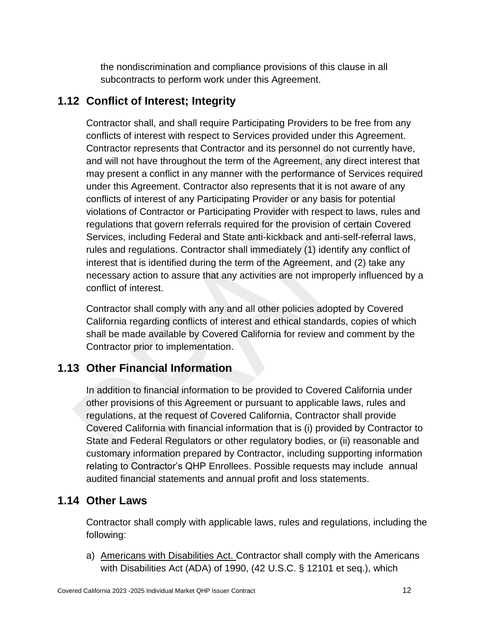the nondiscrimination and compliance provisions of this clause in all subcontracts to perform work under this Agreement.

# <span id="page-20-0"></span>**1.12 Conflict of Interest; Integrity**

Contractor shall, and shall require Participating Providers to be free from any conflicts of interest with respect to Services provided under this Agreement. Contractor represents that Contractor and its personnel do not currently have, and will not have throughout the term of the Agreement, any direct interest that may present a conflict in any manner with the performance of Services required under this Agreement. Contractor also represents that it is not aware of any conflicts of interest of any Participating Provider or any basis for potential violations of Contractor or Participating Provider with respect to laws, rules and regulations that govern referrals required for the provision of certain Covered Services, including Federal and State anti-kickback and anti-self-referral laws, rules and regulations. Contractor shall immediately (1) identify any conflict of interest that is identified during the term of the Agreement, and (2) take any necessary action to assure that any activities are not improperly influenced by a conflict of interest.

Contractor shall comply with any and all other policies adopted by Covered California regarding conflicts of interest and ethical standards, copies of which shall be made available by Covered California for review and comment by the Contractor prior to implementation.

# <span id="page-20-1"></span>**1.13 Other Financial Information**

In addition to financial information to be provided to Covered California under other provisions of this Agreement or pursuant to applicable laws, rules and regulations, at the request of Covered California, Contractor shall provide Covered California with financial information that is (i) provided by Contractor to State and Federal Regulators or other regulatory bodies, or (ii) reasonable and customary information prepared by Contractor, including supporting information relating to Contractor's QHP Enrollees. Possible requests may include annual audited financial statements and annual profit and loss statements.

# <span id="page-20-2"></span>**1.14 Other Laws**

Contractor shall comply with applicable laws, rules and regulations, including the following:

a) Americans with Disabilities Act. Contractor shall comply with the Americans with Disabilities Act (ADA) of 1990, (42 U.S.C. § 12101 et seq.), which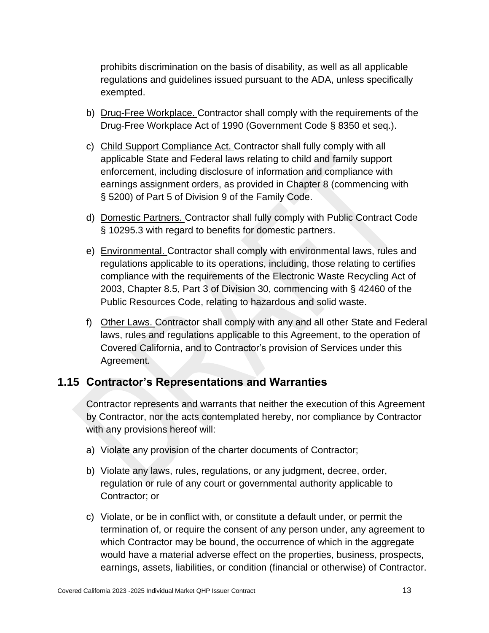prohibits discrimination on the basis of disability, as well as all applicable regulations and guidelines issued pursuant to the ADA, unless specifically exempted.

- b) Drug-Free Workplace. Contractor shall comply with the requirements of the Drug-Free Workplace Act of 1990 (Government Code § 8350 et seq.).
- c) Child Support Compliance Act. Contractor shall fully comply with all applicable State and Federal laws relating to child and family support enforcement, including disclosure of information and compliance with earnings assignment orders, as provided in Chapter 8 (commencing with § 5200) of Part 5 of Division 9 of the Family Code.
- d) Domestic Partners. Contractor shall fully comply with Public Contract Code § 10295.3 with regard to benefits for domestic partners.
- e) Environmental. Contractor shall comply with environmental laws, rules and regulations applicable to its operations, including, those relating to certifies compliance with the requirements of the Electronic Waste Recycling Act of 2003, Chapter 8.5, Part 3 of Division 30, commencing with § 42460 of the Public Resources Code, relating to hazardous and solid waste.
- f) Other Laws. Contractor shall comply with any and all other State and Federal laws, rules and regulations applicable to this Agreement, to the operation of Covered California, and to Contractor's provision of Services under this Agreement.

## <span id="page-21-0"></span>**1.15 Contractor's Representations and Warranties**

Contractor represents and warrants that neither the execution of this Agreement by Contractor, nor the acts contemplated hereby, nor compliance by Contractor with any provisions hereof will:

- a) Violate any provision of the charter documents of Contractor;
- b) Violate any laws, rules, regulations, or any judgment, decree, order, regulation or rule of any court or governmental authority applicable to Contractor; or
- c) Violate, or be in conflict with, or constitute a default under, or permit the termination of, or require the consent of any person under, any agreement to which Contractor may be bound, the occurrence of which in the aggregate would have a material adverse effect on the properties, business, prospects, earnings, assets, liabilities, or condition (financial or otherwise) of Contractor.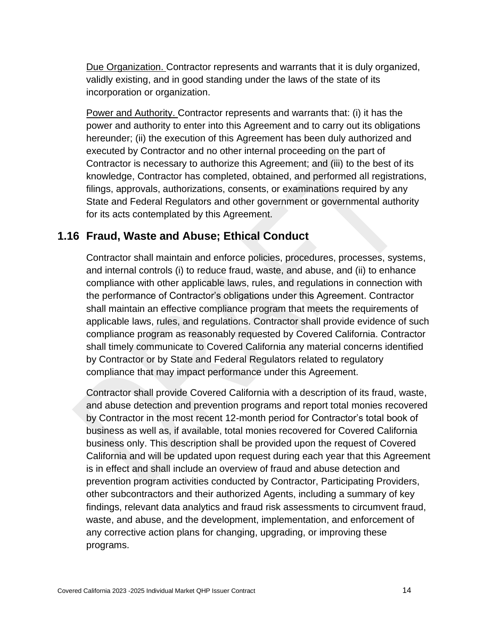Due Organization. Contractor represents and warrants that it is duly organized, validly existing, and in good standing under the laws of the state of its incorporation or organization.

Power and Authority. Contractor represents and warrants that: (i) it has the power and authority to enter into this Agreement and to carry out its obligations hereunder; (ii) the execution of this Agreement has been duly authorized and executed by Contractor and no other internal proceeding on the part of Contractor is necessary to authorize this Agreement; and (iii) to the best of its knowledge, Contractor has completed, obtained, and performed all registrations, filings, approvals, authorizations, consents, or examinations required by any State and Federal Regulators and other government or governmental authority for its acts contemplated by this Agreement.

## <span id="page-22-0"></span>**1.16 Fraud, Waste and Abuse; Ethical Conduct**

Contractor shall maintain and enforce policies, procedures, processes, systems, and internal controls (i) to reduce fraud, waste, and abuse, and (ii) to enhance compliance with other applicable laws, rules, and regulations in connection with the performance of Contractor's obligations under this Agreement. Contractor shall maintain an effective compliance program that meets the requirements of applicable laws, rules, and regulations. Contractor shall provide evidence of such compliance program as reasonably requested by Covered California. Contractor shall timely communicate to Covered California any material concerns identified by Contractor or by State and Federal Regulators related to regulatory compliance that may impact performance under this Agreement.

Contractor shall provide Covered California with a description of its fraud, waste, and abuse detection and prevention programs and report total monies recovered by Contractor in the most recent 12-month period for Contractor's total book of business as well as, if available, total monies recovered for Covered California business only. This description shall be provided upon the request of Covered California and will be updated upon request during each year that this Agreement is in effect and shall include an overview of fraud and abuse detection and prevention program activities conducted by Contractor, Participating Providers, other subcontractors and their authorized Agents, including a summary of key findings, relevant data analytics and fraud risk assessments to circumvent fraud, waste, and abuse, and the development, implementation, and enforcement of any corrective action plans for changing, upgrading, or improving these programs.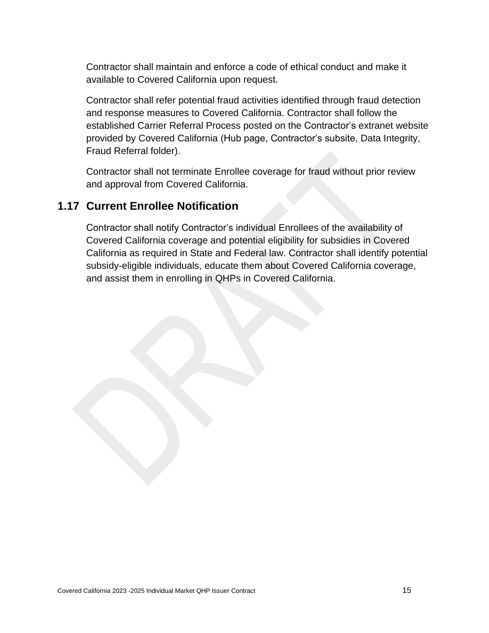Contractor shall maintain and enforce a code of ethical conduct and make it available to Covered California upon request.

Contractor shall refer potential fraud activities identified through fraud detection and response measures to Covered California. Contractor shall follow the established Carrier Referral Process posted on the Contractor's extranet website provided by Covered California (Hub page, Contractor's subsite, Data Integrity, Fraud Referral folder).

Contractor shall not terminate Enrollee coverage for fraud without prior review and approval from Covered California.

# <span id="page-23-0"></span>**1.17 Current Enrollee Notification**

Contractor shall notify Contractor's individual Enrollees of the availability of Covered California coverage and potential eligibility for subsidies in Covered California as required in State and Federal law. Contractor shall identify potential subsidy-eligible individuals, educate them about Covered California coverage, and assist them in enrolling in QHPs in Covered California.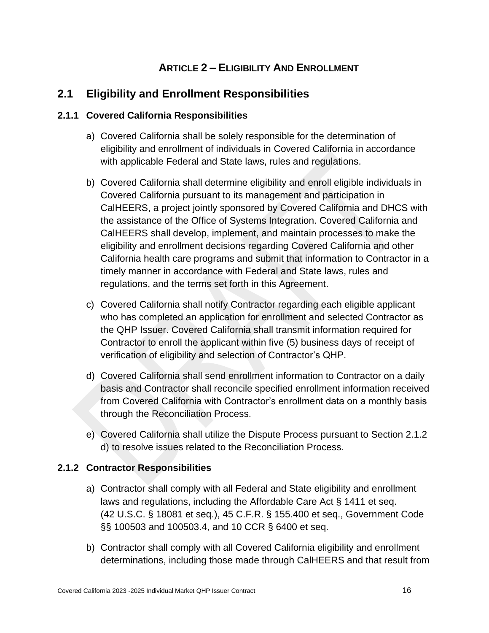# **ARTICLE 2 – ELIGIBILITY AND ENROLLMENT**

# <span id="page-24-1"></span><span id="page-24-0"></span>**2.1 Eligibility and Enrollment Responsibilities**

#### <span id="page-24-2"></span>**2.1.1 Covered California Responsibilities**

- a) Covered California shall be solely responsible for the determination of eligibility and enrollment of individuals in Covered California in accordance with applicable Federal and State laws, rules and regulations.
- b) Covered California shall determine eligibility and enroll eligible individuals in Covered California pursuant to its management and participation in CalHEERS, a project jointly sponsored by Covered California and DHCS with the assistance of the Office of Systems Integration. Covered California and CalHEERS shall develop, implement, and maintain processes to make the eligibility and enrollment decisions regarding Covered California and other California health care programs and submit that information to Contractor in a timely manner in accordance with Federal and State laws, rules and regulations, and the terms set forth in this Agreement.
- c) Covered California shall notify Contractor regarding each eligible applicant who has completed an application for enrollment and selected Contractor as the QHP Issuer. Covered California shall transmit information required for Contractor to enroll the applicant within five (5) business days of receipt of verification of eligibility and selection of Contractor's QHP.
- d) Covered California shall send enrollment information to Contractor on a daily basis and Contractor shall reconcile specified enrollment information received from Covered California with Contractor's enrollment data on a monthly basis through the Reconciliation Process.
- e) Covered California shall utilize the Dispute Process pursuant to Section 2.1.2 d) to resolve issues related to the Reconciliation Process.

#### <span id="page-24-3"></span>**2.1.2 Contractor Responsibilities**

- a) Contractor shall comply with all Federal and State eligibility and enrollment laws and regulations, including the Affordable Care Act § 1411 et seq. (42 U.S.C. § 18081 et seq.), 45 C.F.R. § 155.400 et seq., Government Code §§ 100503 and 100503.4, and 10 CCR § 6400 et seq.
- b) Contractor shall comply with all Covered California eligibility and enrollment determinations, including those made through CalHEERS and that result from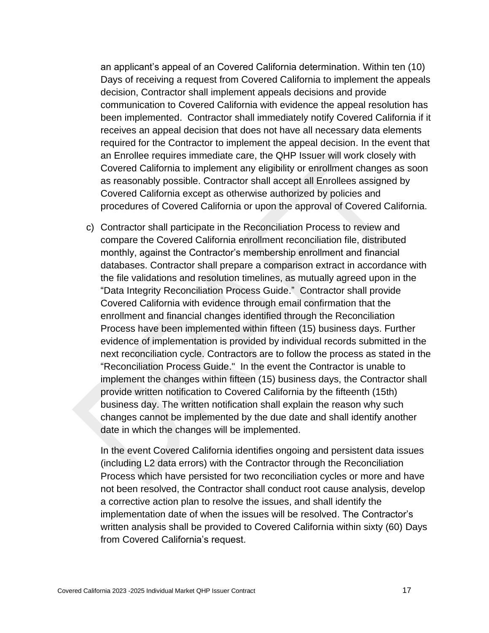an applicant's appeal of an Covered California determination. Within ten (10) Days of receiving a request from Covered California to implement the appeals decision, Contractor shall implement appeals decisions and provide communication to Covered California with evidence the appeal resolution has been implemented. Contractor shall immediately notify Covered California if it receives an appeal decision that does not have all necessary data elements required for the Contractor to implement the appeal decision. In the event that an Enrollee requires immediate care, the QHP Issuer will work closely with Covered California to implement any eligibility or enrollment changes as soon as reasonably possible. Contractor shall accept all Enrollees assigned by Covered California except as otherwise authorized by policies and procedures of Covered California or upon the approval of Covered California.

c) Contractor shall participate in the Reconciliation Process to review and compare the Covered California enrollment reconciliation file, distributed monthly, against the Contractor's membership enrollment and financial databases. Contractor shall prepare a comparison extract in accordance with the file validations and resolution timelines, as mutually agreed upon in the "Data Integrity Reconciliation Process Guide." Contractor shall provide Covered California with evidence through email confirmation that the enrollment and financial changes identified through the Reconciliation Process have been implemented within fifteen (15) business days. Further evidence of implementation is provided by individual records submitted in the next reconciliation cycle. Contractors are to follow the process as stated in the "Reconciliation Process Guide." In the event the Contractor is unable to implement the changes within fifteen (15) business days, the Contractor shall provide written notification to Covered California by the fifteenth (15th) business day. The written notification shall explain the reason why such changes cannot be implemented by the due date and shall identify another date in which the changes will be implemented.

In the event Covered California identifies ongoing and persistent data issues (including L2 data errors) with the Contractor through the Reconciliation Process which have persisted for two reconciliation cycles or more and have not been resolved, the Contractor shall conduct root cause analysis, develop a corrective action plan to resolve the issues, and shall identify the implementation date of when the issues will be resolved. The Contractor's written analysis shall be provided to Covered California within sixty (60) Days from Covered California's request.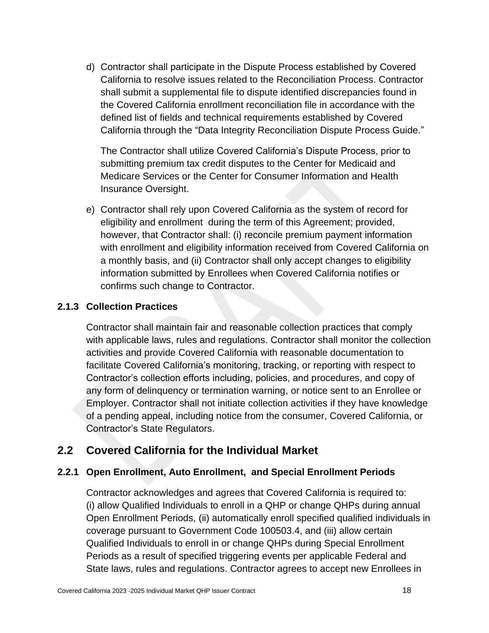d) Contractor shall participate in the Dispute Process established by Covered California to resolve issues related to the Reconciliation Process. Contractor shall submit a supplemental file to dispute identified discrepancies found in the Covered California enrollment reconciliation file in accordance with the defined list of fields and technical requirements established by Covered California through the "Data Integrity Reconciliation Dispute Process Guide."

The Contractor shall utilize Covered California's Dispute Process, prior to submitting premium tax credit disputes to the Center for Medicaid and Medicare Services or the Center for Consumer Information and Health Insurance Oversight.

e) Contractor shall rely upon Covered California as the system of record for eligibility and enrollment during the term of this Agreement; provided, however, that Contractor shall: (i) reconcile premium payment information with enrollment and eligibility information received from Covered California on a monthly basis, and (ii) Contractor shall only accept changes to eligibility information submitted by Enrollees when Covered California notifies or confirms such change to Contractor.

#### <span id="page-26-0"></span>**2.1.3 Collection Practices**

Contractor shall maintain fair and reasonable collection practices that comply with applicable laws, rules and regulations. Contractor shall monitor the collection activities and provide Covered California with reasonable documentation to facilitate Covered California's monitoring, tracking, or reporting with respect to Contractor's collection efforts including, policies, and procedures, and copy of any form of delinquency or termination warning, or notice sent to an Enrollee or Employer. Contractor shall not initiate collection activities if they have knowledge of a pending appeal, including notice from the consumer, Covered California, or Contractor's State Regulators.

## <span id="page-26-1"></span>**2.2 Covered California for the Individual Market**

#### <span id="page-26-2"></span>**2.2.1 Open Enrollment, Auto Enrollment, and Special Enrollment Periods**

Contractor acknowledges and agrees that Covered California is required to: (i) allow Qualified Individuals to enroll in a QHP or change QHPs during annual Open Enrollment Periods, (ii) automatically enroll specified qualified individuals in coverage pursuant to Government Code 100503.4, and (iii) allow certain Qualified Individuals to enroll in or change QHPs during Special Enrollment Periods as a result of specified triggering events per applicable Federal and State laws, rules and regulations. Contractor agrees to accept new Enrollees in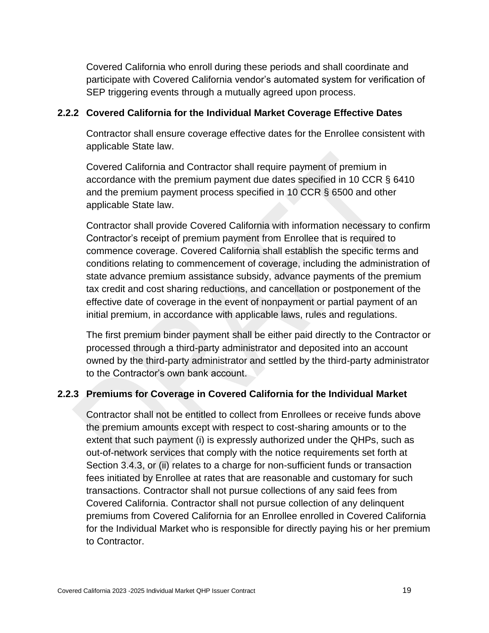Covered California who enroll during these periods and shall coordinate and participate with Covered California vendor's automated system for verification of SEP triggering events through a mutually agreed upon process.

#### <span id="page-27-0"></span>**2.2.2 Covered California for the Individual Market Coverage Effective Dates**

Contractor shall ensure coverage effective dates for the Enrollee consistent with applicable State law.

Covered California and Contractor shall require payment of premium in accordance with the premium payment due dates specified in 10 CCR § 6410 and the premium payment process specified in 10 CCR § 6500 and other applicable State law.

Contractor shall provide Covered California with information necessary to confirm Contractor's receipt of premium payment from Enrollee that is required to commence coverage. Covered California shall establish the specific terms and conditions relating to commencement of coverage, including the administration of state advance premium assistance subsidy, advance payments of the premium tax credit and cost sharing reductions, and cancellation or postponement of the effective date of coverage in the event of nonpayment or partial payment of an initial premium, in accordance with applicable laws, rules and regulations.

The first premium binder payment shall be either paid directly to the Contractor or processed through a third-party administrator and deposited into an account owned by the third-party administrator and settled by the third-party administrator to the Contractor's own bank account.

#### <span id="page-27-1"></span>**2.2.3 Premiums for Coverage in Covered California for the Individual Market**

Contractor shall not be entitled to collect from Enrollees or receive funds above the premium amounts except with respect to cost-sharing amounts or to the extent that such payment (i) is expressly authorized under the QHPs, such as out-of-network services that comply with the notice requirements set forth at Section 3.4.3, or (ii) relates to a charge for non-sufficient funds or transaction fees initiated by Enrollee at rates that are reasonable and customary for such transactions. Contractor shall not pursue collections of any said fees from Covered California. Contractor shall not pursue collection of any delinquent premiums from Covered California for an Enrollee enrolled in Covered California for the Individual Market who is responsible for directly paying his or her premium to Contractor.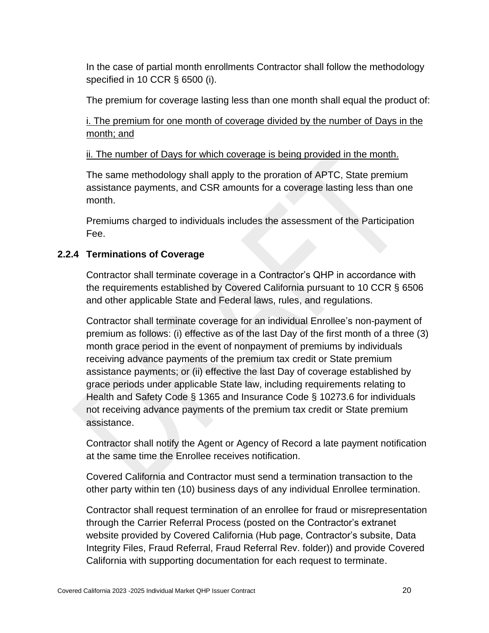In the case of partial month enrollments Contractor shall follow the methodology specified in 10 CCR § 6500 (i).

The premium for coverage lasting less than one month shall equal the product of:

i. The premium for one month of coverage divided by the number of Days in the month; and

ii. The number of Days for which coverage is being provided in the month.

The same methodology shall apply to the proration of APTC, State premium assistance payments, and CSR amounts for a coverage lasting less than one month.

Premiums charged to individuals includes the assessment of the Participation Fee.

#### <span id="page-28-0"></span>**2.2.4 Terminations of Coverage**

Contractor shall terminate coverage in a Contractor's QHP in accordance with the requirements established by Covered California pursuant to 10 CCR § 6506 and other applicable State and Federal laws, rules, and regulations.

Contractor shall terminate coverage for an individual Enrollee's non-payment of premium as follows: (i) effective as of the last Day of the first month of a three (3) month grace period in the event of nonpayment of premiums by individuals receiving advance payments of the premium tax credit or State premium assistance payments; or (ii) effective the last Day of coverage established by grace periods under applicable State law, including requirements relating to Health and Safety Code § 1365 and Insurance Code § 10273.6 for individuals not receiving advance payments of the premium tax credit or State premium assistance.

Contractor shall notify the Agent or Agency of Record a late payment notification at the same time the Enrollee receives notification.

Covered California and Contractor must send a termination transaction to the other party within ten (10) business days of any individual Enrollee termination.

Contractor shall request termination of an enrollee for fraud or misrepresentation through the Carrier Referral Process (posted on the Contractor's extranet website provided by Covered California (Hub page, Contractor's subsite, Data Integrity Files, Fraud Referral, Fraud Referral Rev. folder)) and provide Covered California with supporting documentation for each request to terminate.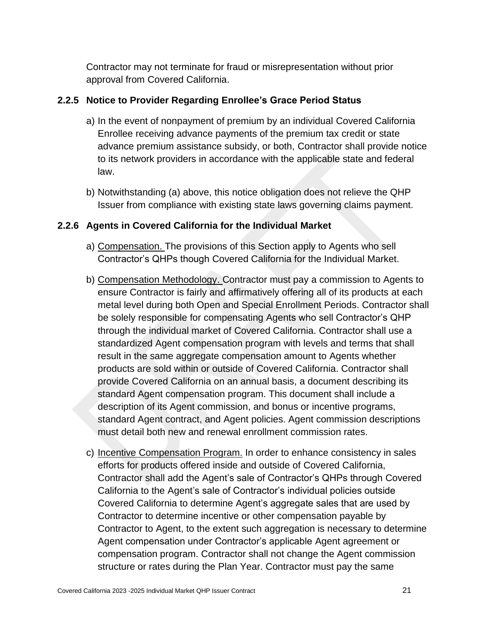Contractor may not terminate for fraud or misrepresentation without prior approval from Covered California.

#### <span id="page-29-0"></span>**2.2.5 Notice to Provider Regarding Enrollee's Grace Period Status**

- a) In the event of nonpayment of premium by an individual Covered California Enrollee receiving advance payments of the premium tax credit or state advance premium assistance subsidy, or both, Contractor shall provide notice to its network providers in accordance with the applicable state and federal law.
- b) Notwithstanding (a) above, this notice obligation does not relieve the QHP Issuer from compliance with existing state laws governing claims payment.

#### <span id="page-29-1"></span>**2.2.6 Agents in Covered California for the Individual Market**

- a) Compensation. The provisions of this Section apply to Agents who sell Contractor's QHPs though Covered California for the Individual Market.
- b) Compensation Methodology. Contractor must pay a commission to Agents to ensure Contractor is fairly and affirmatively offering all of its products at each metal level during both Open and Special Enrollment Periods. Contractor shall be solely responsible for compensating Agents who sell Contractor's QHP through the individual market of Covered California. Contractor shall use a standardized Agent compensation program with levels and terms that shall result in the same aggregate compensation amount to Agents whether products are sold within or outside of Covered California. Contractor shall provide Covered California on an annual basis, a document describing its standard Agent compensation program. This document shall include a description of its Agent commission, and bonus or incentive programs, standard Agent contract, and Agent policies. Agent commission descriptions must detail both new and renewal enrollment commission rates.
- c) Incentive Compensation Program. In order to enhance consistency in sales efforts for products offered inside and outside of Covered California, Contractor shall add the Agent's sale of Contractor's QHPs through Covered California to the Agent's sale of Contractor's individual policies outside Covered California to determine Agent's aggregate sales that are used by Contractor to determine incentive or other compensation payable by Contractor to Agent, to the extent such aggregation is necessary to determine Agent compensation under Contractor's applicable Agent agreement or compensation program. Contractor shall not change the Agent commission structure or rates during the Plan Year. Contractor must pay the same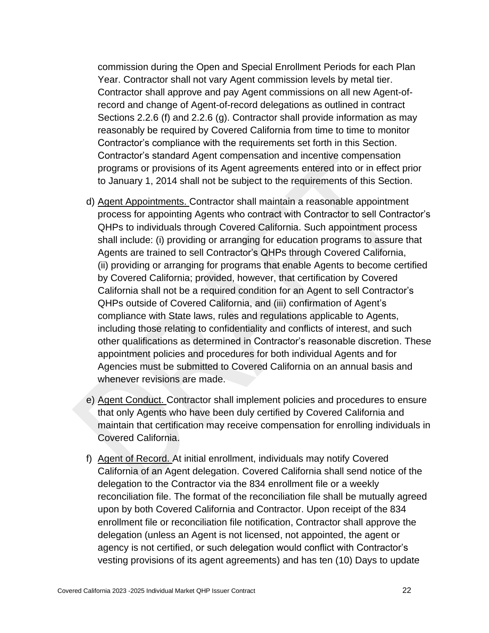commission during the Open and Special Enrollment Periods for each Plan Year. Contractor shall not vary Agent commission levels by metal tier. Contractor shall approve and pay Agent commissions on all new Agent-ofrecord and change of Agent-of-record delegations as outlined in contract Sections 2.2.6 (f) and 2.2.6 (g). Contractor shall provide information as may reasonably be required by Covered California from time to time to monitor Contractor's compliance with the requirements set forth in this Section. Contractor's standard Agent compensation and incentive compensation programs or provisions of its Agent agreements entered into or in effect prior to January 1, 2014 shall not be subject to the requirements of this Section.

- d) Agent Appointments. Contractor shall maintain a reasonable appointment process for appointing Agents who contract with Contractor to sell Contractor's QHPs to individuals through Covered California. Such appointment process shall include: (i) providing or arranging for education programs to assure that Agents are trained to sell Contractor's QHPs through Covered California, (ii) providing or arranging for programs that enable Agents to become certified by Covered California; provided, however, that certification by Covered California shall not be a required condition for an Agent to sell Contractor's QHPs outside of Covered California, and (iii) confirmation of Agent's compliance with State laws, rules and regulations applicable to Agents, including those relating to confidentiality and conflicts of interest, and such other qualifications as determined in Contractor's reasonable discretion. These appointment policies and procedures for both individual Agents and for Agencies must be submitted to Covered California on an annual basis and whenever revisions are made.
- e) Agent Conduct. Contractor shall implement policies and procedures to ensure that only Agents who have been duly certified by Covered California and maintain that certification may receive compensation for enrolling individuals in Covered California.
- f) Agent of Record. At initial enrollment, individuals may notify Covered California of an Agent delegation. Covered California shall send notice of the delegation to the Contractor via the 834 enrollment file or a weekly reconciliation file. The format of the reconciliation file shall be mutually agreed upon by both Covered California and Contractor. Upon receipt of the 834 enrollment file or reconciliation file notification, Contractor shall approve the delegation (unless an Agent is not licensed, not appointed, the agent or agency is not certified, or such delegation would conflict with Contractor's vesting provisions of its agent agreements) and has ten (10) Days to update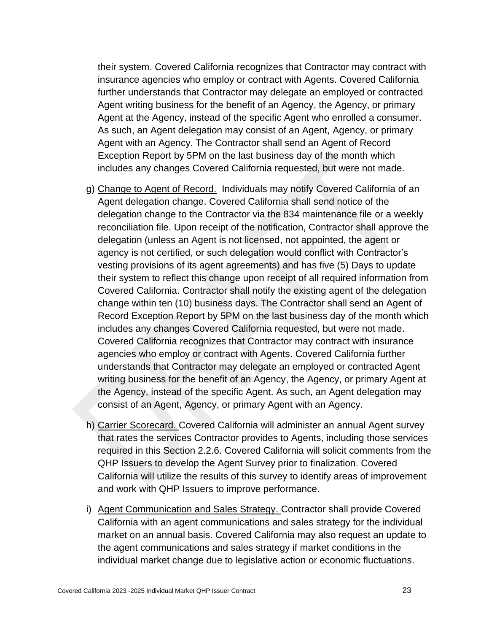their system. Covered California recognizes that Contractor may contract with insurance agencies who employ or contract with Agents. Covered California further understands that Contractor may delegate an employed or contracted Agent writing business for the benefit of an Agency, the Agency, or primary Agent at the Agency, instead of the specific Agent who enrolled a consumer. As such, an Agent delegation may consist of an Agent, Agency, or primary Agent with an Agency. The Contractor shall send an Agent of Record Exception Report by 5PM on the last business day of the month which includes any changes Covered California requested, but were not made.

- g) Change to Agent of Record. Individuals may notify Covered California of an Agent delegation change. Covered California shall send notice of the delegation change to the Contractor via the 834 maintenance file or a weekly reconciliation file. Upon receipt of the notification, Contractor shall approve the delegation (unless an Agent is not licensed, not appointed, the agent or agency is not certified, or such delegation would conflict with Contractor's vesting provisions of its agent agreements) and has five (5) Days to update their system to reflect this change upon receipt of all required information from Covered California. Contractor shall notify the existing agent of the delegation change within ten (10) business days. The Contractor shall send an Agent of Record Exception Report by 5PM on the last business day of the month which includes any changes Covered California requested, but were not made. Covered California recognizes that Contractor may contract with insurance agencies who employ or contract with Agents. Covered California further understands that Contractor may delegate an employed or contracted Agent writing business for the benefit of an Agency, the Agency, or primary Agent at the Agency, instead of the specific Agent. As such, an Agent delegation may consist of an Agent, Agency, or primary Agent with an Agency.
- h) Carrier Scorecard. Covered California will administer an annual Agent survey that rates the services Contractor provides to Agents, including those services required in this Section 2.2.6. Covered California will solicit comments from the QHP Issuers to develop the Agent Survey prior to finalization. Covered California will utilize the results of this survey to identify areas of improvement and work with QHP Issuers to improve performance.
- i) Agent Communication and Sales Strategy. Contractor shall provide Covered California with an agent communications and sales strategy for the individual market on an annual basis. Covered California may also request an update to the agent communications and sales strategy if market conditions in the individual market change due to legislative action or economic fluctuations.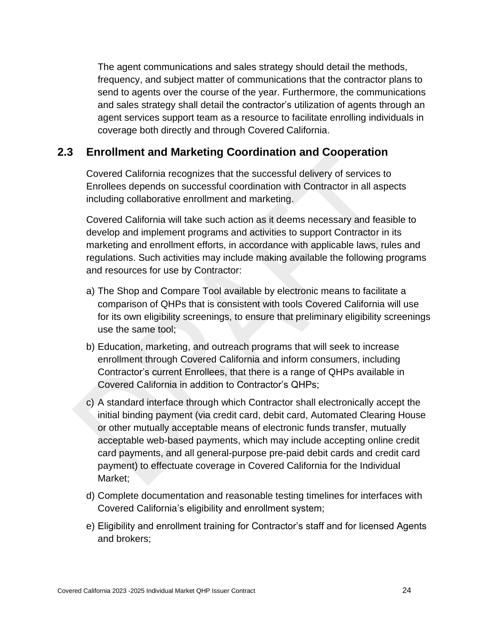The agent communications and sales strategy should detail the methods, frequency, and subject matter of communications that the contractor plans to send to agents over the course of the year. Furthermore, the communications and sales strategy shall detail the contractor's utilization of agents through an agent services support team as a resource to facilitate enrolling individuals in coverage both directly and through Covered California.

## <span id="page-32-0"></span>**2.3 Enrollment and Marketing Coordination and Cooperation**

Covered California recognizes that the successful delivery of services to Enrollees depends on successful coordination with Contractor in all aspects including collaborative enrollment and marketing.

Covered California will take such action as it deems necessary and feasible to develop and implement programs and activities to support Contractor in its marketing and enrollment efforts, in accordance with applicable laws, rules and regulations. Such activities may include making available the following programs and resources for use by Contractor:

- a) The Shop and Compare Tool available by electronic means to facilitate a comparison of QHPs that is consistent with tools Covered California will use for its own eligibility screenings, to ensure that preliminary eligibility screenings use the same tool;
- b) Education, marketing, and outreach programs that will seek to increase enrollment through Covered California and inform consumers, including Contractor's current Enrollees, that there is a range of QHPs available in Covered California in addition to Contractor's QHPs;
- c) A standard interface through which Contractor shall electronically accept the initial binding payment (via credit card, debit card, Automated Clearing House or other mutually acceptable means of electronic funds transfer, mutually acceptable web-based payments, which may include accepting online credit card payments, and all general-purpose pre-paid debit cards and credit card payment) to effectuate coverage in Covered California for the Individual Market;
- d) Complete documentation and reasonable testing timelines for interfaces with Covered California's eligibility and enrollment system;
- e) Eligibility and enrollment training for Contractor's staff and for licensed Agents and brokers;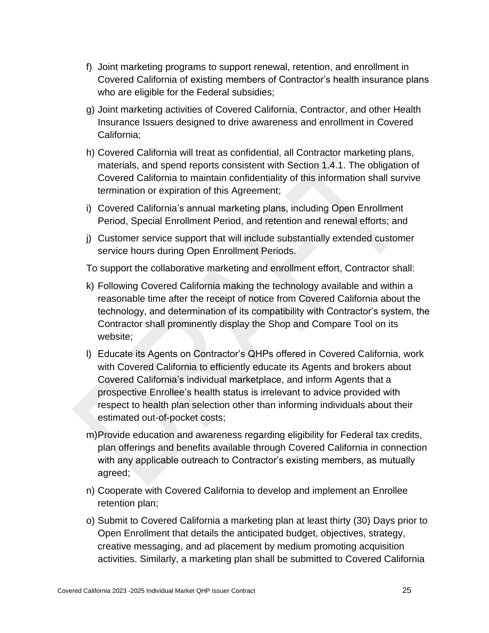- f) Joint marketing programs to support renewal, retention, and enrollment in Covered California of existing members of Contractor's health insurance plans who are eligible for the Federal subsidies;
- g) Joint marketing activities of Covered California, Contractor, and other Health Insurance Issuers designed to drive awareness and enrollment in Covered California;
- h) Covered California will treat as confidential, all Contractor marketing plans, materials, and spend reports consistent with Section 1.4.1. The obligation of Covered California to maintain confidentiality of this information shall survive termination or expiration of this Agreement;
- i) Covered California's annual marketing plans, including Open Enrollment Period, Special Enrollment Period, and retention and renewal efforts; and
- j) Customer service support that will include substantially extended customer service hours during Open Enrollment Periods.

To support the collaborative marketing and enrollment effort, Contractor shall:

- k) Following Covered California making the technology available and within a reasonable time after the receipt of notice from Covered California about the technology, and determination of its compatibility with Contractor's system, the Contractor shall prominently display the Shop and Compare Tool on its website;
- l) Educate its Agents on Contractor's QHPs offered in Covered California, work with Covered California to efficiently educate its Agents and brokers about Covered California's individual marketplace, and inform Agents that a prospective Enrollee's health status is irrelevant to advice provided with respect to health plan selection other than informing individuals about their estimated out-of-pocket costs;
- m)Provide education and awareness regarding eligibility for Federal tax credits, plan offerings and benefits available through Covered California in connection with any applicable outreach to Contractor's existing members, as mutually agreed;
- n) Cooperate with Covered California to develop and implement an Enrollee retention plan;
- o) Submit to Covered California a marketing plan at least thirty (30) Days prior to Open Enrollment that details the anticipated budget, objectives, strategy, creative messaging, and ad placement by medium promoting acquisition activities. Similarly, a marketing plan shall be submitted to Covered California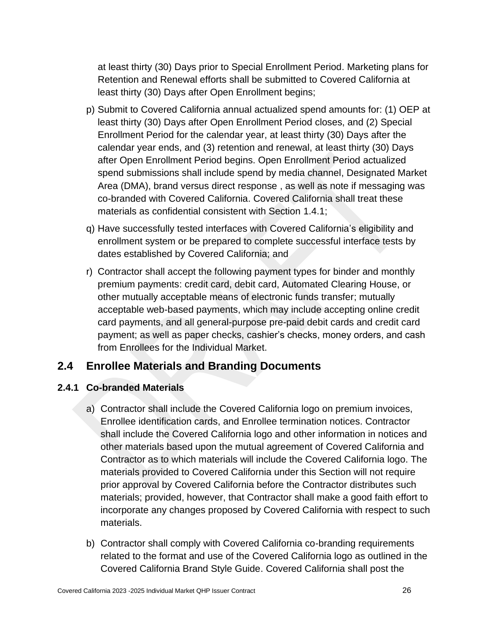at least thirty (30) Days prior to Special Enrollment Period. Marketing plans for Retention and Renewal efforts shall be submitted to Covered California at least thirty (30) Days after Open Enrollment begins;

- p) Submit to Covered California annual actualized spend amounts for: (1) OEP at least thirty (30) Days after Open Enrollment Period closes, and (2) Special Enrollment Period for the calendar year, at least thirty (30) Days after the calendar year ends, and (3) retention and renewal, at least thirty (30) Days after Open Enrollment Period begins. Open Enrollment Period actualized spend submissions shall include spend by media channel, Designated Market Area (DMA), brand versus direct response , as well as note if messaging was co-branded with Covered California. Covered California shall treat these materials as confidential consistent with Section 1.4.1;
- q) Have successfully tested interfaces with Covered California's eligibility and enrollment system or be prepared to complete successful interface tests by dates established by Covered California; and
- r) Contractor shall accept the following payment types for binder and monthly premium payments: credit card, debit card, Automated Clearing House, or other mutually acceptable means of electronic funds transfer; mutually acceptable web-based payments, which may include accepting online credit card payments, and all general-purpose pre-paid debit cards and credit card payment; as well as paper checks, cashier's checks, money orders, and cash from Enrollees for the Individual Market.

# <span id="page-34-0"></span>**2.4 Enrollee Materials and Branding Documents**

## <span id="page-34-1"></span>**2.4.1 Co-branded Materials**

- a) Contractor shall include the Covered California logo on premium invoices, Enrollee identification cards, and Enrollee termination notices. Contractor shall include the Covered California logo and other information in notices and other materials based upon the mutual agreement of Covered California and Contractor as to which materials will include the Covered California logo. The materials provided to Covered California under this Section will not require prior approval by Covered California before the Contractor distributes such materials; provided, however, that Contractor shall make a good faith effort to incorporate any changes proposed by Covered California with respect to such materials.
- b) Contractor shall comply with Covered California co-branding requirements related to the format and use of the Covered California logo as outlined in the Covered California Brand Style Guide. Covered California shall post the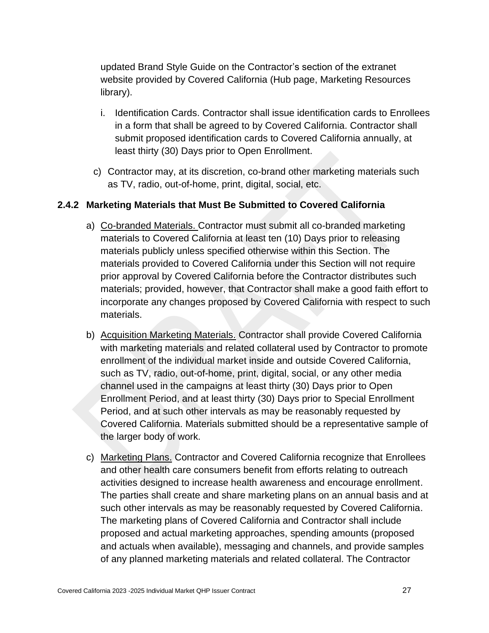updated Brand Style Guide on the Contractor's section of the extranet website provided by Covered California (Hub page, Marketing Resources library).

- i. Identification Cards. Contractor shall issue identification cards to Enrollees in a form that shall be agreed to by Covered California. Contractor shall submit proposed identification cards to Covered California annually, at least thirty (30) Days prior to Open Enrollment.
- c) Contractor may, at its discretion, co-brand other marketing materials such as TV, radio, out-of-home, print, digital, social, etc.

#### <span id="page-35-0"></span>**2.4.2 Marketing Materials that Must Be Submitted to Covered California**

- a) Co-branded Materials. Contractor must submit all co-branded marketing materials to Covered California at least ten (10) Days prior to releasing materials publicly unless specified otherwise within this Section. The materials provided to Covered California under this Section will not require prior approval by Covered California before the Contractor distributes such materials; provided, however, that Contractor shall make a good faith effort to incorporate any changes proposed by Covered California with respect to such materials.
- b) Acquisition Marketing Materials. Contractor shall provide Covered California with marketing materials and related collateral used by Contractor to promote enrollment of the individual market inside and outside Covered California, such as TV, radio, out-of-home, print, digital, social, or any other media channel used in the campaigns at least thirty (30) Days prior to Open Enrollment Period, and at least thirty (30) Days prior to Special Enrollment Period, and at such other intervals as may be reasonably requested by Covered California. Materials submitted should be a representative sample of the larger body of work.
- c) Marketing Plans. Contractor and Covered California recognize that Enrollees and other health care consumers benefit from efforts relating to outreach activities designed to increase health awareness and encourage enrollment. The parties shall create and share marketing plans on an annual basis and at such other intervals as may be reasonably requested by Covered California. The marketing plans of Covered California and Contractor shall include proposed and actual marketing approaches, spending amounts (proposed and actuals when available), messaging and channels, and provide samples of any planned marketing materials and related collateral. The Contractor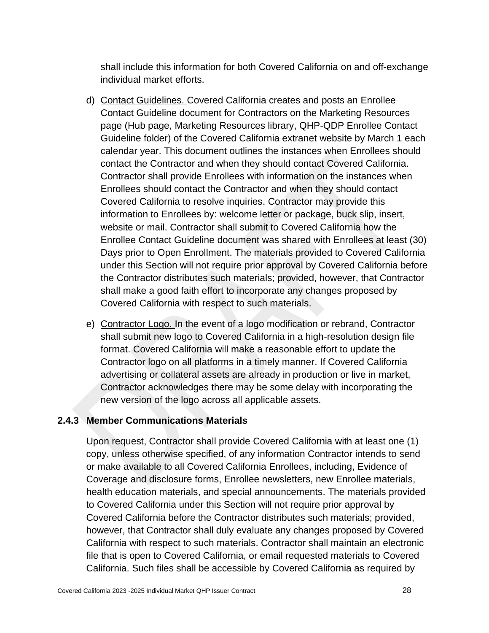shall include this information for both Covered California on and off-exchange individual market efforts.

- d) Contact Guidelines. Covered California creates and posts an Enrollee Contact Guideline document for Contractors on the Marketing Resources page (Hub page, Marketing Resources library, QHP-QDP Enrollee Contact Guideline folder) of the Covered California extranet website by March 1 each calendar year. This document outlines the instances when Enrollees should contact the Contractor and when they should contact Covered California. Contractor shall provide Enrollees with information on the instances when Enrollees should contact the Contractor and when they should contact Covered California to resolve inquiries. Contractor may provide this information to Enrollees by: welcome letter or package, buck slip, insert, website or mail. Contractor shall submit to Covered California how the Enrollee Contact Guideline document was shared with Enrollees at least (30) Days prior to Open Enrollment. The materials provided to Covered California under this Section will not require prior approval by Covered California before the Contractor distributes such materials; provided, however, that Contractor shall make a good faith effort to incorporate any changes proposed by Covered California with respect to such materials.
- e) Contractor Logo. In the event of a logo modification or rebrand, Contractor shall submit new logo to Covered California in a high-resolution design file format. Covered California will make a reasonable effort to update the Contractor logo on all platforms in a timely manner. If Covered California advertising or collateral assets are already in production or live in market, Contractor acknowledges there may be some delay with incorporating the new version of the logo across all applicable assets.

### **2.4.3 Member Communications Materials**

Upon request, Contractor shall provide Covered California with at least one (1) copy, unless otherwise specified, of any information Contractor intends to send or make available to all Covered California Enrollees, including, Evidence of Coverage and disclosure forms, Enrollee newsletters, new Enrollee materials, health education materials, and special announcements. The materials provided to Covered California under this Section will not require prior approval by Covered California before the Contractor distributes such materials; provided, however, that Contractor shall duly evaluate any changes proposed by Covered California with respect to such materials. Contractor shall maintain an electronic file that is open to Covered California, or email requested materials to Covered California. Such files shall be accessible by Covered California as required by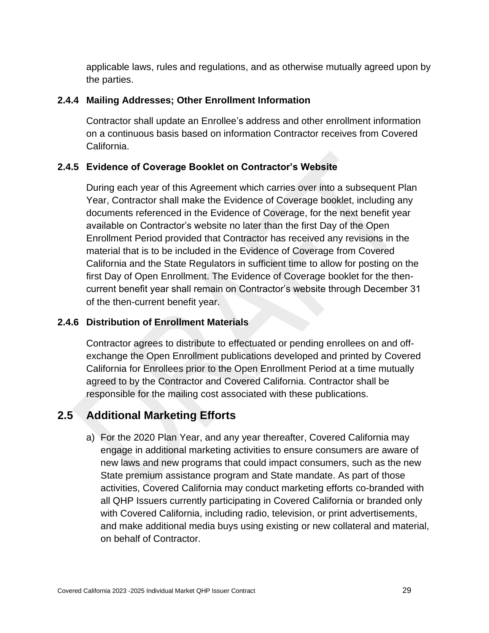applicable laws, rules and regulations, and as otherwise mutually agreed upon by the parties.

### **2.4.4 Mailing Addresses; Other Enrollment Information**

Contractor shall update an Enrollee's address and other enrollment information on a continuous basis based on information Contractor receives from Covered California.

### **2.4.5 Evidence of Coverage Booklet on Contractor's Website**

During each year of this Agreement which carries over into a subsequent Plan Year, Contractor shall make the Evidence of Coverage booklet, including any documents referenced in the Evidence of Coverage, for the next benefit year available on Contractor's website no later than the first Day of the Open Enrollment Period provided that Contractor has received any revisions in the material that is to be included in the Evidence of Coverage from Covered California and the State Regulators in sufficient time to allow for posting on the first Day of Open Enrollment. The Evidence of Coverage booklet for the thencurrent benefit year shall remain on Contractor's website through December 31 of the then-current benefit year.

### **2.4.6 Distribution of Enrollment Materials**

Contractor agrees to distribute to effectuated or pending enrollees on and offexchange the Open Enrollment publications developed and printed by Covered California for Enrollees prior to the Open Enrollment Period at a time mutually agreed to by the Contractor and Covered California. Contractor shall be responsible for the mailing cost associated with these publications.

# **2.5 Additional Marketing Efforts**

a) For the 2020 Plan Year, and any year thereafter, Covered California may engage in additional marketing activities to ensure consumers are aware of new laws and new programs that could impact consumers, such as the new State premium assistance program and State mandate. As part of those activities, Covered California may conduct marketing efforts co-branded with all QHP Issuers currently participating in Covered California or branded only with Covered California, including radio, television, or print advertisements, and make additional media buys using existing or new collateral and material, on behalf of Contractor.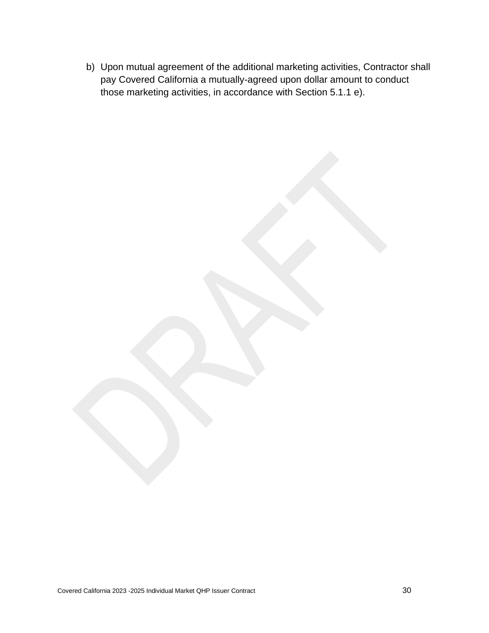b) Upon mutual agreement of the additional marketing activities, Contractor shall pay Covered California a mutually-agreed upon dollar amount to conduct those marketing activities, in accordance with Section 5.1.1 e).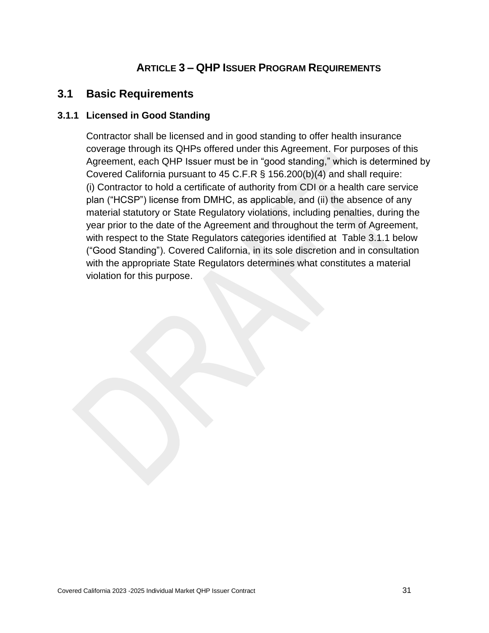# **ARTICLE 3 – QHP ISSUER PROGRAM REQUIREMENTS**

## **3.1 Basic Requirements**

### **3.1.1 Licensed in Good Standing**

Contractor shall be licensed and in good standing to offer health insurance coverage through its QHPs offered under this Agreement. For purposes of this Agreement, each QHP Issuer must be in "good standing," which is determined by Covered California pursuant to 45 C.F.R § 156.200(b)(4) and shall require: (i) Contractor to hold a certificate of authority from CDI or a health care service plan ("HCSP") license from DMHC, as applicable, and (ii) the absence of any material statutory or State Regulatory violations, including penalties, during the year prior to the date of the Agreement and throughout the term of Agreement, with respect to the State Regulators categories identified at Table 3.1.1 below ("Good Standing"). Covered California, in its sole discretion and in consultation with the appropriate State Regulators determines what constitutes a material violation for this purpose.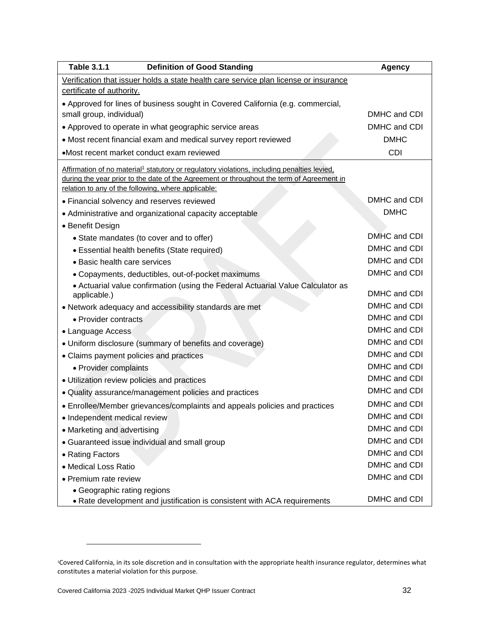| <b>Table 3.1.1</b><br><b>Definition of Good Standing</b>                                                | <b>Agency</b> |
|---------------------------------------------------------------------------------------------------------|---------------|
| Verification that issuer holds a state health care service plan license or insurance                    |               |
| certificate of authority.                                                                               |               |
| • Approved for lines of business sought in Covered California (e.g. commercial,                         |               |
| small group, individual)                                                                                | DMHC and CDI  |
| • Approved to operate in what geographic service areas                                                  | DMHC and CDI  |
| • Most recent financial exam and medical survey report reviewed                                         | <b>DMHC</b>   |
| •Most recent market conduct exam reviewed                                                               | <b>CDI</b>    |
| Affirmation of no material <sup>1</sup> statutory or regulatory violations, including penalties levied, |               |
| during the year prior to the date of the Agreement or throughout the term of Agreement in               |               |
| relation to any of the following, where applicable:                                                     |               |
| • Financial solvency and reserves reviewed                                                              | DMHC and CDI  |
| • Administrative and organizational capacity acceptable                                                 | <b>DMHC</b>   |
| • Benefit Design                                                                                        |               |
| • State mandates (to cover and to offer)                                                                | DMHC and CDI  |
| • Essential health benefits (State required)                                                            | DMHC and CDI  |
| • Basic health care services                                                                            | DMHC and CDI  |
| • Copayments, deductibles, out-of-pocket maximums                                                       | DMHC and CDI  |
| • Actuarial value confirmation (using the Federal Actuarial Value Calculator as<br>applicable.)         | DMHC and CDI  |
| • Network adequacy and accessibility standards are met                                                  | DMHC and CDI  |
| • Provider contracts                                                                                    | DMHC and CDI  |
| • Language Access                                                                                       | DMHC and CDI  |
| • Uniform disclosure (summary of benefits and coverage)                                                 | DMHC and CDI  |
| • Claims payment policies and practices                                                                 | DMHC and CDI  |
| • Provider complaints                                                                                   | DMHC and CDI  |
| • Utilization review policies and practices                                                             | DMHC and CDI  |
| • Quality assurance/management policies and practices                                                   | DMHC and CDI  |
| • Enrollee/Member grievances/complaints and appeals policies and practices                              | DMHC and CDI  |
| · Independent medical review                                                                            | DMHC and CDI  |
| • Marketing and advertising                                                                             | DMHC and CDI  |
| • Guaranteed issue individual and small group                                                           | DMHC and CDI  |
| • Rating Factors                                                                                        | DMHC and CDI  |
| • Medical Loss Ratio                                                                                    | DMHC and CDI  |
| • Premium rate review                                                                                   | DMHC and CDI  |
| • Geographic rating regions                                                                             |               |
| • Rate development and justification is consistent with ACA requirements                                | DMHC and CDI  |

<sup>1</sup>Covered California, in its sole discretion and in consultation with the appropriate health insurance regulator, determines what constitutes a material violation for this purpose.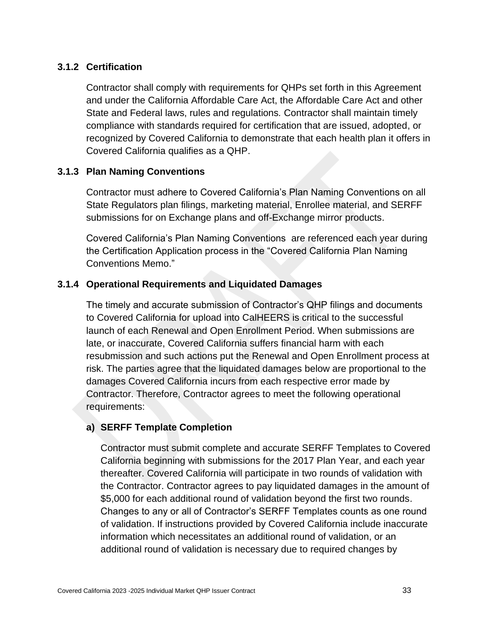### **3.1.2 Certification**

Contractor shall comply with requirements for QHPs set forth in this Agreement and under the California Affordable Care Act, the Affordable Care Act and other State and Federal laws, rules and regulations*.* Contractor shall maintain timely compliance with standards required for certification that are issued, adopted, or recognized by Covered California to demonstrate that each health plan it offers in Covered California qualifies as a QHP.

#### **3.1.3 Plan Naming Conventions**

Contractor must adhere to Covered California's Plan Naming Conventions on all State Regulators plan filings, marketing material, Enrollee material, and SERFF submissions for on Exchange plans and off-Exchange mirror products.

Covered California's Plan Naming Conventions are referenced each year during the Certification Application process in the "Covered California Plan Naming Conventions Memo."

#### **3.1.4 Operational Requirements and Liquidated Damages**

The timely and accurate submission of Contractor's QHP filings and documents to Covered California for upload into CalHEERS is critical to the successful launch of each Renewal and Open Enrollment Period. When submissions are late, or inaccurate, Covered California suffers financial harm with each resubmission and such actions put the Renewal and Open Enrollment process at risk. The parties agree that the liquidated damages below are proportional to the damages Covered California incurs from each respective error made by Contractor. Therefore, Contractor agrees to meet the following operational requirements:

#### **a) SERFF Template Completion**

Contractor must submit complete and accurate SERFF Templates to Covered California beginning with submissions for the 2017 Plan Year, and each year thereafter. Covered California will participate in two rounds of validation with the Contractor. Contractor agrees to pay liquidated damages in the amount of \$5,000 for each additional round of validation beyond the first two rounds. Changes to any or all of Contractor's SERFF Templates counts as one round of validation. If instructions provided by Covered California include inaccurate information which necessitates an additional round of validation, or an additional round of validation is necessary due to required changes by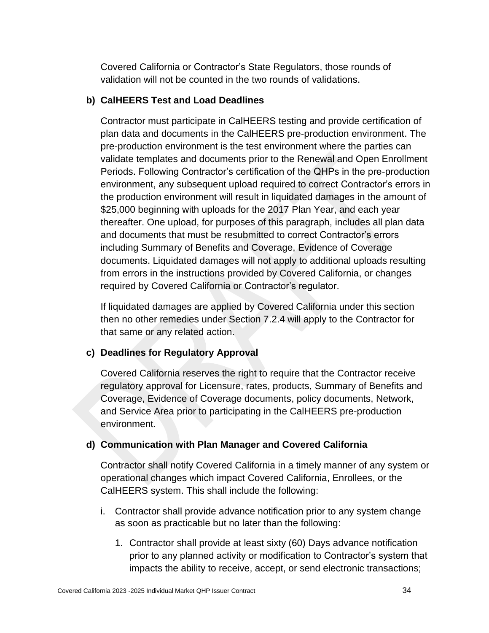Covered California or Contractor's State Regulators, those rounds of validation will not be counted in the two rounds of validations.

### **b) CalHEERS Test and Load Deadlines**

Contractor must participate in CalHEERS testing and provide certification of plan data and documents in the CalHEERS pre-production environment. The pre-production environment is the test environment where the parties can validate templates and documents prior to the Renewal and Open Enrollment Periods. Following Contractor's certification of the QHPs in the pre-production environment, any subsequent upload required to correct Contractor's errors in the production environment will result in liquidated damages in the amount of \$25,000 beginning with uploads for the 2017 Plan Year, and each year thereafter. One upload, for purposes of this paragraph, includes all plan data and documents that must be resubmitted to correct Contractor's errors including Summary of Benefits and Coverage, Evidence of Coverage documents. Liquidated damages will not apply to additional uploads resulting from errors in the instructions provided by Covered California, or changes required by Covered California or Contractor's regulator.

If liquidated damages are applied by Covered California under this section then no other remedies under Section 7.2.4 will apply to the Contractor for that same or any related action.

### **c) Deadlines for Regulatory Approval**

Covered California reserves the right to require that the Contractor receive regulatory approval for Licensure, rates, products, Summary of Benefits and Coverage, Evidence of Coverage documents, policy documents, Network, and Service Area prior to participating in the CalHEERS pre-production environment.

### **d) Communication with Plan Manager and Covered California**

Contractor shall notify Covered California in a timely manner of any system or operational changes which impact Covered California, Enrollees, or the CalHEERS system. This shall include the following:

- i. Contractor shall provide advance notification prior to any system change as soon as practicable but no later than the following:
	- 1. Contractor shall provide at least sixty (60) Days advance notification prior to any planned activity or modification to Contractor's system that impacts the ability to receive, accept, or send electronic transactions;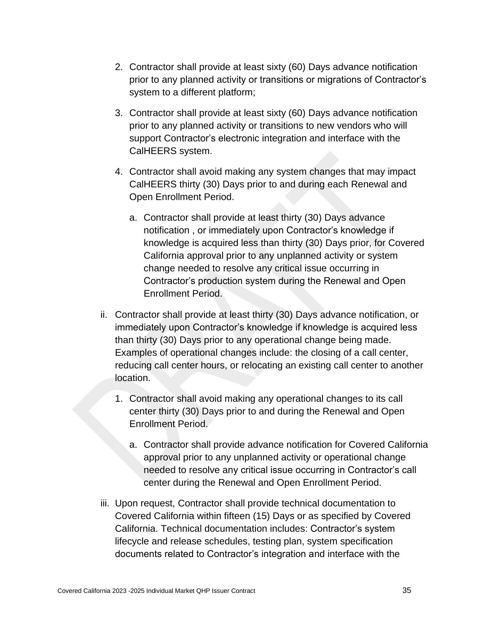- 2. Contractor shall provide at least sixty (60) Days advance notification prior to any planned activity or transitions or migrations of Contractor's system to a different platform;
- 3. Contractor shall provide at least sixty (60) Days advance notification prior to any planned activity or transitions to new vendors who will support Contractor's electronic integration and interface with the CalHEERS system.
- 4. Contractor shall avoid making any system changes that may impact CalHEERS thirty (30) Days prior to and during each Renewal and Open Enrollment Period.
	- a. Contractor shall provide at least thirty (30) Days advance notification , or immediately upon Contractor's knowledge if knowledge is acquired less than thirty (30) Days prior, for Covered California approval prior to any unplanned activity or system change needed to resolve any critical issue occurring in Contractor's production system during the Renewal and Open Enrollment Period.
- ii. Contractor shall provide at least thirty (30) Days advance notification, or immediately upon Contractor's knowledge if knowledge is acquired less than thirty (30) Days prior to any operational change being made. Examples of operational changes include: the closing of a call center, reducing call center hours, or relocating an existing call center to another location.
	- 1. Contractor shall avoid making any operational changes to its call center thirty (30) Days prior to and during the Renewal and Open Enrollment Period.
		- a. Contractor shall provide advance notification for Covered California approval prior to any unplanned activity or operational change needed to resolve any critical issue occurring in Contractor's call center during the Renewal and Open Enrollment Period.
- iii. Upon request, Contractor shall provide technical documentation to Covered California within fifteen (15) Days or as specified by Covered California. Technical documentation includes: Contractor's system lifecycle and release schedules, testing plan, system specification documents related to Contractor's integration and interface with the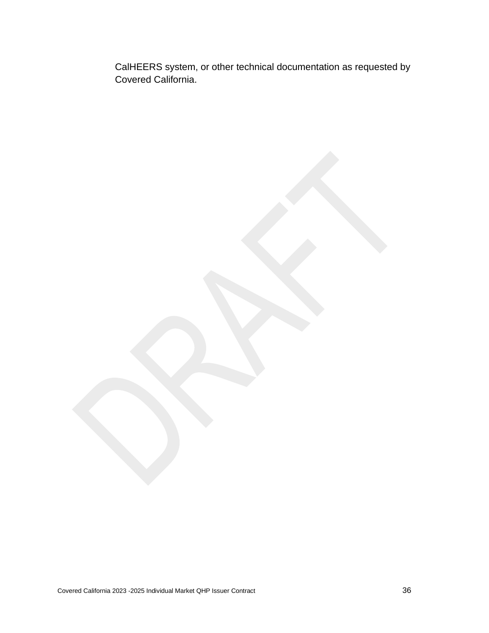CalHEERS system, or other technical documentation as requested by Covered California.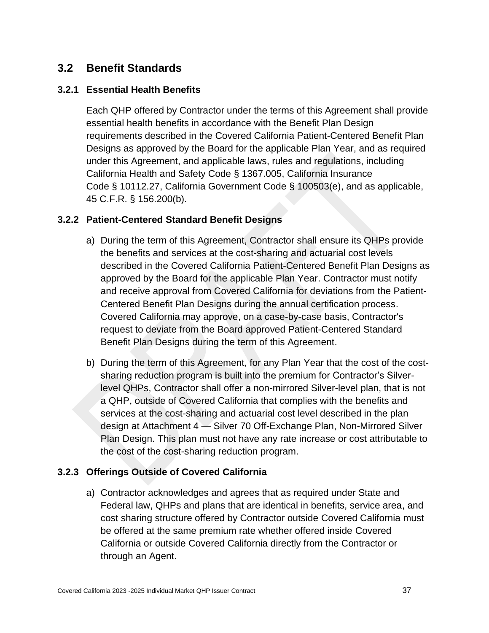# **3.2 Benefit Standards**

### **3.2.1 Essential Health Benefits**

Each QHP offered by Contractor under the terms of this Agreement shall provide essential health benefits in accordance with the Benefit Plan Design requirements described in the Covered California Patient-Centered Benefit Plan Designs as approved by the Board for the applicable Plan Year, and as required under this Agreement, and applicable laws, rules and regulations, including California Health and Safety Code § 1367.005, California Insurance Code § 10112.27, California Government Code § 100503(e), and as applicable, 45 C.F.R. § 156.200(b).

### **3.2.2 Patient-Centered Standard Benefit Designs**

- a) During the term of this Agreement, Contractor shall ensure its QHPs provide the benefits and services at the cost-sharing and actuarial cost levels described in the Covered California Patient-Centered Benefit Plan Designs as approved by the Board for the applicable Plan Year. Contractor must notify and receive approval from Covered California for deviations from the Patient-Centered Benefit Plan Designs during the annual certification process. Covered California may approve, on a case-by-case basis, Contractor's request to deviate from the Board approved Patient-Centered Standard Benefit Plan Designs during the term of this Agreement.
- b) During the term of this Agreement, for any Plan Year that the cost of the costsharing reduction program is built into the premium for Contractor's Silverlevel QHPs, Contractor shall offer a non-mirrored Silver-level plan, that is not a QHP, outside of Covered California that complies with the benefits and services at the cost-sharing and actuarial cost level described in the plan design at Attachment 4 — Silver 70 Off-Exchange Plan, Non-Mirrored Silver Plan Design. This plan must not have any rate increase or cost attributable to the cost of the cost-sharing reduction program.

### **3.2.3 Offerings Outside of Covered California**

a) Contractor acknowledges and agrees that as required under State and Federal law, QHPs and plans that are identical in benefits, service area, and cost sharing structure offered by Contractor outside Covered California must be offered at the same premium rate whether offered inside Covered California or outside Covered California directly from the Contractor or through an Agent.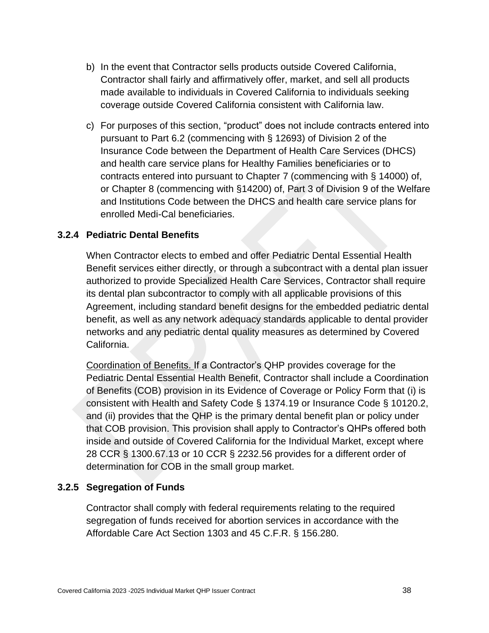- b) In the event that Contractor sells products outside Covered California, Contractor shall fairly and affirmatively offer, market, and sell all products made available to individuals in Covered California to individuals seeking coverage outside Covered California consistent with California law.
- c) For purposes of this section, "product" does not include contracts entered into pursuant to Part 6.2 (commencing with § 12693) of Division 2 of the Insurance Code between the Department of Health Care Services (DHCS) and health care service plans for Healthy Families beneficiaries or to contracts entered into pursuant to Chapter 7 (commencing with § 14000) of, or Chapter 8 (commencing with §14200) of, Part 3 of Division 9 of the Welfare and Institutions Code between the DHCS and health care service plans for enrolled Medi-Cal beneficiaries.

### **3.2.4 Pediatric Dental Benefits**

When Contractor elects to embed and offer Pediatric Dental Essential Health Benefit services either directly, or through a subcontract with a dental plan issuer authorized to provide Specialized Health Care Services, Contractor shall require its dental plan subcontractor to comply with all applicable provisions of this Agreement, including standard benefit designs for the embedded pediatric dental benefit, as well as any network adequacy standards applicable to dental provider networks and any pediatric dental quality measures as determined by Covered California.

Coordination of Benefits. If a Contractor's QHP provides coverage for the Pediatric Dental Essential Health Benefit, Contractor shall include a Coordination of Benefits (COB) provision in its Evidence of Coverage or Policy Form that (i) is consistent with Health and Safety Code § 1374.19 or Insurance Code § 10120.2, and (ii) provides that the QHP is the primary dental benefit plan or policy under that COB provision. This provision shall apply to Contractor's QHPs offered both inside and outside of Covered California for the Individual Market, except where 28 CCR § 1300.67.13 or 10 CCR § 2232.56 provides for a different order of determination for COB in the small group market.

### **3.2.5 Segregation of Funds**

Contractor shall comply with federal requirements relating to the required segregation of funds received for abortion services in accordance with the Affordable Care Act Section 1303 and 45 C.F.R. § 156.280.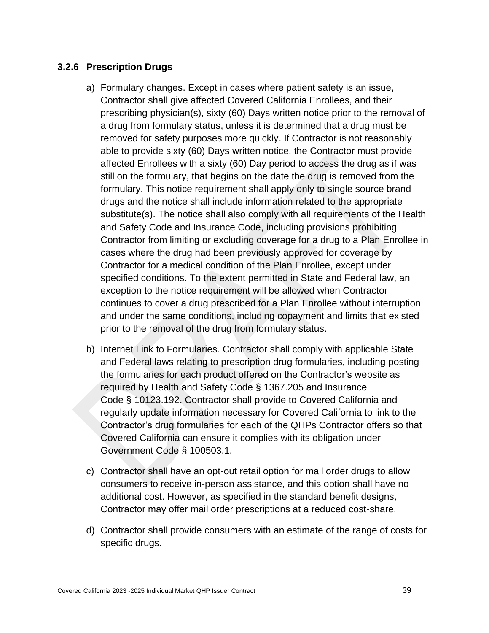### **3.2.6 Prescription Drugs**

- a) Formulary changes. Except in cases where patient safety is an issue, Contractor shall give affected Covered California Enrollees, and their prescribing physician(s), sixty (60) Days written notice prior to the removal of a drug from formulary status, unless it is determined that a drug must be removed for safety purposes more quickly. If Contractor is not reasonably able to provide sixty (60) Days written notice, the Contractor must provide affected Enrollees with a sixty (60) Day period to access the drug as if was still on the formulary, that begins on the date the drug is removed from the formulary. This notice requirement shall apply only to single source brand drugs and the notice shall include information related to the appropriate substitute(s). The notice shall also comply with all requirements of the Health and Safety Code and Insurance Code, including provisions prohibiting Contractor from limiting or excluding coverage for a drug to a Plan Enrollee in cases where the drug had been previously approved for coverage by Contractor for a medical condition of the Plan Enrollee, except under specified conditions. To the extent permitted in State and Federal law, an exception to the notice requirement will be allowed when Contractor continues to cover a drug prescribed for a Plan Enrollee without interruption and under the same conditions, including copayment and limits that existed prior to the removal of the drug from formulary status.
- b) Internet Link to Formularies. Contractor shall comply with applicable State and Federal laws relating to prescription drug formularies, including posting the formularies for each product offered on the Contractor's website as required by Health and Safety Code § 1367.205 and Insurance Code § 10123.192. Contractor shall provide to Covered California and regularly update information necessary for Covered California to link to the Contractor's drug formularies for each of the QHPs Contractor offers so that Covered California can ensure it complies with its obligation under Government Code § 100503.1.
- c) Contractor shall have an opt-out retail option for mail order drugs to allow consumers to receive in-person assistance, and this option shall have no additional cost. However, as specified in the standard benefit designs, Contractor may offer mail order prescriptions at a reduced cost-share.
- d) Contractor shall provide consumers with an estimate of the range of costs for specific drugs.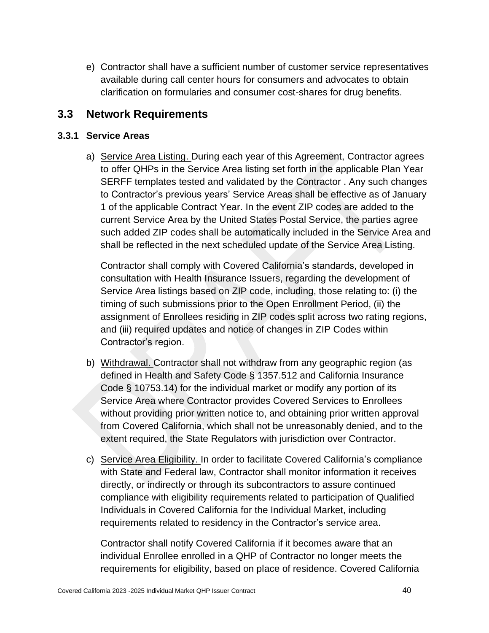e) Contractor shall have a sufficient number of customer service representatives available during call center hours for consumers and advocates to obtain clarification on formularies and consumer cost-shares for drug benefits.

## **3.3 Network Requirements**

### **3.3.1 Service Areas**

a) Service Area Listing. During each year of this Agreement, Contractor agrees to offer QHPs in the Service Area listing set forth in the applicable Plan Year SERFF templates tested and validated by the Contractor . Any such changes to Contractor's previous years' Service Areas shall be effective as of January 1 of the applicable Contract Year. In the event ZIP codes are added to the current Service Area by the United States Postal Service, the parties agree such added ZIP codes shall be automatically included in the Service Area and shall be reflected in the next scheduled update of the Service Area Listing.

Contractor shall comply with Covered California's standards, developed in consultation with Health Insurance Issuers, regarding the development of Service Area listings based on ZIP code, including, those relating to: (i) the timing of such submissions prior to the Open Enrollment Period, (ii) the assignment of Enrollees residing in ZIP codes split across two rating regions, and (iii) required updates and notice of changes in ZIP Codes within Contractor's region.

- b) Withdrawal. Contractor shall not withdraw from any geographic region (as defined in Health and Safety Code § 1357.512 and California Insurance Code § 10753.14) for the individual market or modify any portion of its Service Area where Contractor provides Covered Services to Enrollees without providing prior written notice to, and obtaining prior written approval from Covered California, which shall not be unreasonably denied, and to the extent required, the State Regulators with jurisdiction over Contractor.
- c) Service Area Eligibility. In order to facilitate Covered California's compliance with State and Federal law, Contractor shall monitor information it receives directly, or indirectly or through its subcontractors to assure continued compliance with eligibility requirements related to participation of Qualified Individuals in Covered California for the Individual Market, including requirements related to residency in the Contractor's service area.

Contractor shall notify Covered California if it becomes aware that an individual Enrollee enrolled in a QHP of Contractor no longer meets the requirements for eligibility, based on place of residence. Covered California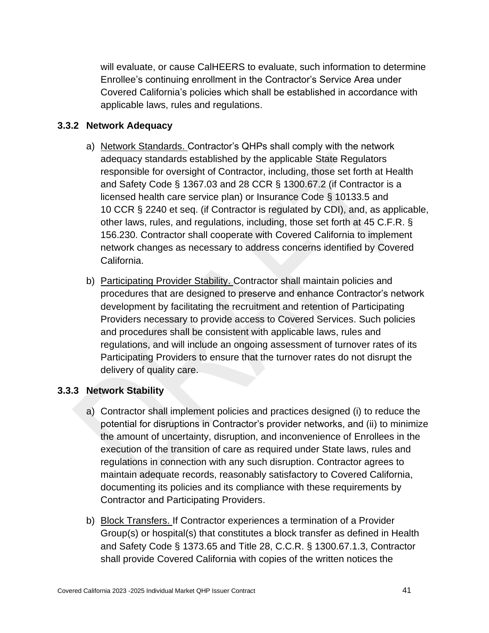will evaluate, or cause CalHEERS to evaluate, such information to determine Enrollee's continuing enrollment in the Contractor's Service Area under Covered California's policies which shall be established in accordance with applicable laws, rules and regulations.

### **3.3.2 Network Adequacy**

- a) Network Standards. Contractor's QHPs shall comply with the network adequacy standards established by the applicable State Regulators responsible for oversight of Contractor, including, those set forth at Health and Safety Code § 1367.03 and 28 CCR § 1300.67.2 (if Contractor is a licensed health care service plan) or Insurance Code § 10133.5 and 10 CCR § 2240 et seq. (if Contractor is regulated by CDI), and, as applicable, other laws, rules, and regulations, including, those set forth at 45 C.F.R. § 156.230. Contractor shall cooperate with Covered California to implement network changes as necessary to address concerns identified by Covered California.
- b) Participating Provider Stability. Contractor shall maintain policies and procedures that are designed to preserve and enhance Contractor's network development by facilitating the recruitment and retention of Participating Providers necessary to provide access to Covered Services. Such policies and procedures shall be consistent with applicable laws, rules and regulations, and will include an ongoing assessment of turnover rates of its Participating Providers to ensure that the turnover rates do not disrupt the delivery of quality care.

### **3.3.3 Network Stability**

- a) Contractor shall implement policies and practices designed (i) to reduce the potential for disruptions in Contractor's provider networks, and (ii) to minimize the amount of uncertainty, disruption, and inconvenience of Enrollees in the execution of the transition of care as required under State laws, rules and regulations in connection with any such disruption. Contractor agrees to maintain adequate records, reasonably satisfactory to Covered California, documenting its policies and its compliance with these requirements by Contractor and Participating Providers.
- b) Block Transfers. If Contractor experiences a termination of a Provider Group(s) or hospital(s) that constitutes a block transfer as defined in Health and Safety Code § 1373.65 and Title 28, C.C.R. § 1300.67.1.3, Contractor shall provide Covered California with copies of the written notices the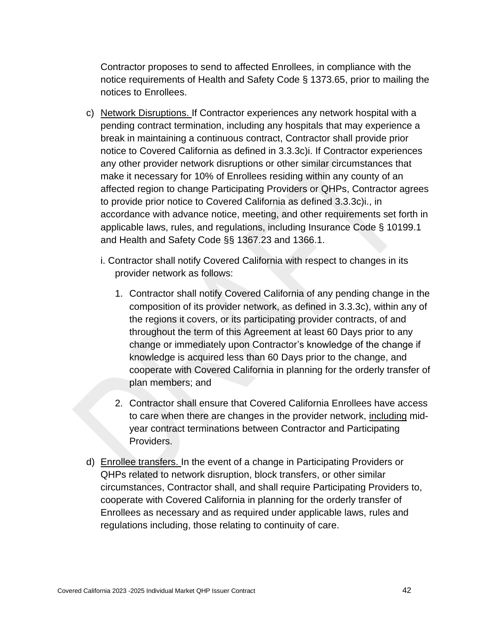Contractor proposes to send to affected Enrollees, in compliance with the notice requirements of Health and Safety Code § 1373.65, prior to mailing the notices to Enrollees.

- c) Network Disruptions. If Contractor experiences any network hospital with a pending contract termination, including any hospitals that may experience a break in maintaining a continuous contract, Contractor shall provide prior notice to Covered California as defined in 3.3.3c)i. If Contractor experiences any other provider network disruptions or other similar circumstances that make it necessary for 10% of Enrollees residing within any county of an affected region to change Participating Providers or QHPs, Contractor agrees to provide prior notice to Covered California as defined 3.3.3c)i., in accordance with advance notice, meeting, and other requirements set forth in applicable laws, rules, and regulations, including Insurance Code § 10199.1 and Health and Safety Code §§ 1367.23 and 1366.1.
	- i. Contractor shall notify Covered California with respect to changes in its provider network as follows:
		- 1. Contractor shall notify Covered California of any pending change in the composition of its provider network, as defined in 3.3.3c), within any of the regions it covers, or its participating provider contracts, of and throughout the term of this Agreement at least 60 Days prior to any change or immediately upon Contractor's knowledge of the change if knowledge is acquired less than 60 Days prior to the change, and cooperate with Covered California in planning for the orderly transfer of plan members; and
		- 2. Contractor shall ensure that Covered California Enrollees have access to care when there are changes in the provider network, including midyear contract terminations between Contractor and Participating Providers.
- d) Enrollee transfers. In the event of a change in Participating Providers or QHPs related to network disruption, block transfers, or other similar circumstances, Contractor shall, and shall require Participating Providers to, cooperate with Covered California in planning for the orderly transfer of Enrollees as necessary and as required under applicable laws, rules and regulations including, those relating to continuity of care.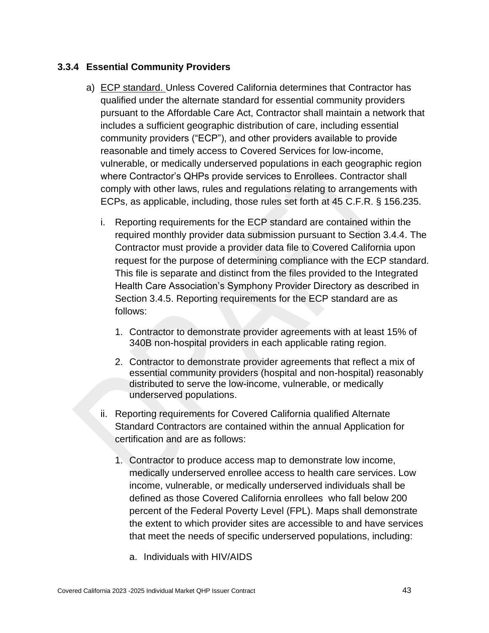### **3.3.4 Essential Community Providers**

- a) ECP standard. Unless Covered California determines that Contractor has qualified under the alternate standard for essential community providers pursuant to the Affordable Care Act, Contractor shall maintain a network that includes a sufficient geographic distribution of care, including essential community providers ("ECP"), and other providers available to provide reasonable and timely access to Covered Services for low-income, vulnerable, or medically underserved populations in each geographic region where Contractor's QHPs provide services to Enrollees. Contractor shall comply with other laws, rules and regulations relating to arrangements with ECPs, as applicable, including, those rules set forth at 45 C.F.R. § 156.235.
	- i. Reporting requirements for the ECP standard are contained within the required monthly provider data submission pursuant to Section 3.4.4. The Contractor must provide a provider data file to Covered California upon request for the purpose of determining compliance with the ECP standard. This file is separate and distinct from the files provided to the Integrated Health Care Association's Symphony Provider Directory as described in Section 3.4.5. Reporting requirements for the ECP standard are as follows:
		- 1. Contractor to demonstrate provider agreements with at least 15% of 340B non-hospital providers in each applicable rating region.
		- 2. Contractor to demonstrate provider agreements that reflect a mix of essential community providers (hospital and non-hospital) reasonably distributed to serve the low-income, vulnerable, or medically underserved populations.
	- ii. Reporting requirements for Covered California qualified Alternate Standard Contractors are contained within the annual Application for certification and are as follows:
		- 1. Contractor to produce access map to demonstrate low income, medically underserved enrollee access to health care services. Low income, vulnerable, or medically underserved individuals shall be defined as those Covered California enrollees who fall below 200 percent of the Federal Poverty Level (FPL). Maps shall demonstrate the extent to which provider sites are accessible to and have services that meet the needs of specific underserved populations, including:
			- a. Individuals with HIV/AIDS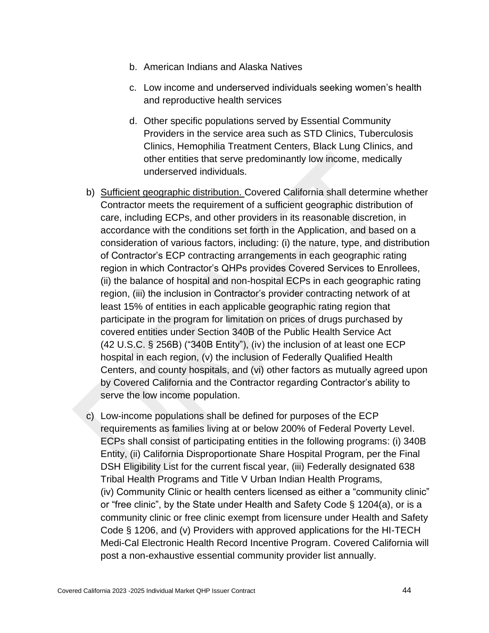- b. American Indians and Alaska Natives
- c. Low income and underserved individuals seeking women's health and reproductive health services
- d. Other specific populations served by Essential Community Providers in the service area such as STD Clinics, Tuberculosis Clinics, Hemophilia Treatment Centers, Black Lung Clinics, and other entities that serve predominantly low income, medically underserved individuals.
- b) Sufficient geographic distribution. Covered California shall determine whether Contractor meets the requirement of a sufficient geographic distribution of care, including ECPs, and other providers in its reasonable discretion, in accordance with the conditions set forth in the Application, and based on a consideration of various factors, including: (i) the nature, type, and distribution of Contractor's ECP contracting arrangements in each geographic rating region in which Contractor's QHPs provides Covered Services to Enrollees, (ii) the balance of hospital and non-hospital ECPs in each geographic rating region, (iii) the inclusion in Contractor's provider contracting network of at least 15% of entities in each applicable geographic rating region that participate in the program for limitation on prices of drugs purchased by covered entities under Section 340B of the Public Health Service Act (42 U.S.C. § 256B) ("340B Entity"), (iv) the inclusion of at least one ECP hospital in each region, (v) the inclusion of Federally Qualified Health Centers, and county hospitals, and (vi) other factors as mutually agreed upon by Covered California and the Contractor regarding Contractor's ability to serve the low income population.
- c) Low-income populations shall be defined for purposes of the ECP requirements as families living at or below 200% of Federal Poverty Level. ECPs shall consist of participating entities in the following programs: (i) 340B Entity, (ii) California Disproportionate Share Hospital Program, per the Final DSH Eligibility List for the current fiscal year, (iii) Federally designated 638 Tribal Health Programs and Title V Urban Indian Health Programs, (iv) Community Clinic or health centers licensed as either a "community clinic" or "free clinic", by the State under Health and Safety Code § 1204(a), or is a community clinic or free clinic exempt from licensure under Health and Safety Code § 1206, and (v) Providers with approved applications for the HI-TECH Medi-Cal Electronic Health Record Incentive Program. Covered California will post a non-exhaustive essential community provider list annually.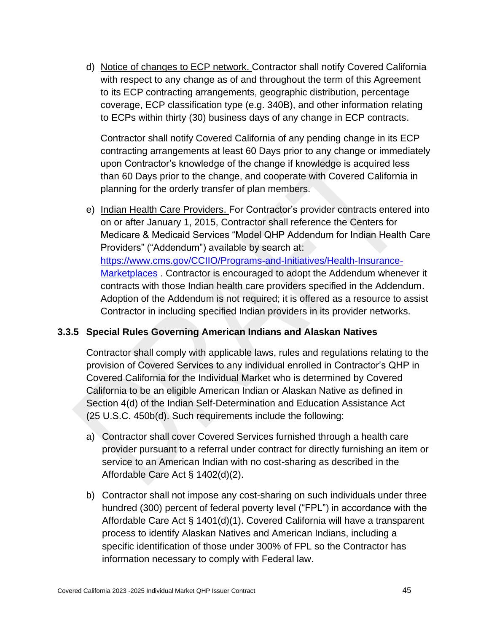d) Notice of changes to ECP network. Contractor shall notify Covered California with respect to any change as of and throughout the term of this Agreement to its ECP contracting arrangements, geographic distribution, percentage coverage, ECP classification type (e.g. 340B), and other information relating to ECPs within thirty (30) business days of any change in ECP contracts.

Contractor shall notify Covered California of any pending change in its ECP contracting arrangements at least 60 Days prior to any change or immediately upon Contractor's knowledge of the change if knowledge is acquired less than 60 Days prior to the change, and cooperate with Covered California in planning for the orderly transfer of plan members.

e) Indian Health Care Providers. For Contractor's provider contracts entered into on or after January 1, 2015, Contractor shall reference the Centers for Medicare & Medicaid Services "Model QHP Addendum for Indian Health Care Providers" ("Addendum") available by search at: [https://www.cms.gov/CCIIO/Programs-and-Initiatives/Health-Insurance-](https://www.cms.gov/CCIIO/Programs-and-Initiatives/Health-Insurance-Marketplaces)[Marketplaces](https://www.cms.gov/CCIIO/Programs-and-Initiatives/Health-Insurance-Marketplaces) . Contractor is encouraged to adopt the Addendum whenever it contracts with those Indian health care providers specified in the Addendum. Adoption of the Addendum is not required; it is offered as a resource to assist Contractor in including specified Indian providers in its provider networks.

### **3.3.5 Special Rules Governing American Indians and Alaskan Natives**

Contractor shall comply with applicable laws, rules and regulations relating to the provision of Covered Services to any individual enrolled in Contractor's QHP in Covered California for the Individual Market who is determined by Covered California to be an eligible American Indian or Alaskan Native as defined in Section 4(d) of the Indian Self-Determination and Education Assistance Act (25 U.S.C. 450b(d). Such requirements include the following:

- a) Contractor shall cover Covered Services furnished through a health care provider pursuant to a referral under contract for directly furnishing an item or service to an American Indian with no cost-sharing as described in the Affordable Care Act § 1402(d)(2).
- b) Contractor shall not impose any cost-sharing on such individuals under three hundred (300) percent of federal poverty level ("FPL") in accordance with the Affordable Care Act § 1401(d)(1). Covered California will have a transparent process to identify Alaskan Natives and American Indians, including a specific identification of those under 300% of FPL so the Contractor has information necessary to comply with Federal law.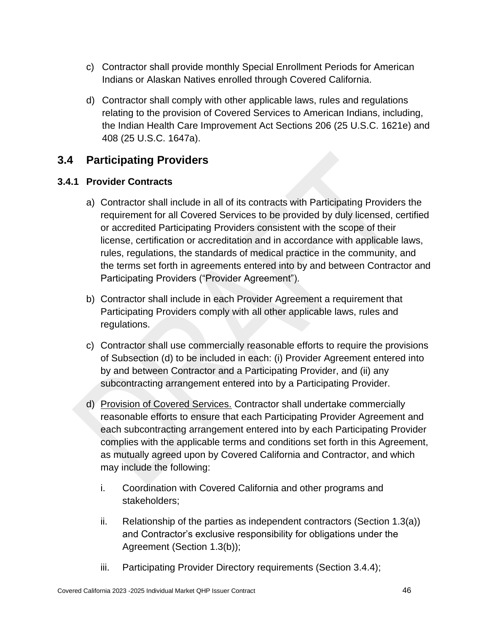- c) Contractor shall provide monthly Special Enrollment Periods for American Indians or Alaskan Natives enrolled through Covered California.
- d) Contractor shall comply with other applicable laws, rules and regulations relating to the provision of Covered Services to American Indians, including, the Indian Health Care Improvement Act Sections 206 (25 U.S.C. 1621e) and 408 (25 U.S.C. 1647a).

## **3.4 Participating Providers**

### **3.4.1 Provider Contracts**

- a) Contractor shall include in all of its contracts with Participating Providers the requirement for all Covered Services to be provided by duly licensed, certified or accredited Participating Providers consistent with the scope of their license, certification or accreditation and in accordance with applicable laws, rules, regulations, the standards of medical practice in the community, and the terms set forth in agreements entered into by and between Contractor and Participating Providers ("Provider Agreement").
- b) Contractor shall include in each Provider Agreement a requirement that Participating Providers comply with all other applicable laws, rules and regulations.
- c) Contractor shall use commercially reasonable efforts to require the provisions of Subsection (d) to be included in each: (i) Provider Agreement entered into by and between Contractor and a Participating Provider, and (ii) any subcontracting arrangement entered into by a Participating Provider.
- d) Provision of Covered Services. Contractor shall undertake commercially reasonable efforts to ensure that each Participating Provider Agreement and each subcontracting arrangement entered into by each Participating Provider complies with the applicable terms and conditions set forth in this Agreement, as mutually agreed upon by Covered California and Contractor, and which may include the following:
	- i. Coordination with Covered California and other programs and stakeholders;
	- ii. Relationship of the parties as independent contractors (Section 1.3(a)) and Contractor's exclusive responsibility for obligations under the Agreement (Section 1.3(b));
	- iii. Participating Provider Directory requirements (Section 3.4.4);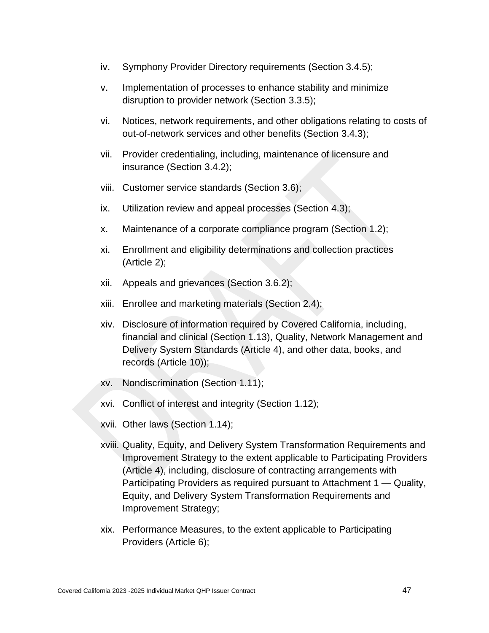- iv. Symphony Provider Directory requirements (Section 3.4.5);
- v. Implementation of processes to enhance stability and minimize disruption to provider network (Section 3.3.5);
- vi. Notices, network requirements, and other obligations relating to costs of out-of-network services and other benefits (Section 3.4.3);
- vii. Provider credentialing, including, maintenance of licensure and insurance (Section 3.4.2);
- viii. Customer service standards (Section 3.6);
- ix. Utilization review and appeal processes (Section 4.3);
- x. Maintenance of a corporate compliance program (Section 1.2);
- xi. Enrollment and eligibility determinations and collection practices (Article 2);
- xii. Appeals and grievances (Section 3.6.2);
- xiii. Enrollee and marketing materials (Section 2.4);
- xiv. Disclosure of information required by Covered California, including, financial and clinical (Section 1.13), Quality, Network Management and Delivery System Standards (Article 4), and other data, books, and records (Article 10));
- xv. Nondiscrimination (Section 1.11);
- xvi. Conflict of interest and integrity (Section 1.12);
- xvii. Other laws (Section 1.14);
- xviii. Quality, Equity, and Delivery System Transformation Requirements and Improvement Strategy to the extent applicable to Participating Providers (Article 4), including, disclosure of contracting arrangements with Participating Providers as required pursuant to Attachment 1 — Quality, Equity, and Delivery System Transformation Requirements and Improvement Strategy;
- xix. Performance Measures, to the extent applicable to Participating Providers (Article 6);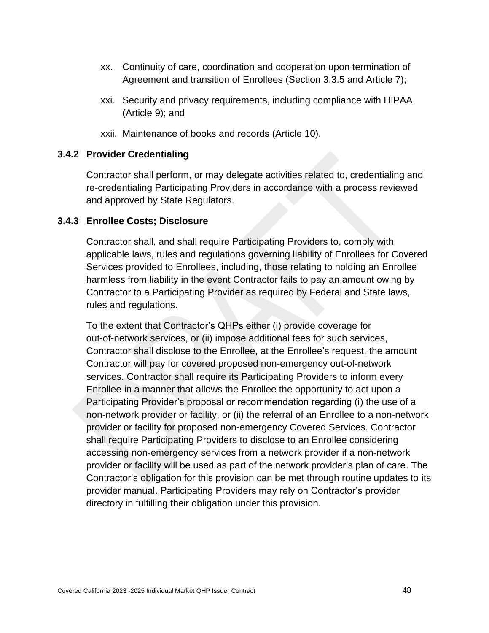- xx. Continuity of care, coordination and cooperation upon termination of Agreement and transition of Enrollees (Section 3.3.5 and Article 7);
- xxi. Security and privacy requirements, including compliance with HIPAA (Article 9); and
- xxii. Maintenance of books and records (Article 10).

#### **3.4.2 Provider Credentialing**

Contractor shall perform, or may delegate activities related to, credentialing and re-credentialing Participating Providers in accordance with a process reviewed and approved by State Regulators.

#### **3.4.3 Enrollee Costs; Disclosure**

Contractor shall, and shall require Participating Providers to, comply with applicable laws, rules and regulations governing liability of Enrollees for Covered Services provided to Enrollees, including, those relating to holding an Enrollee harmless from liability in the event Contractor fails to pay an amount owing by Contractor to a Participating Provider as required by Federal and State laws, rules and regulations.

To the extent that Contractor's QHPs either (i) provide coverage for out-of-network services, or (ii) impose additional fees for such services, Contractor shall disclose to the Enrollee, at the Enrollee's request, the amount Contractor will pay for covered proposed non-emergency out-of-network services. Contractor shall require its Participating Providers to inform every Enrollee in a manner that allows the Enrollee the opportunity to act upon a Participating Provider's proposal or recommendation regarding (i) the use of a non-network provider or facility, or (ii) the referral of an Enrollee to a non-network provider or facility for proposed non-emergency Covered Services. Contractor shall require Participating Providers to disclose to an Enrollee considering accessing non-emergency services from a network provider if a non-network provider or facility will be used as part of the network provider's plan of care. The Contractor's obligation for this provision can be met through routine updates to its provider manual. Participating Providers may rely on Contractor's provider directory in fulfilling their obligation under this provision.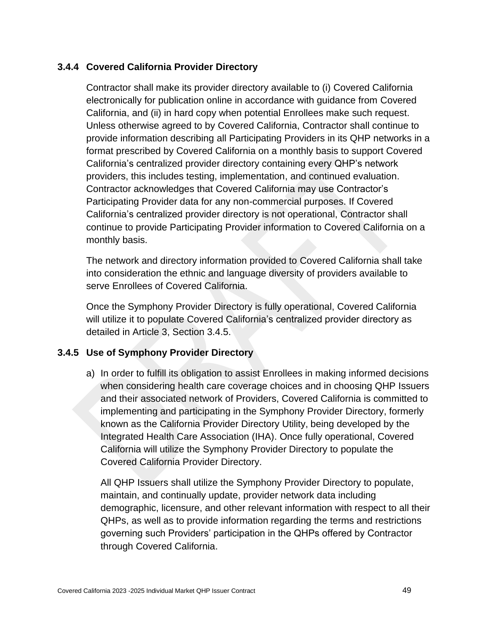### **3.4.4 Covered California Provider Directory**

Contractor shall make its provider directory available to (i) Covered California electronically for publication online in accordance with guidance from Covered California, and (ii) in hard copy when potential Enrollees make such request. Unless otherwise agreed to by Covered California, Contractor shall continue to provide information describing all Participating Providers in its QHP networks in a format prescribed by Covered California on a monthly basis to support Covered California's centralized provider directory containing every QHP's network providers, this includes testing, implementation, and continued evaluation. Contractor acknowledges that Covered California may use Contractor's Participating Provider data for any non-commercial purposes. If Covered California's centralized provider directory is not operational, Contractor shall continue to provide Participating Provider information to Covered California on a monthly basis.

The network and directory information provided to Covered California shall take into consideration the ethnic and language diversity of providers available to serve Enrollees of Covered California.

Once the Symphony Provider Directory is fully operational, Covered California will utilize it to populate Covered California's centralized provider directory as detailed in Article 3, Section 3.4.5.

### **3.4.5 Use of Symphony Provider Directory**

a) In order to fulfill its obligation to assist Enrollees in making informed decisions when considering health care coverage choices and in choosing QHP Issuers and their associated network of Providers, Covered California is committed to implementing and participating in the Symphony Provider Directory, formerly known as the California Provider Directory Utility, being developed by the Integrated Health Care Association (IHA). Once fully operational, Covered California will utilize the Symphony Provider Directory to populate the Covered California Provider Directory.

All QHP Issuers shall utilize the Symphony Provider Directory to populate, maintain, and continually update, provider network data including demographic, licensure, and other relevant information with respect to all their QHPs, as well as to provide information regarding the terms and restrictions governing such Providers' participation in the QHPs offered by Contractor through Covered California.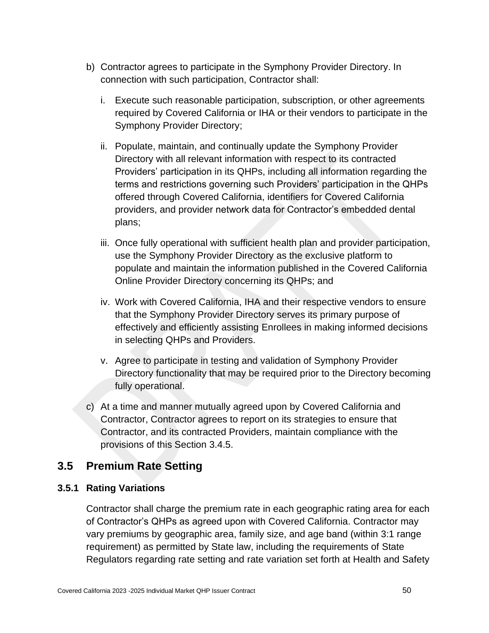- b) Contractor agrees to participate in the Symphony Provider Directory. In connection with such participation, Contractor shall:
	- i. Execute such reasonable participation, subscription, or other agreements required by Covered California or IHA or their vendors to participate in the Symphony Provider Directory;
	- ii. Populate, maintain, and continually update the Symphony Provider Directory with all relevant information with respect to its contracted Providers' participation in its QHPs, including all information regarding the terms and restrictions governing such Providers' participation in the QHPs offered through Covered California, identifiers for Covered California providers, and provider network data for Contractor's embedded dental plans;
	- iii. Once fully operational with sufficient health plan and provider participation, use the Symphony Provider Directory as the exclusive platform to populate and maintain the information published in the Covered California Online Provider Directory concerning its QHPs; and
	- iv. Work with Covered California, IHA and their respective vendors to ensure that the Symphony Provider Directory serves its primary purpose of effectively and efficiently assisting Enrollees in making informed decisions in selecting QHPs and Providers.
	- v. Agree to participate in testing and validation of Symphony Provider Directory functionality that may be required prior to the Directory becoming fully operational.
- c) At a time and manner mutually agreed upon by Covered California and Contractor, Contractor agrees to report on its strategies to ensure that Contractor, and its contracted Providers, maintain compliance with the provisions of this Section 3.4.5.

# **3.5 Premium Rate Setting**

### **3.5.1 Rating Variations**

Contractor shall charge the premium rate in each geographic rating area for each of Contractor's QHPs as agreed upon with Covered California. Contractor may vary premiums by geographic area, family size, and age band (within 3:1 range requirement) as permitted by State law, including the requirements of State Regulators regarding rate setting and rate variation set forth at Health and Safety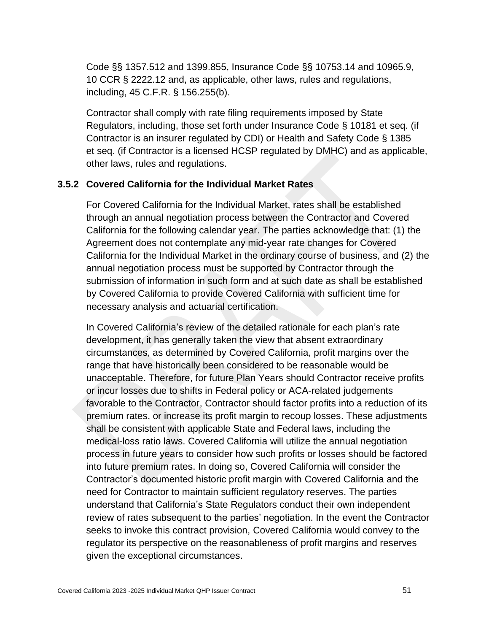Code §§ 1357.512 and 1399.855, Insurance Code §§ 10753.14 and 10965.9, 10 CCR § 2222.12 and, as applicable, other laws, rules and regulations, including, 45 C.F.R. § 156.255(b).

Contractor shall comply with rate filing requirements imposed by State Regulators, including, those set forth under Insurance Code § 10181 et seq. (if Contractor is an insurer regulated by CDI) or Health and Safety Code § 1385 et seq. (if Contractor is a licensed HCSP regulated by DMHC) and as applicable, other laws, rules and regulations.

### **3.5.2 Covered California for the Individual Market Rates**

For Covered California for the Individual Market, rates shall be established through an annual negotiation process between the Contractor and Covered California for the following calendar year. The parties acknowledge that: (1) the Agreement does not contemplate any mid-year rate changes for Covered California for the Individual Market in the ordinary course of business, and (2) the annual negotiation process must be supported by Contractor through the submission of information in such form and at such date as shall be established by Covered California to provide Covered California with sufficient time for necessary analysis and actuarial certification.

In Covered California's review of the detailed rationale for each plan's rate development, it has generally taken the view that absent extraordinary circumstances, as determined by Covered California, profit margins over the range that have historically been considered to be reasonable would be unacceptable. Therefore, for future Plan Years should Contractor receive profits or incur losses due to shifts in Federal policy or ACA-related judgements favorable to the Contractor, Contractor should factor profits into a reduction of its premium rates, or increase its profit margin to recoup losses. These adjustments shall be consistent with applicable State and Federal laws, including the medical-loss ratio laws. Covered California will utilize the annual negotiation process in future years to consider how such profits or losses should be factored into future premium rates. In doing so, Covered California will consider the Contractor's documented historic profit margin with Covered California and the need for Contractor to maintain sufficient regulatory reserves. The parties understand that California's State Regulators conduct their own independent review of rates subsequent to the parties' negotiation. In the event the Contractor seeks to invoke this contract provision, Covered California would convey to the regulator its perspective on the reasonableness of profit margins and reserves given the exceptional circumstances.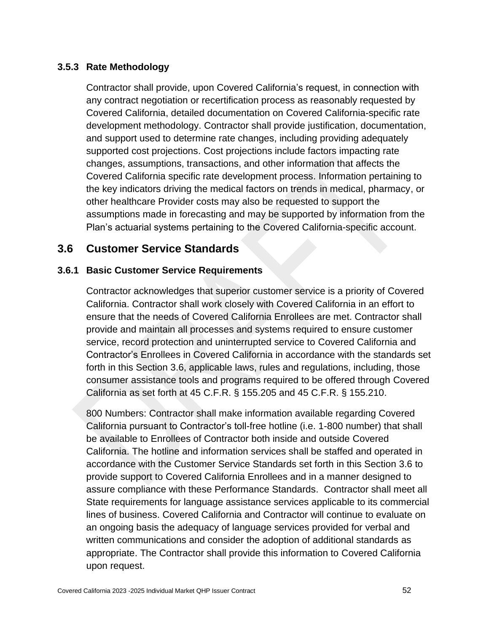### **3.5.3 Rate Methodology**

Contractor shall provide, upon Covered California's request, in connection with any contract negotiation or recertification process as reasonably requested by Covered California, detailed documentation on Covered California-specific rate development methodology. Contractor shall provide justification, documentation, and support used to determine rate changes, including providing adequately supported cost projections. Cost projections include factors impacting rate changes, assumptions, transactions, and other information that affects the Covered California specific rate development process. Information pertaining to the key indicators driving the medical factors on trends in medical, pharmacy, or other healthcare Provider costs may also be requested to support the assumptions made in forecasting and may be supported by information from the Plan's actuarial systems pertaining to the Covered California-specific account.

### **3.6 Customer Service Standards**

#### **3.6.1 Basic Customer Service Requirements**

Contractor acknowledges that superior customer service is a priority of Covered California. Contractor shall work closely with Covered California in an effort to ensure that the needs of Covered California Enrollees are met. Contractor shall provide and maintain all processes and systems required to ensure customer service, record protection and uninterrupted service to Covered California and Contractor's Enrollees in Covered California in accordance with the standards set forth in this Section 3.6, applicable laws, rules and regulations, including, those consumer assistance tools and programs required to be offered through Covered California as set forth at 45 C.F.R. § 155.205 and 45 C.F.R. § 155.210.

800 Numbers: Contractor shall make information available regarding Covered California pursuant to Contractor's toll-free hotline (i.e. 1-800 number) that shall be available to Enrollees of Contractor both inside and outside Covered California. The hotline and information services shall be staffed and operated in accordance with the Customer Service Standards set forth in this Section 3.6 to provide support to Covered California Enrollees and in a manner designed to assure compliance with these Performance Standards. Contractor shall meet all State requirements for language assistance services applicable to its commercial lines of business. Covered California and Contractor will continue to evaluate on an ongoing basis the adequacy of language services provided for verbal and written communications and consider the adoption of additional standards as appropriate. The Contractor shall provide this information to Covered California upon request.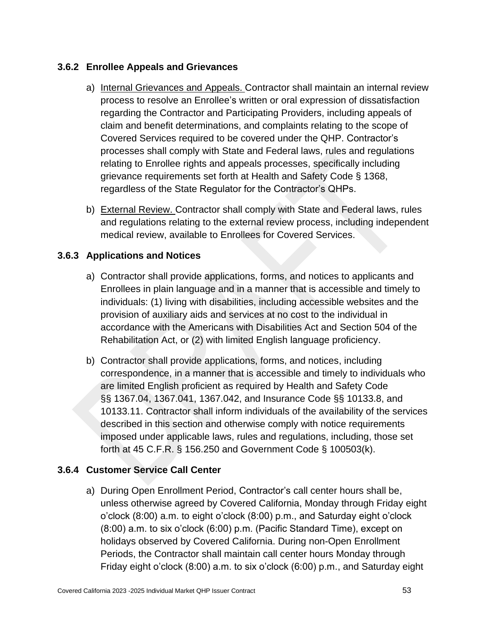### **3.6.2 Enrollee Appeals and Grievances**

- a) Internal Grievances and Appeals. Contractor shall maintain an internal review process to resolve an Enrollee's written or oral expression of dissatisfaction regarding the Contractor and Participating Providers, including appeals of claim and benefit determinations, and complaints relating to the scope of Covered Services required to be covered under the QHP. Contractor's processes shall comply with State and Federal laws, rules and regulations relating to Enrollee rights and appeals processes, specifically including grievance requirements set forth at Health and Safety Code § 1368, regardless of the State Regulator for the Contractor's QHPs.
- b) External Review. Contractor shall comply with State and Federal laws, rules and regulations relating to the external review process, including independent medical review, available to Enrollees for Covered Services.

### **3.6.3 Applications and Notices**

- a) Contractor shall provide applications, forms, and notices to applicants and Enrollees in plain language and in a manner that is accessible and timely to individuals: (1) living with disabilities, including accessible websites and the provision of auxiliary aids and services at no cost to the individual in accordance with the Americans with Disabilities Act and Section 504 of the Rehabilitation Act, or (2) with limited English language proficiency.
- b) Contractor shall provide applications, forms, and notices, including correspondence, in a manner that is accessible and timely to individuals who are limited English proficient as required by Health and Safety Code §§ 1367.04, 1367.041, 1367.042, and Insurance Code §§ 10133.8, and 10133.11. Contractor shall inform individuals of the availability of the services described in this section and otherwise comply with notice requirements imposed under applicable laws, rules and regulations, including, those set forth at 45 C.F.R. § 156.250 and Government Code § 100503(k).

### **3.6.4 Customer Service Call Center**

a) During Open Enrollment Period, Contractor's call center hours shall be, unless otherwise agreed by Covered California, Monday through Friday eight o'clock (8:00) a.m. to eight o'clock (8:00) p.m., and Saturday eight o'clock (8:00) a.m. to six o'clock (6:00) p.m. (Pacific Standard Time), except on holidays observed by Covered California. During non-Open Enrollment Periods, the Contractor shall maintain call center hours Monday through Friday eight o'clock (8:00) a.m. to six o'clock (6:00) p.m., and Saturday eight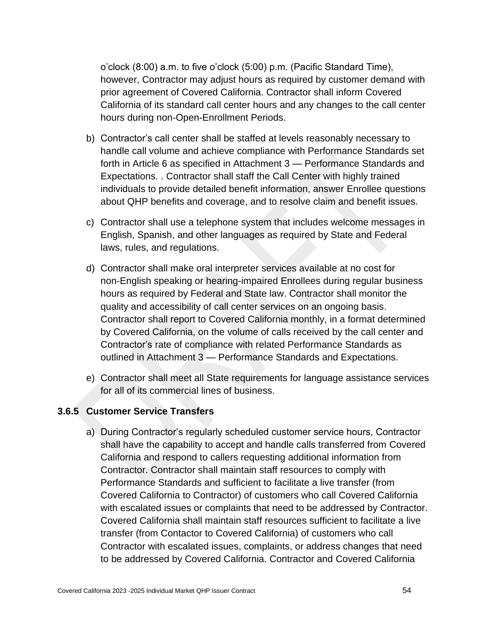o'clock (8:00) a.m. to five o'clock (5:00) p.m. (Pacific Standard Time), however, Contractor may adjust hours as required by customer demand with prior agreement of Covered California. Contractor shall inform Covered California of its standard call center hours and any changes to the call center hours during non-Open-Enrollment Periods.

- b) Contractor's call center shall be staffed at levels reasonably necessary to handle call volume and achieve compliance with Performance Standards set forth in Article 6 as specified in Attachment 3 — Performance Standards and Expectations. . Contractor shall staff the Call Center with highly trained individuals to provide detailed benefit information, answer Enrollee questions about QHP benefits and coverage, and to resolve claim and benefit issues.
- c) Contractor shall use a telephone system that includes welcome messages in English, Spanish, and other languages as required by State and Federal laws, rules, and regulations.
- d) Contractor shall make oral interpreter services available at no cost for non-English speaking or hearing-impaired Enrollees during regular business hours as required by Federal and State law. Contractor shall monitor the quality and accessibility of call center services on an ongoing basis. Contractor shall report to Covered California monthly, in a format determined by Covered California, on the volume of calls received by the call center and Contractor's rate of compliance with related Performance Standards as outlined in Attachment 3 — Performance Standards and Expectations.
- e) Contractor shall meet all State requirements for language assistance services for all of its commercial lines of business.

#### **3.6.5 Customer Service Transfers**

a) During Contractor's regularly scheduled customer service hours, Contractor shall have the capability to accept and handle calls transferred from Covered California and respond to callers requesting additional information from Contractor. Contractor shall maintain staff resources to comply with Performance Standards and sufficient to facilitate a live transfer (from Covered California to Contractor) of customers who call Covered California with escalated issues or complaints that need to be addressed by Contractor. Covered California shall maintain staff resources sufficient to facilitate a live transfer (from Contactor to Covered California) of customers who call Contractor with escalated issues, complaints, or address changes that need to be addressed by Covered California. Contractor and Covered California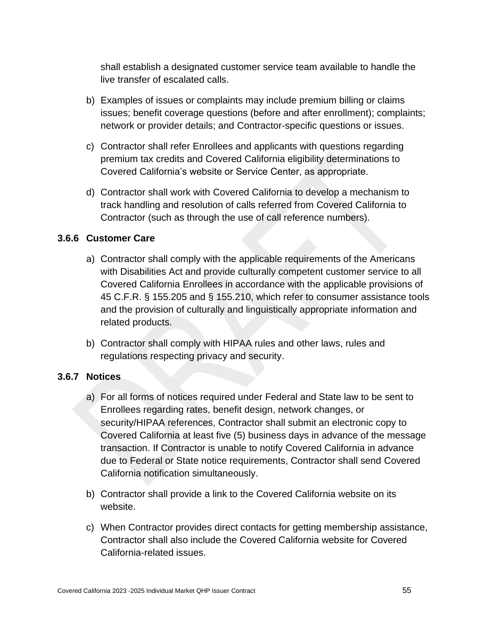shall establish a designated customer service team available to handle the live transfer of escalated calls.

- b) Examples of issues or complaints may include premium billing or claims issues; benefit coverage questions (before and after enrollment); complaints; network or provider details; and Contractor-specific questions or issues.
- c) Contractor shall refer Enrollees and applicants with questions regarding premium tax credits and Covered California eligibility determinations to Covered California's website or Service Center, as appropriate.
- d) Contractor shall work with Covered California to develop a mechanism to track handling and resolution of calls referred from Covered California to Contractor (such as through the use of call reference numbers).

### **3.6.6 Customer Care**

- a) Contractor shall comply with the applicable requirements of the Americans with Disabilities Act and provide culturally competent customer service to all Covered California Enrollees in accordance with the applicable provisions of 45 C.F.R. § 155.205 and § 155.210, which refer to consumer assistance tools and the provision of culturally and linguistically appropriate information and related products.
- b) Contractor shall comply with HIPAA rules and other laws, rules and regulations respecting privacy and security.

### **3.6.7 Notices**

- a) For all forms of notices required under Federal and State law to be sent to Enrollees regarding rates, benefit design, network changes, or security/HIPAA references, Contractor shall submit an electronic copy to Covered California at least five (5) business days in advance of the message transaction. If Contractor is unable to notify Covered California in advance due to Federal or State notice requirements, Contractor shall send Covered California notification simultaneously.
- b) Contractor shall provide a link to the Covered California website on its website.
- c) When Contractor provides direct contacts for getting membership assistance, Contractor shall also include the Covered California website for Covered California-related issues.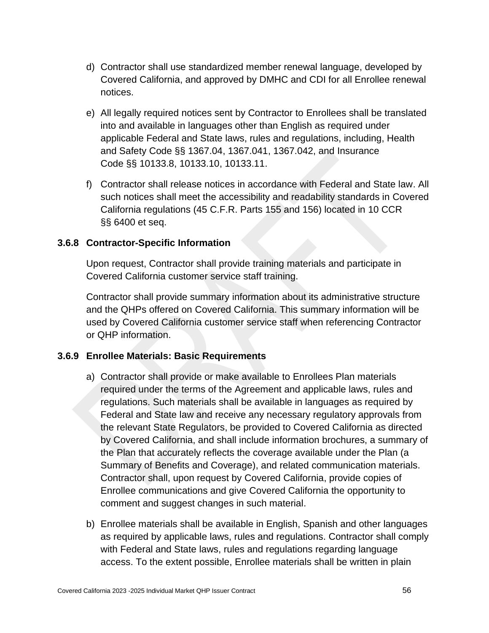- d) Contractor shall use standardized member renewal language, developed by Covered California, and approved by DMHC and CDI for all Enrollee renewal notices.
- e) All legally required notices sent by Contractor to Enrollees shall be translated into and available in languages other than English as required under applicable Federal and State laws, rules and regulations, including, Health and Safety Code §§ 1367.04, 1367.041, 1367.042, and Insurance Code §§ 10133.8, 10133.10, 10133.11.
- f) Contractor shall release notices in accordance with Federal and State law. All such notices shall meet the accessibility and readability standards in Covered California regulations (45 C.F.R. Parts 155 and 156) located in 10 CCR §§ 6400 et seq.

### **3.6.8 Contractor-Specific Information**

Upon request, Contractor shall provide training materials and participate in Covered California customer service staff training.

Contractor shall provide summary information about its administrative structure and the QHPs offered on Covered California. This summary information will be used by Covered California customer service staff when referencing Contractor or QHP information.

### **3.6.9 Enrollee Materials: Basic Requirements**

- a) Contractor shall provide or make available to Enrollees Plan materials required under the terms of the Agreement and applicable laws, rules and regulations. Such materials shall be available in languages as required by Federal and State law and receive any necessary regulatory approvals from the relevant State Regulators, be provided to Covered California as directed by Covered California, and shall include information brochures, a summary of the Plan that accurately reflects the coverage available under the Plan (a Summary of Benefits and Coverage), and related communication materials. Contractor shall, upon request by Covered California, provide copies of Enrollee communications and give Covered California the opportunity to comment and suggest changes in such material.
- b) Enrollee materials shall be available in English, Spanish and other languages as required by applicable laws, rules and regulations. Contractor shall comply with Federal and State laws, rules and regulations regarding language access. To the extent possible, Enrollee materials shall be written in plain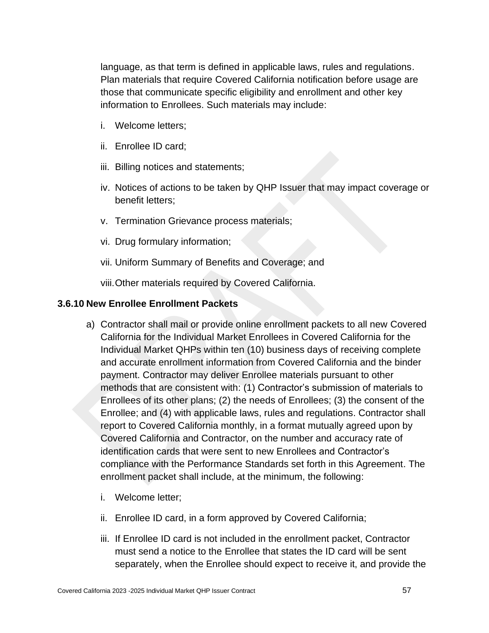language, as that term is defined in applicable laws, rules and regulations. Plan materials that require Covered California notification before usage are those that communicate specific eligibility and enrollment and other key information to Enrollees. Such materials may include:

- i. Welcome letters;
- ii. Enrollee ID card;
- iii. Billing notices and statements;
- iv. Notices of actions to be taken by QHP Issuer that may impact coverage or benefit letters;
- v. Termination Grievance process materials;
- vi. Drug formulary information;
- vii. Uniform Summary of Benefits and Coverage; and

viii.Other materials required by Covered California.

#### **3.6.10 New Enrollee Enrollment Packets**

- a) Contractor shall mail or provide online enrollment packets to all new Covered California for the Individual Market Enrollees in Covered California for the Individual Market QHPs within ten (10) business days of receiving complete and accurate enrollment information from Covered California and the binder payment. Contractor may deliver Enrollee materials pursuant to other methods that are consistent with: (1) Contractor's submission of materials to Enrollees of its other plans; (2) the needs of Enrollees; (3) the consent of the Enrollee; and (4) with applicable laws, rules and regulations. Contractor shall report to Covered California monthly, in a format mutually agreed upon by Covered California and Contractor, on the number and accuracy rate of identification cards that were sent to new Enrollees and Contractor's compliance with the Performance Standards set forth in this Agreement. The enrollment packet shall include, at the minimum, the following:
	- i. Welcome letter;
	- ii. Enrollee ID card, in a form approved by Covered California;
	- iii. If Enrollee ID card is not included in the enrollment packet, Contractor must send a notice to the Enrollee that states the ID card will be sent separately, when the Enrollee should expect to receive it, and provide the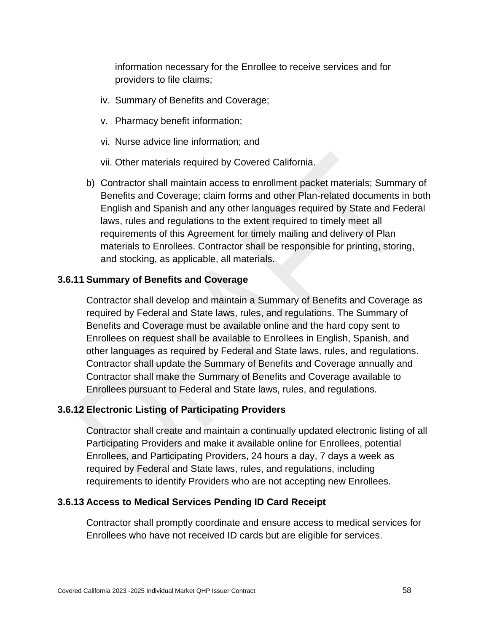information necessary for the Enrollee to receive services and for providers to file claims;

- iv. Summary of Benefits and Coverage;
- v. Pharmacy benefit information;
- vi. Nurse advice line information; and
- vii. Other materials required by Covered California.
- b) Contractor shall maintain access to enrollment packet materials; Summary of Benefits and Coverage; claim forms and other Plan-related documents in both English and Spanish and any other languages required by State and Federal laws, rules and regulations to the extent required to timely meet all requirements of this Agreement for timely mailing and delivery of Plan materials to Enrollees. Contractor shall be responsible for printing, storing, and stocking, as applicable, all materials.

#### **3.6.11 Summary of Benefits and Coverage**

Contractor shall develop and maintain a Summary of Benefits and Coverage as required by Federal and State laws, rules, and regulations. The Summary of Benefits and Coverage must be available online and the hard copy sent to Enrollees on request shall be available to Enrollees in English, Spanish, and other languages as required by Federal and State laws, rules, and regulations. Contractor shall update the Summary of Benefits and Coverage annually and Contractor shall make the Summary of Benefits and Coverage available to Enrollees pursuant to Federal and State laws, rules, and regulations.

#### **3.6.12 Electronic Listing of Participating Providers**

Contractor shall create and maintain a continually updated electronic listing of all Participating Providers and make it available online for Enrollees, potential Enrollees, and Participating Providers, 24 hours a day, 7 days a week as required by Federal and State laws, rules, and regulations, including requirements to identify Providers who are not accepting new Enrollees.

#### **3.6.13 Access to Medical Services Pending ID Card Receipt**

Contractor shall promptly coordinate and ensure access to medical services for Enrollees who have not received ID cards but are eligible for services.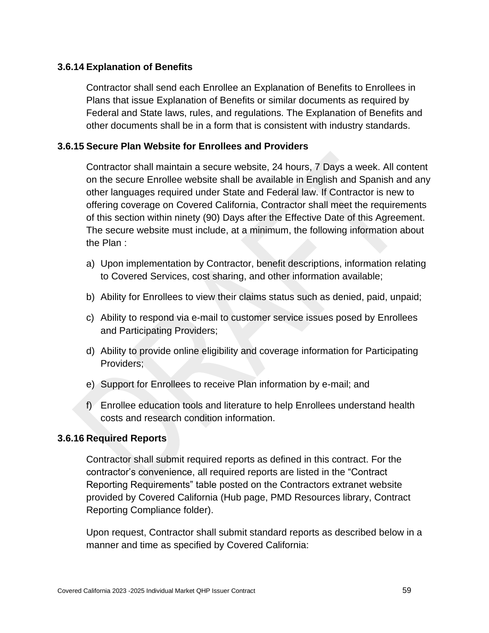### **3.6.14 Explanation of Benefits**

Contractor shall send each Enrollee an Explanation of Benefits to Enrollees in Plans that issue Explanation of Benefits or similar documents as required by Federal and State laws, rules, and regulations. The Explanation of Benefits and other documents shall be in a form that is consistent with industry standards.

### **3.6.15 Secure Plan Website for Enrollees and Providers**

Contractor shall maintain a secure website, 24 hours, 7 Days a week. All content on the secure Enrollee website shall be available in English and Spanish and any other languages required under State and Federal law. If Contractor is new to offering coverage on Covered California, Contractor shall meet the requirements of this section within ninety (90) Days after the Effective Date of this Agreement. The secure website must include, at a minimum, the following information about the Plan :

- a) Upon implementation by Contractor, benefit descriptions, information relating to Covered Services, cost sharing, and other information available;
- b) Ability for Enrollees to view their claims status such as denied, paid, unpaid;
- c) Ability to respond via e-mail to customer service issues posed by Enrollees and Participating Providers;
- d) Ability to provide online eligibility and coverage information for Participating Providers;
- e) Support for Enrollees to receive Plan information by e-mail; and
- f) Enrollee education tools and literature to help Enrollees understand health costs and research condition information.

### **3.6.16 Required Reports**

Contractor shall submit required reports as defined in this contract. For the contractor's convenience, all required reports are listed in the "Contract Reporting Requirements" table posted on the Contractors extranet website provided by Covered California (Hub page, PMD Resources library, Contract Reporting Compliance folder).

Upon request, Contractor shall submit standard reports as described below in a manner and time as specified by Covered California: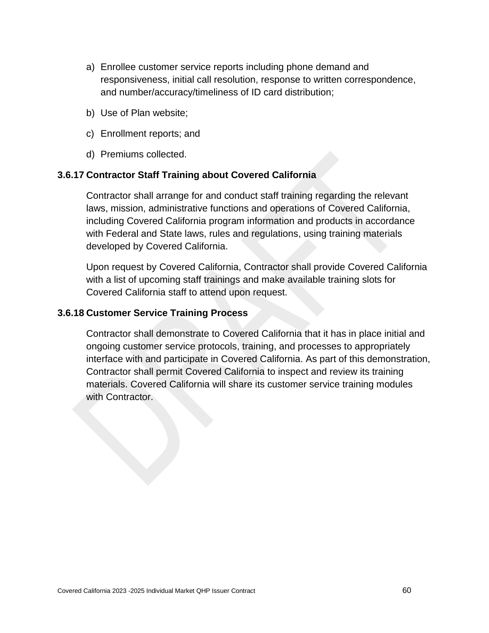- a) Enrollee customer service reports including phone demand and responsiveness, initial call resolution, response to written correspondence, and number/accuracy/timeliness of ID card distribution;
- b) Use of Plan website;
- c) Enrollment reports; and
- d) Premiums collected.

### **3.6.17 Contractor Staff Training about Covered California**

Contractor shall arrange for and conduct staff training regarding the relevant laws, mission, administrative functions and operations of Covered California, including Covered California program information and products in accordance with Federal and State laws, rules and regulations, using training materials developed by Covered California.

Upon request by Covered California, Contractor shall provide Covered California with a list of upcoming staff trainings and make available training slots for Covered California staff to attend upon request.

#### **3.6.18 Customer Service Training Process**

Contractor shall demonstrate to Covered California that it has in place initial and ongoing customer service protocols, training, and processes to appropriately interface with and participate in Covered California. As part of this demonstration, Contractor shall permit Covered California to inspect and review its training materials. Covered California will share its customer service training modules with Contractor.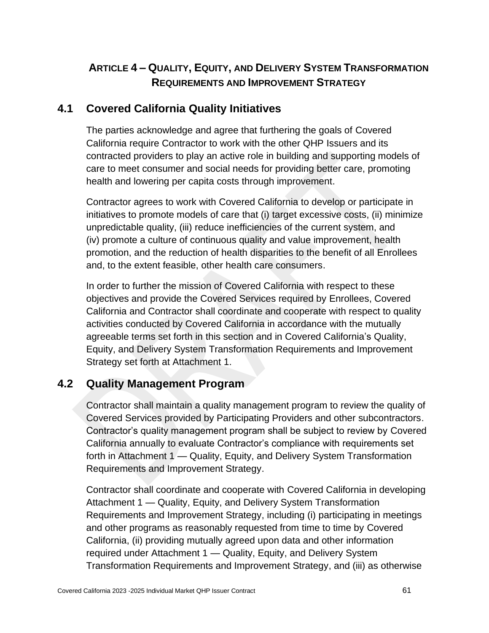# **ARTICLE 4 – QUALITY, EQUITY, AND DELIVERY SYSTEM TRANSFORMATION REQUIREMENTS AND IMPROVEMENT STRATEGY**

# **4.1 Covered California Quality Initiatives**

The parties acknowledge and agree that furthering the goals of Covered California require Contractor to work with the other QHP Issuers and its contracted providers to play an active role in building and supporting models of care to meet consumer and social needs for providing better care, promoting health and lowering per capita costs through improvement.

Contractor agrees to work with Covered California to develop or participate in initiatives to promote models of care that (i) target excessive costs, (ii) minimize unpredictable quality, (iii) reduce inefficiencies of the current system, and (iv) promote a culture of continuous quality and value improvement, health promotion, and the reduction of health disparities to the benefit of all Enrollees and, to the extent feasible, other health care consumers.

In order to further the mission of Covered California with respect to these objectives and provide the Covered Services required by Enrollees, Covered California and Contractor shall coordinate and cooperate with respect to quality activities conducted by Covered California in accordance with the mutually agreeable terms set forth in this section and in Covered California's Quality, Equity, and Delivery System Transformation Requirements and Improvement Strategy set forth at Attachment 1.

# **4.2 Quality Management Program**

Contractor shall maintain a quality management program to review the quality of Covered Services provided by Participating Providers and other subcontractors. Contractor's quality management program shall be subject to review by Covered California annually to evaluate Contractor's compliance with requirements set forth in Attachment 1 — Quality, Equity, and Delivery System Transformation Requirements and Improvement Strategy.

Contractor shall coordinate and cooperate with Covered California in developing Attachment 1 — Quality, Equity, and Delivery System Transformation Requirements and Improvement Strategy, including (i) participating in meetings and other programs as reasonably requested from time to time by Covered California, (ii) providing mutually agreed upon data and other information required under Attachment 1 — Quality, Equity, and Delivery System Transformation Requirements and Improvement Strategy, and (iii) as otherwise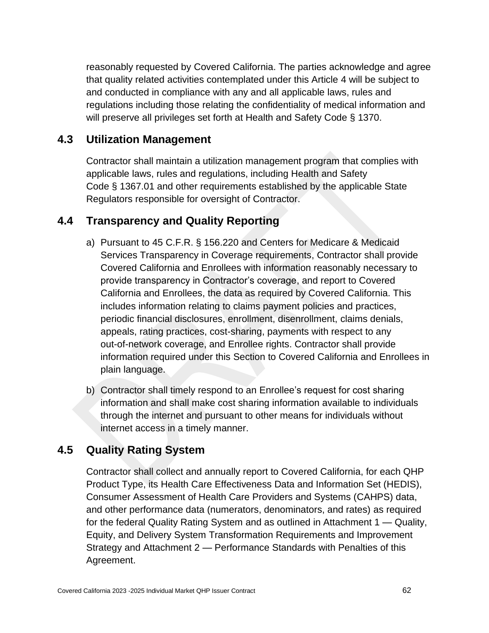reasonably requested by Covered California. The parties acknowledge and agree that quality related activities contemplated under this Article 4 will be subject to and conducted in compliance with any and all applicable laws, rules and regulations including those relating the confidentiality of medical information and will preserve all privileges set forth at Health and Safety Code § 1370.

# **4.3 Utilization Management**

Contractor shall maintain a utilization management program that complies with applicable laws, rules and regulations, including Health and Safety Code § 1367.01 and other requirements established by the applicable State Regulators responsible for oversight of Contractor.

# **4.4 Transparency and Quality Reporting**

- a) Pursuant to 45 C.F.R. § 156.220 and Centers for Medicare & Medicaid Services Transparency in Coverage requirements, Contractor shall provide Covered California and Enrollees with information reasonably necessary to provide transparency in Contractor's coverage, and report to Covered California and Enrollees, the data as required by Covered California. This includes information relating to claims payment policies and practices, periodic financial disclosures, enrollment, disenrollment, claims denials, appeals, rating practices, cost-sharing, payments with respect to any out-of-network coverage, and Enrollee rights. Contractor shall provide information required under this Section to Covered California and Enrollees in plain language.
- b) Contractor shall timely respond to an Enrollee's request for cost sharing information and shall make cost sharing information available to individuals through the internet and pursuant to other means for individuals without internet access in a timely manner.

# **4.5 Quality Rating System**

Contractor shall collect and annually report to Covered California, for each QHP Product Type, its Health Care Effectiveness Data and Information Set (HEDIS), Consumer Assessment of Health Care Providers and Systems (CAHPS) data, and other performance data (numerators, denominators, and rates) as required for the federal Quality Rating System and as outlined in Attachment 1 — Quality, Equity, and Delivery System Transformation Requirements and Improvement Strategy and Attachment 2 — Performance Standards with Penalties of this Agreement.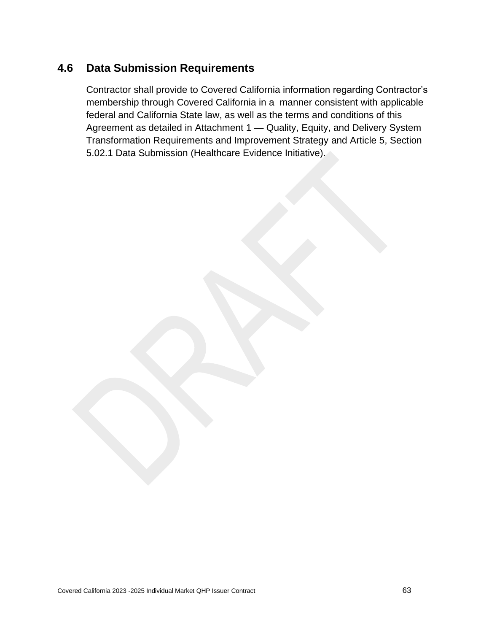# **4.6 Data Submission Requirements**

Contractor shall provide to Covered California information regarding Contractor's membership through Covered California in a manner consistent with applicable federal and California State law, as well as the terms and conditions of this Agreement as detailed in Attachment 1 — Quality, Equity, and Delivery System Transformation Requirements and Improvement Strategy and Article 5, Section 5.02.1 Data Submission (Healthcare Evidence Initiative).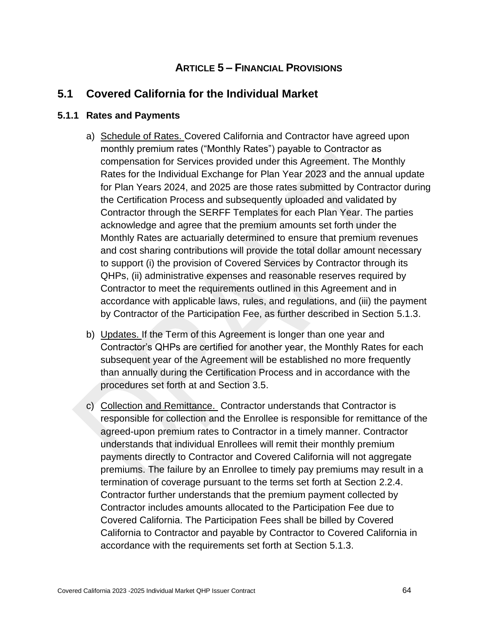## **ARTICLE 5 – FINANCIAL PROVISIONS**

## **5.1 Covered California for the Individual Market**

#### **5.1.1 Rates and Payments**

- a) Schedule of Rates. Covered California and Contractor have agreed upon monthly premium rates ("Monthly Rates") payable to Contractor as compensation for Services provided under this Agreement. The Monthly Rates for the Individual Exchange for Plan Year 2023 and the annual update for Plan Years 2024, and 2025 are those rates submitted by Contractor during the Certification Process and subsequently uploaded and validated by Contractor through the SERFF Templates for each Plan Year. The parties acknowledge and agree that the premium amounts set forth under the Monthly Rates are actuarially determined to ensure that premium revenues and cost sharing contributions will provide the total dollar amount necessary to support (i) the provision of Covered Services by Contractor through its QHPs, (ii) administrative expenses and reasonable reserves required by Contractor to meet the requirements outlined in this Agreement and in accordance with applicable laws, rules, and regulations, and (iii) the payment by Contractor of the Participation Fee, as further described in Section 5.1.3.
- b) Updates. If the Term of this Agreement is longer than one year and Contractor's QHPs are certified for another year, the Monthly Rates for each subsequent year of the Agreement will be established no more frequently than annually during the Certification Process and in accordance with the procedures set forth at and Section 3.5.
- c) Collection and Remittance. Contractor understands that Contractor is responsible for collection and the Enrollee is responsible for remittance of the agreed-upon premium rates to Contractor in a timely manner. Contractor understands that individual Enrollees will remit their monthly premium payments directly to Contractor and Covered California will not aggregate premiums. The failure by an Enrollee to timely pay premiums may result in a termination of coverage pursuant to the terms set forth at Section 2.2.4. Contractor further understands that the premium payment collected by Contractor includes amounts allocated to the Participation Fee due to Covered California. The Participation Fees shall be billed by Covered California to Contractor and payable by Contractor to Covered California in accordance with the requirements set forth at Section 5.1.3.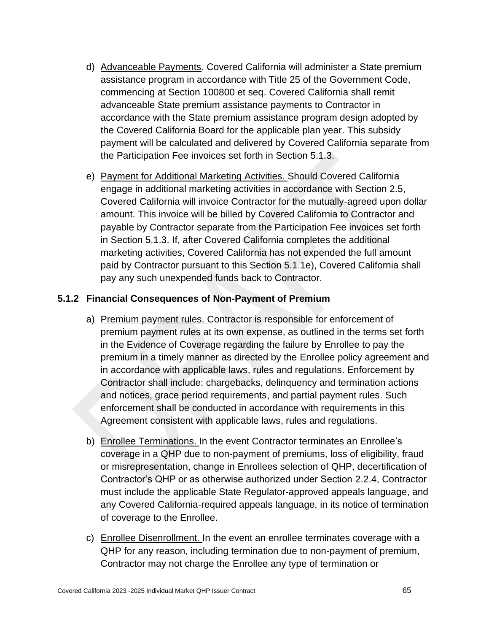- d) Advanceable Payments. Covered California will administer a State premium assistance program in accordance with Title 25 of the Government Code, commencing at Section 100800 et seq. Covered California shall remit advanceable State premium assistance payments to Contractor in accordance with the State premium assistance program design adopted by the Covered California Board for the applicable plan year. This subsidy payment will be calculated and delivered by Covered California separate from the Participation Fee invoices set forth in Section 5.1.3.
- e) Payment for Additional Marketing Activities. Should Covered California engage in additional marketing activities in accordance with Section 2.5, Covered California will invoice Contractor for the mutually-agreed upon dollar amount. This invoice will be billed by Covered California to Contractor and payable by Contractor separate from the Participation Fee invoices set forth in Section 5.1.3. If, after Covered California completes the additional marketing activities, Covered California has not expended the full amount paid by Contractor pursuant to this Section 5.1.1e), Covered California shall pay any such unexpended funds back to Contractor.

#### **5.1.2 Financial Consequences of Non-Payment of Premium**

- a) Premium payment rules. Contractor is responsible for enforcement of premium payment rules at its own expense, as outlined in the terms set forth in the Evidence of Coverage regarding the failure by Enrollee to pay the premium in a timely manner as directed by the Enrollee policy agreement and in accordance with applicable laws, rules and regulations. Enforcement by Contractor shall include: chargebacks, delinquency and termination actions and notices, grace period requirements, and partial payment rules. Such enforcement shall be conducted in accordance with requirements in this Agreement consistent with applicable laws, rules and regulations.
- b) Enrollee Terminations. In the event Contractor terminates an Enrollee's coverage in a QHP due to non-payment of premiums, loss of eligibility, fraud or misrepresentation, change in Enrollees selection of QHP, decertification of Contractor's QHP or as otherwise authorized under Section 2.2.4, Contractor must include the applicable State Regulator-approved appeals language, and any Covered California-required appeals language, in its notice of termination of coverage to the Enrollee.
- c) Enrollee Disenrollment. In the event an enrollee terminates coverage with a QHP for any reason, including termination due to non-payment of premium, Contractor may not charge the Enrollee any type of termination or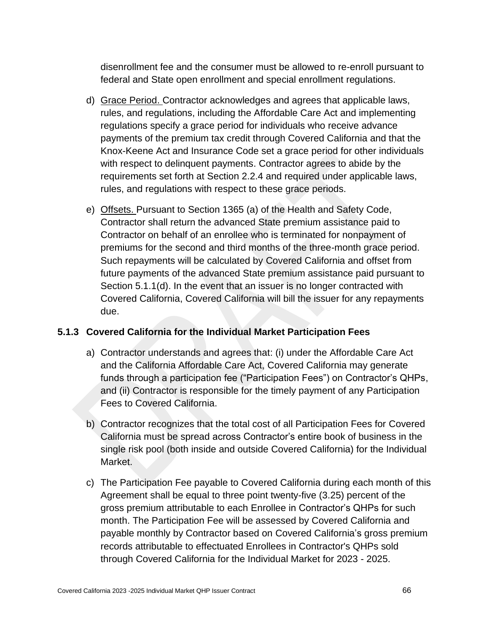disenrollment fee and the consumer must be allowed to re-enroll pursuant to federal and State open enrollment and special enrollment regulations.

- d) Grace Period. Contractor acknowledges and agrees that applicable laws, rules, and regulations, including the Affordable Care Act and implementing regulations specify a grace period for individuals who receive advance payments of the premium tax credit through Covered California and that the Knox-Keene Act and Insurance Code set a grace period for other individuals with respect to delinquent payments. Contractor agrees to abide by the requirements set forth at Section 2.2.4 and required under applicable laws, rules, and regulations with respect to these grace periods.
- e) Offsets. Pursuant to Section 1365 (a) of the Health and Safety Code, Contractor shall return the advanced State premium assistance paid to Contractor on behalf of an enrollee who is terminated for nonpayment of premiums for the second and third months of the three-month grace period. Such repayments will be calculated by Covered California and offset from future payments of the advanced State premium assistance paid pursuant to Section 5.1.1(d). In the event that an issuer is no longer contracted with Covered California, Covered California will bill the issuer for any repayments due.

### **5.1.3 Covered California for the Individual Market Participation Fees**

- a) Contractor understands and agrees that: (i) under the Affordable Care Act and the California Affordable Care Act, Covered California may generate funds through a participation fee ("Participation Fees") on Contractor's QHPs, and (ii) Contractor is responsible for the timely payment of any Participation Fees to Covered California.
- b) Contractor recognizes that the total cost of all Participation Fees for Covered California must be spread across Contractor's entire book of business in the single risk pool (both inside and outside Covered California) for the Individual Market.
- c) The Participation Fee payable to Covered California during each month of this Agreement shall be equal to three point twenty-five (3.25) percent of the gross premium attributable to each Enrollee in Contractor's QHPs for such month. The Participation Fee will be assessed by Covered California and payable monthly by Contractor based on Covered California's gross premium records attributable to effectuated Enrollees in Contractor's QHPs sold through Covered California for the Individual Market for 2023 - 2025.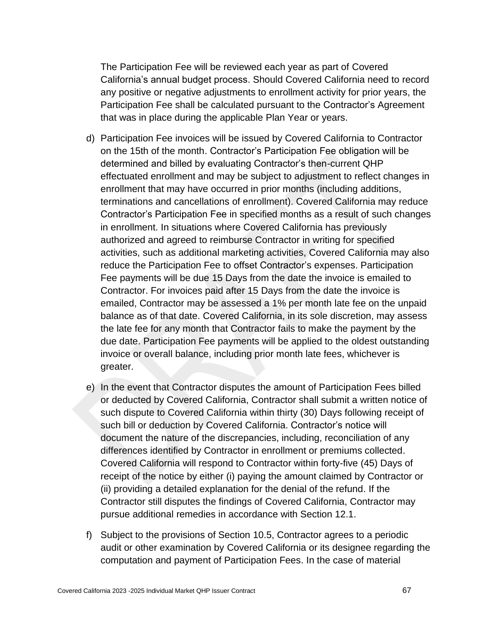The Participation Fee will be reviewed each year as part of Covered California's annual budget process. Should Covered California need to record any positive or negative adjustments to enrollment activity for prior years, the Participation Fee shall be calculated pursuant to the Contractor's Agreement that was in place during the applicable Plan Year or years.

- d) Participation Fee invoices will be issued by Covered California to Contractor on the 15th of the month. Contractor's Participation Fee obligation will be determined and billed by evaluating Contractor's then-current QHP effectuated enrollment and may be subject to adjustment to reflect changes in enrollment that may have occurred in prior months (including additions, terminations and cancellations of enrollment). Covered California may reduce Contractor's Participation Fee in specified months as a result of such changes in enrollment. In situations where Covered California has previously authorized and agreed to reimburse Contractor in writing for specified activities, such as additional marketing activities, Covered California may also reduce the Participation Fee to offset Contractor's expenses. Participation Fee payments will be due 15 Days from the date the invoice is emailed to Contractor. For invoices paid after 15 Days from the date the invoice is emailed, Contractor may be assessed a 1% per month late fee on the unpaid balance as of that date. Covered California, in its sole discretion, may assess the late fee for any month that Contractor fails to make the payment by the due date. Participation Fee payments will be applied to the oldest outstanding invoice or overall balance, including prior month late fees, whichever is greater.
- e) In the event that Contractor disputes the amount of Participation Fees billed or deducted by Covered California, Contractor shall submit a written notice of such dispute to Covered California within thirty (30) Days following receipt of such bill or deduction by Covered California. Contractor's notice will document the nature of the discrepancies, including, reconciliation of any differences identified by Contractor in enrollment or premiums collected. Covered California will respond to Contractor within forty-five (45) Days of receipt of the notice by either (i) paying the amount claimed by Contractor or (ii) providing a detailed explanation for the denial of the refund. If the Contractor still disputes the findings of Covered California, Contractor may pursue additional remedies in accordance with Section 12.1.
- f) Subject to the provisions of Section 10.5, Contractor agrees to a periodic audit or other examination by Covered California or its designee regarding the computation and payment of Participation Fees. In the case of material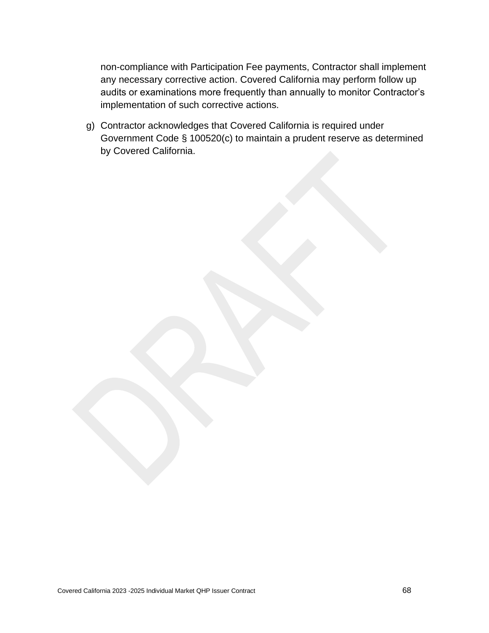non-compliance with Participation Fee payments, Contractor shall implement any necessary corrective action. Covered California may perform follow up audits or examinations more frequently than annually to monitor Contractor's implementation of such corrective actions.

g) Contractor acknowledges that Covered California is required under Government Code § 100520(c) to maintain a prudent reserve as determined by Covered California.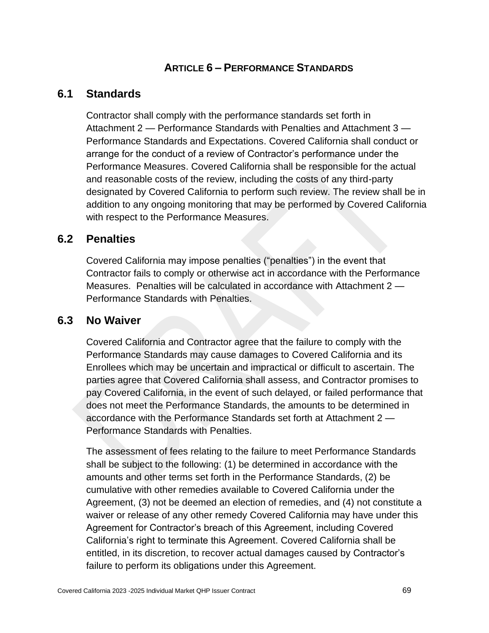## **ARTICLE 6 – PERFORMANCE STANDARDS**

### **6.1 Standards**

Contractor shall comply with the performance standards set forth in Attachment 2 — Performance Standards with Penalties and Attachment 3 — Performance Standards and Expectations. Covered California shall conduct or arrange for the conduct of a review of Contractor's performance under the Performance Measures. Covered California shall be responsible for the actual and reasonable costs of the review, including the costs of any third-party designated by Covered California to perform such review. The review shall be in addition to any ongoing monitoring that may be performed by Covered California with respect to the Performance Measures.

### **6.2 Penalties**

Covered California may impose penalties ("penalties") in the event that Contractor fails to comply or otherwise act in accordance with the Performance Measures. Penalties will be calculated in accordance with Attachment 2 — Performance Standards with Penalties.

### **6.3 No Waiver**

Covered California and Contractor agree that the failure to comply with the Performance Standards may cause damages to Covered California and its Enrollees which may be uncertain and impractical or difficult to ascertain. The parties agree that Covered California shall assess, and Contractor promises to pay Covered California, in the event of such delayed, or failed performance that does not meet the Performance Standards, the amounts to be determined in accordance with the Performance Standards set forth at Attachment 2 — Performance Standards with Penalties.

The assessment of fees relating to the failure to meet Performance Standards shall be subject to the following: (1) be determined in accordance with the amounts and other terms set forth in the Performance Standards, (2) be cumulative with other remedies available to Covered California under the Agreement, (3) not be deemed an election of remedies, and (4) not constitute a waiver or release of any other remedy Covered California may have under this Agreement for Contractor's breach of this Agreement, including Covered California's right to terminate this Agreement. Covered California shall be entitled, in its discretion, to recover actual damages caused by Contractor's failure to perform its obligations under this Agreement.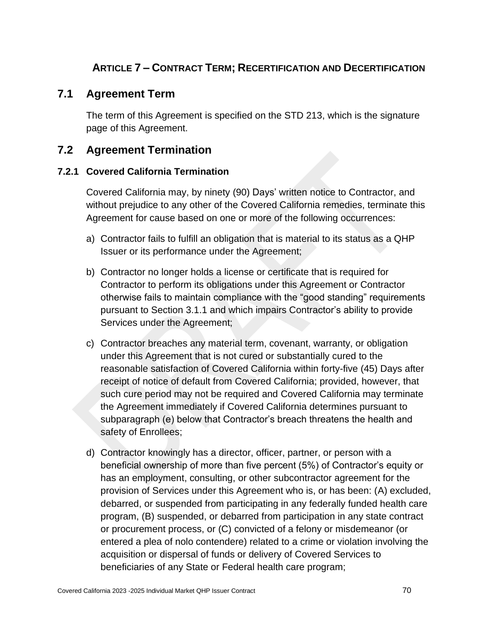## **ARTICLE 7 – CONTRACT TERM; RECERTIFICATION AND DECERTIFICATION**

### **7.1 Agreement Term**

The term of this Agreement is specified on the STD 213, which is the signature page of this Agreement.

### **7.2 Agreement Termination**

#### **7.2.1 Covered California Termination**

Covered California may, by ninety (90) Days' written notice to Contractor, and without prejudice to any other of the Covered California remedies, terminate this Agreement for cause based on one or more of the following occurrences:

- a) Contractor fails to fulfill an obligation that is material to its status as a QHP Issuer or its performance under the Agreement;
- b) Contractor no longer holds a license or certificate that is required for Contractor to perform its obligations under this Agreement or Contractor otherwise fails to maintain compliance with the "good standing" requirements pursuant to Section 3.1.1 and which impairs Contractor's ability to provide Services under the Agreement;
- c) Contractor breaches any material term, covenant, warranty, or obligation under this Agreement that is not cured or substantially cured to the reasonable satisfaction of Covered California within forty-five (45) Days after receipt of notice of default from Covered California; provided, however, that such cure period may not be required and Covered California may terminate the Agreement immediately if Covered California determines pursuant to subparagraph (e) below that Contractor's breach threatens the health and safety of Enrollees;
- d) Contractor knowingly has a director, officer, partner, or person with a beneficial ownership of more than five percent (5%) of Contractor's equity or has an employment, consulting, or other subcontractor agreement for the provision of Services under this Agreement who is, or has been: (A) excluded, debarred, or suspended from participating in any federally funded health care program, (B) suspended, or debarred from participation in any state contract or procurement process, or (C) convicted of a felony or misdemeanor (or entered a plea of nolo contendere) related to a crime or violation involving the acquisition or dispersal of funds or delivery of Covered Services to beneficiaries of any State or Federal health care program;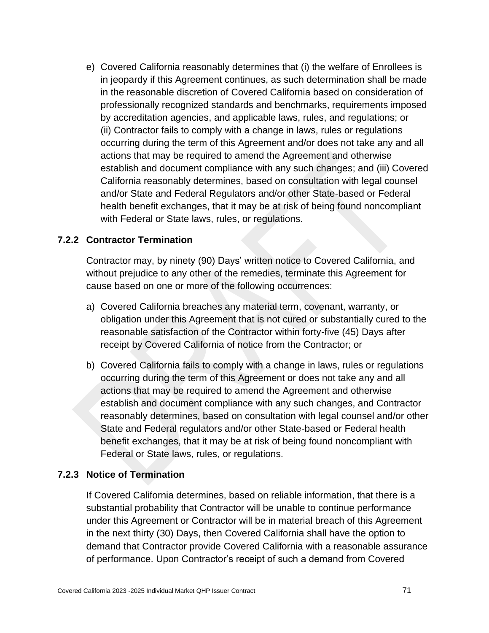e) Covered California reasonably determines that (i) the welfare of Enrollees is in jeopardy if this Agreement continues, as such determination shall be made in the reasonable discretion of Covered California based on consideration of professionally recognized standards and benchmarks, requirements imposed by accreditation agencies, and applicable laws, rules, and regulations; or (ii) Contractor fails to comply with a change in laws, rules or regulations occurring during the term of this Agreement and/or does not take any and all actions that may be required to amend the Agreement and otherwise establish and document compliance with any such changes; and (iii) Covered California reasonably determines, based on consultation with legal counsel and/or State and Federal Regulators and/or other State-based or Federal health benefit exchanges, that it may be at risk of being found noncompliant with Federal or State laws, rules, or regulations.

#### **7.2.2 Contractor Termination**

Contractor may, by ninety (90) Days' written notice to Covered California, and without prejudice to any other of the remedies, terminate this Agreement for cause based on one or more of the following occurrences:

- a) Covered California breaches any material term, covenant, warranty, or obligation under this Agreement that is not cured or substantially cured to the reasonable satisfaction of the Contractor within forty-five (45) Days after receipt by Covered California of notice from the Contractor; or
- b) Covered California fails to comply with a change in laws, rules or regulations occurring during the term of this Agreement or does not take any and all actions that may be required to amend the Agreement and otherwise establish and document compliance with any such changes, and Contractor reasonably determines, based on consultation with legal counsel and/or other State and Federal regulators and/or other State-based or Federal health benefit exchanges, that it may be at risk of being found noncompliant with Federal or State laws, rules, or regulations.

#### **7.2.3 Notice of Termination**

If Covered California determines, based on reliable information, that there is a substantial probability that Contractor will be unable to continue performance under this Agreement or Contractor will be in material breach of this Agreement in the next thirty (30) Days, then Covered California shall have the option to demand that Contractor provide Covered California with a reasonable assurance of performance. Upon Contractor's receipt of such a demand from Covered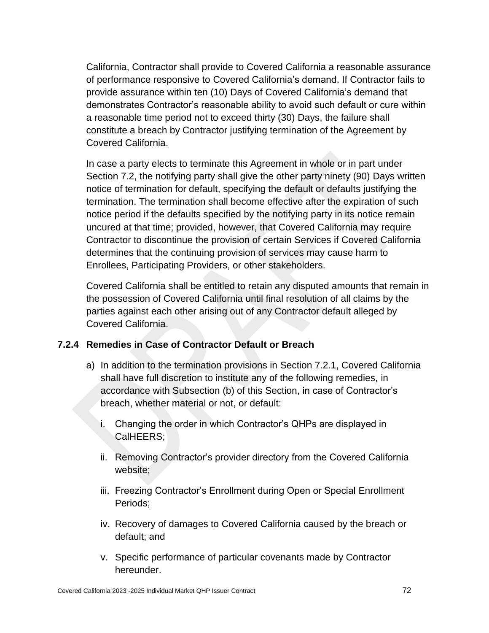California, Contractor shall provide to Covered California a reasonable assurance of performance responsive to Covered California's demand. If Contractor fails to provide assurance within ten (10) Days of Covered California's demand that demonstrates Contractor's reasonable ability to avoid such default or cure within a reasonable time period not to exceed thirty (30) Days, the failure shall constitute a breach by Contractor justifying termination of the Agreement by Covered California.

In case a party elects to terminate this Agreement in whole or in part under Section 7.2, the notifying party shall give the other party ninety (90) Days written notice of termination for default, specifying the default or defaults justifying the termination. The termination shall become effective after the expiration of such notice period if the defaults specified by the notifying party in its notice remain uncured at that time; provided, however, that Covered California may require Contractor to discontinue the provision of certain Services if Covered California determines that the continuing provision of services may cause harm to Enrollees, Participating Providers, or other stakeholders.

Covered California shall be entitled to retain any disputed amounts that remain in the possession of Covered California until final resolution of all claims by the parties against each other arising out of any Contractor default alleged by Covered California.

#### **7.2.4 Remedies in Case of Contractor Default or Breach**

- a) In addition to the termination provisions in Section 7.2.1, Covered California shall have full discretion to institute any of the following remedies, in accordance with Subsection (b) of this Section, in case of Contractor's breach, whether material or not, or default:
	- i. Changing the order in which Contractor's QHPs are displayed in CalHEERS;
	- ii. Removing Contractor's provider directory from the Covered California website;
	- iii. Freezing Contractor's Enrollment during Open or Special Enrollment Periods;
	- iv. Recovery of damages to Covered California caused by the breach or default; and
	- v. Specific performance of particular covenants made by Contractor hereunder.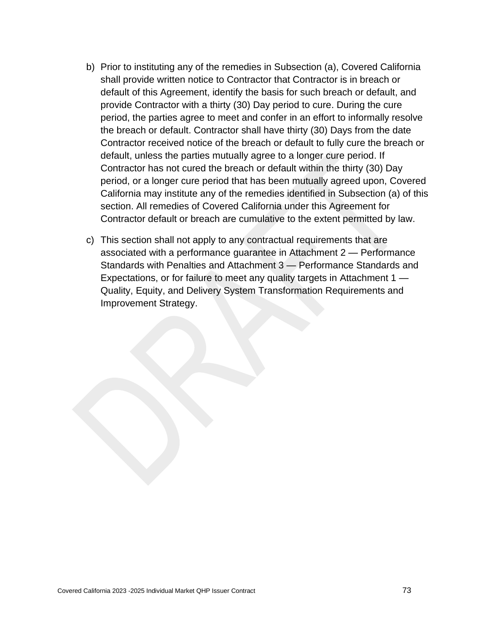- b) Prior to instituting any of the remedies in Subsection (a), Covered California shall provide written notice to Contractor that Contractor is in breach or default of this Agreement, identify the basis for such breach or default, and provide Contractor with a thirty (30) Day period to cure. During the cure period, the parties agree to meet and confer in an effort to informally resolve the breach or default. Contractor shall have thirty (30) Days from the date Contractor received notice of the breach or default to fully cure the breach or default, unless the parties mutually agree to a longer cure period. If Contractor has not cured the breach or default within the thirty (30) Day period, or a longer cure period that has been mutually agreed upon, Covered California may institute any of the remedies identified in Subsection (a) of this section. All remedies of Covered California under this Agreement for Contractor default or breach are cumulative to the extent permitted by law.
- c) This section shall not apply to any contractual requirements that are associated with a performance guarantee in Attachment 2 — Performance Standards with Penalties and Attachment 3 — Performance Standards and Expectations, or for failure to meet any quality targets in Attachment 1 — Quality, Equity, and Delivery System Transformation Requirements and Improvement Strategy.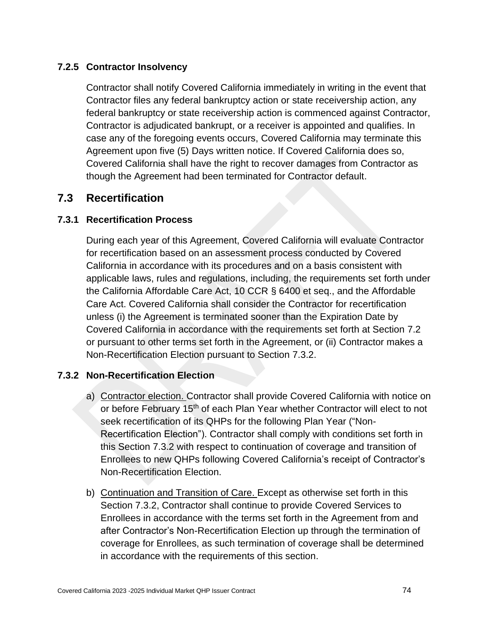#### **7.2.5 Contractor Insolvency**

Contractor shall notify Covered California immediately in writing in the event that Contractor files any federal bankruptcy action or state receivership action, any federal bankruptcy or state receivership action is commenced against Contractor, Contractor is adjudicated bankrupt, or a receiver is appointed and qualifies. In case any of the foregoing events occurs, Covered California may terminate this Agreement upon five (5) Days written notice. If Covered California does so, Covered California shall have the right to recover damages from Contractor as though the Agreement had been terminated for Contractor default.

## **7.3 Recertification**

#### **7.3.1 Recertification Process**

During each year of this Agreement, Covered California will evaluate Contractor for recertification based on an assessment process conducted by Covered California in accordance with its procedures and on a basis consistent with applicable laws, rules and regulations, including, the requirements set forth under the California Affordable Care Act, 10 CCR § 6400 et seq., and the Affordable Care Act. Covered California shall consider the Contractor for recertification unless (i) the Agreement is terminated sooner than the Expiration Date by Covered California in accordance with the requirements set forth at Section 7.2 or pursuant to other terms set forth in the Agreement, or (ii) Contractor makes a Non-Recertification Election pursuant to Section 7.3.2.

#### **7.3.2 Non-Recertification Election**

- a) Contractor election. Contractor shall provide Covered California with notice on or before February 15<sup>th</sup> of each Plan Year whether Contractor will elect to not seek recertification of its QHPs for the following Plan Year ("Non-Recertification Election"). Contractor shall comply with conditions set forth in this Section 7.3.2 with respect to continuation of coverage and transition of Enrollees to new QHPs following Covered California's receipt of Contractor's Non-Recertification Election.
- b) Continuation and Transition of Care. Except as otherwise set forth in this Section 7.3.2, Contractor shall continue to provide Covered Services to Enrollees in accordance with the terms set forth in the Agreement from and after Contractor's Non-Recertification Election up through the termination of coverage for Enrollees, as such termination of coverage shall be determined in accordance with the requirements of this section.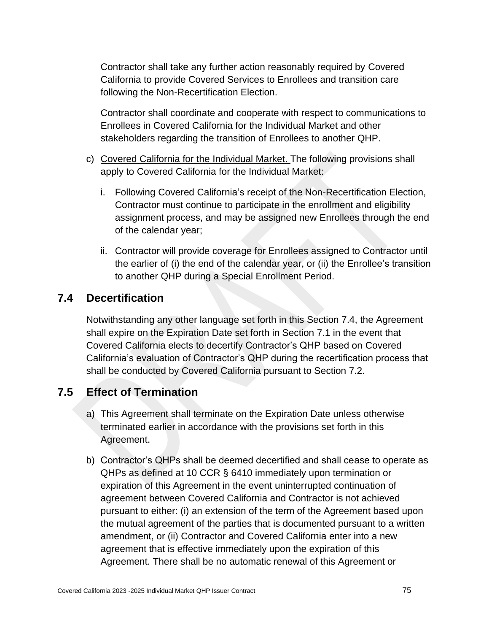Contractor shall take any further action reasonably required by Covered California to provide Covered Services to Enrollees and transition care following the Non-Recertification Election.

Contractor shall coordinate and cooperate with respect to communications to Enrollees in Covered California for the Individual Market and other stakeholders regarding the transition of Enrollees to another QHP.

- c) Covered California for the Individual Market. The following provisions shall apply to Covered California for the Individual Market:
	- i. Following Covered California's receipt of the Non-Recertification Election, Contractor must continue to participate in the enrollment and eligibility assignment process, and may be assigned new Enrollees through the end of the calendar year;
	- ii. Contractor will provide coverage for Enrollees assigned to Contractor until the earlier of (i) the end of the calendar year, or (ii) the Enrollee's transition to another QHP during a Special Enrollment Period.

## **7.4 Decertification**

Notwithstanding any other language set forth in this Section 7.4, the Agreement shall expire on the Expiration Date set forth in Section 7.1 in the event that Covered California elects to decertify Contractor's QHP based on Covered California's evaluation of Contractor's QHP during the recertification process that shall be conducted by Covered California pursuant to Section 7.2.

## **7.5 Effect of Termination**

- a) This Agreement shall terminate on the Expiration Date unless otherwise terminated earlier in accordance with the provisions set forth in this Agreement.
- b) Contractor's QHPs shall be deemed decertified and shall cease to operate as QHPs as defined at 10 CCR § 6410 immediately upon termination or expiration of this Agreement in the event uninterrupted continuation of agreement between Covered California and Contractor is not achieved pursuant to either: (i) an extension of the term of the Agreement based upon the mutual agreement of the parties that is documented pursuant to a written amendment, or (ii) Contractor and Covered California enter into a new agreement that is effective immediately upon the expiration of this Agreement. There shall be no automatic renewal of this Agreement or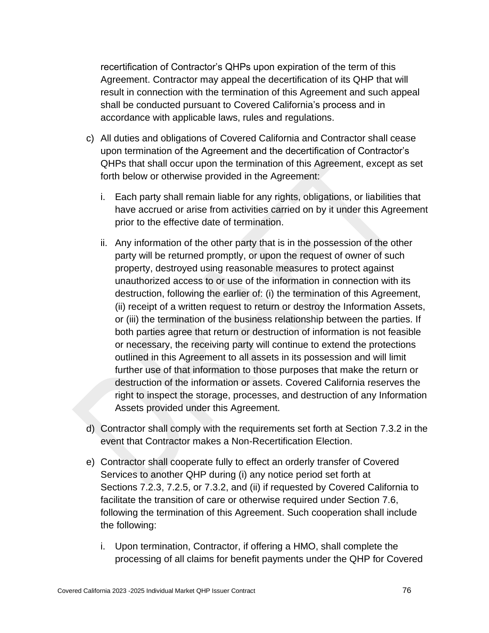recertification of Contractor's QHPs upon expiration of the term of this Agreement. Contractor may appeal the decertification of its QHP that will result in connection with the termination of this Agreement and such appeal shall be conducted pursuant to Covered California's process and in accordance with applicable laws, rules and regulations.

- c) All duties and obligations of Covered California and Contractor shall cease upon termination of the Agreement and the decertification of Contractor's QHPs that shall occur upon the termination of this Agreement, except as set forth below or otherwise provided in the Agreement:
	- i. Each party shall remain liable for any rights, obligations, or liabilities that have accrued or arise from activities carried on by it under this Agreement prior to the effective date of termination.
	- ii. Any information of the other party that is in the possession of the other party will be returned promptly, or upon the request of owner of such property, destroyed using reasonable measures to protect against unauthorized access to or use of the information in connection with its destruction, following the earlier of: (i) the termination of this Agreement, (ii) receipt of a written request to return or destroy the Information Assets, or (iii) the termination of the business relationship between the parties. If both parties agree that return or destruction of information is not feasible or necessary, the receiving party will continue to extend the protections outlined in this Agreement to all assets in its possession and will limit further use of that information to those purposes that make the return or destruction of the information or assets. Covered California reserves the right to inspect the storage, processes, and destruction of any Information Assets provided under this Agreement.
- d) Contractor shall comply with the requirements set forth at Section 7.3.2 in the event that Contractor makes a Non-Recertification Election.
- e) Contractor shall cooperate fully to effect an orderly transfer of Covered Services to another QHP during (i) any notice period set forth at Sections 7.2.3, 7.2.5, or 7.3.2, and (ii) if requested by Covered California to facilitate the transition of care or otherwise required under Section 7.6, following the termination of this Agreement. Such cooperation shall include the following:
	- i. Upon termination, Contractor, if offering a HMO, shall complete the processing of all claims for benefit payments under the QHP for Covered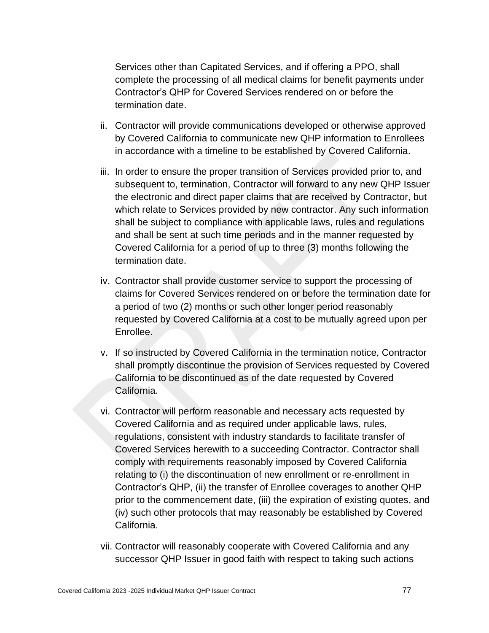Services other than Capitated Services, and if offering a PPO, shall complete the processing of all medical claims for benefit payments under Contractor's QHP for Covered Services rendered on or before the termination date.

- ii. Contractor will provide communications developed or otherwise approved by Covered California to communicate new QHP information to Enrollees in accordance with a timeline to be established by Covered California.
- iii. In order to ensure the proper transition of Services provided prior to, and subsequent to, termination, Contractor will forward to any new QHP Issuer the electronic and direct paper claims that are received by Contractor, but which relate to Services provided by new contractor. Any such information shall be subject to compliance with applicable laws, rules and regulations and shall be sent at such time periods and in the manner requested by Covered California for a period of up to three (3) months following the termination date.
- iv. Contractor shall provide customer service to support the processing of claims for Covered Services rendered on or before the termination date for a period of two (2) months or such other longer period reasonably requested by Covered California at a cost to be mutually agreed upon per Enrollee.
- v. If so instructed by Covered California in the termination notice, Contractor shall promptly discontinue the provision of Services requested by Covered California to be discontinued as of the date requested by Covered California.
- vi. Contractor will perform reasonable and necessary acts requested by Covered California and as required under applicable laws, rules, regulations, consistent with industry standards to facilitate transfer of Covered Services herewith to a succeeding Contractor. Contractor shall comply with requirements reasonably imposed by Covered California relating to (i) the discontinuation of new enrollment or re-enrollment in Contractor's QHP, (ii) the transfer of Enrollee coverages to another QHP prior to the commencement date, (iii) the expiration of existing quotes, and (iv) such other protocols that may reasonably be established by Covered California.
- vii. Contractor will reasonably cooperate with Covered California and any successor QHP Issuer in good faith with respect to taking such actions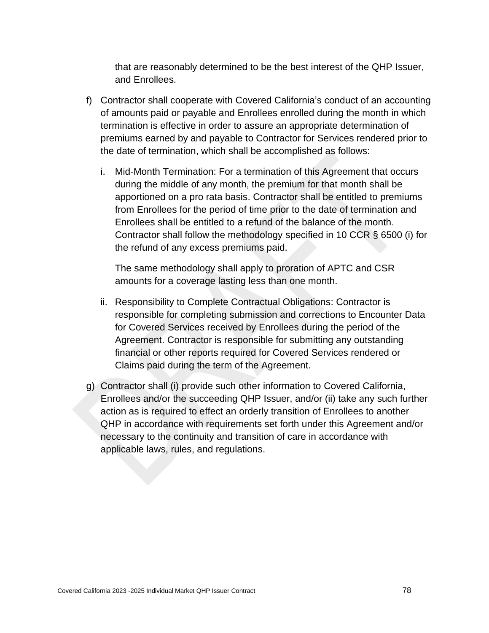that are reasonably determined to be the best interest of the QHP Issuer, and Enrollees.

- f) Contractor shall cooperate with Covered California's conduct of an accounting of amounts paid or payable and Enrollees enrolled during the month in which termination is effective in order to assure an appropriate determination of premiums earned by and payable to Contractor for Services rendered prior to the date of termination, which shall be accomplished as follows:
	- i. Mid-Month Termination: For a termination of this Agreement that occurs during the middle of any month, the premium for that month shall be apportioned on a pro rata basis. Contractor shall be entitled to premiums from Enrollees for the period of time prior to the date of termination and Enrollees shall be entitled to a refund of the balance of the month. Contractor shall follow the methodology specified in 10 CCR § 6500 (i) for the refund of any excess premiums paid.

The same methodology shall apply to proration of APTC and CSR amounts for a coverage lasting less than one month.

- ii. Responsibility to Complete Contractual Obligations: Contractor is responsible for completing submission and corrections to Encounter Data for Covered Services received by Enrollees during the period of the Agreement. Contractor is responsible for submitting any outstanding financial or other reports required for Covered Services rendered or Claims paid during the term of the Agreement.
- g) Contractor shall (i) provide such other information to Covered California, Enrollees and/or the succeeding QHP Issuer, and/or (ii) take any such further action as is required to effect an orderly transition of Enrollees to another QHP in accordance with requirements set forth under this Agreement and/or necessary to the continuity and transition of care in accordance with applicable laws, rules, and regulations.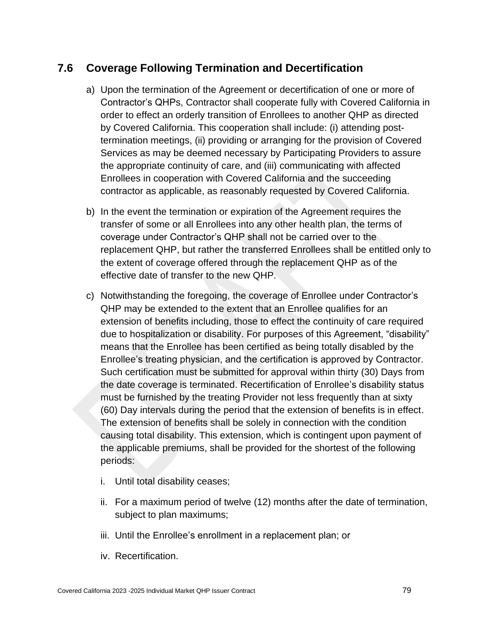## **7.6 Coverage Following Termination and Decertification**

- a) Upon the termination of the Agreement or decertification of one or more of Contractor's QHPs, Contractor shall cooperate fully with Covered California in order to effect an orderly transition of Enrollees to another QHP as directed by Covered California. This cooperation shall include: (i) attending posttermination meetings, (ii) providing or arranging for the provision of Covered Services as may be deemed necessary by Participating Providers to assure the appropriate continuity of care, and (iii) communicating with affected Enrollees in cooperation with Covered California and the succeeding contractor as applicable, as reasonably requested by Covered California.
- b) In the event the termination or expiration of the Agreement requires the transfer of some or all Enrollees into any other health plan, the terms of coverage under Contractor's QHP shall not be carried over to the replacement QHP, but rather the transferred Enrollees shall be entitled only to the extent of coverage offered through the replacement QHP as of the effective date of transfer to the new QHP.
- c) Notwithstanding the foregoing, the coverage of Enrollee under Contractor's QHP may be extended to the extent that an Enrollee qualifies for an extension of benefits including, those to effect the continuity of care required due to hospitalization or disability. For purposes of this Agreement, "disability" means that the Enrollee has been certified as being totally disabled by the Enrollee's treating physician, and the certification is approved by Contractor. Such certification must be submitted for approval within thirty (30) Days from the date coverage is terminated. Recertification of Enrollee's disability status must be furnished by the treating Provider not less frequently than at sixty (60) Day intervals during the period that the extension of benefits is in effect. The extension of benefits shall be solely in connection with the condition causing total disability. This extension, which is contingent upon payment of the applicable premiums, shall be provided for the shortest of the following periods:
	- i. Until total disability ceases;
	- ii. For a maximum period of twelve (12) months after the date of termination, subject to plan maximums;
	- iii. Until the Enrollee's enrollment in a replacement plan; or
	- iv. Recertification.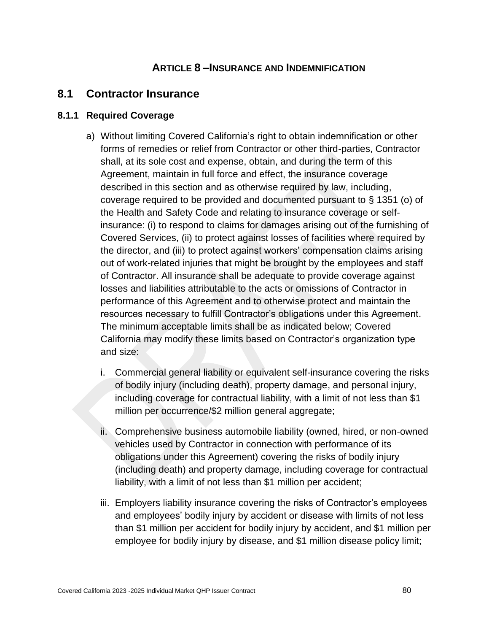### **ARTICLE 8 –INSURANCE AND INDEMNIFICATION**

### **8.1 Contractor Insurance**

#### **8.1.1 Required Coverage**

- a) Without limiting Covered California's right to obtain indemnification or other forms of remedies or relief from Contractor or other third-parties, Contractor shall, at its sole cost and expense, obtain, and during the term of this Agreement, maintain in full force and effect, the insurance coverage described in this section and as otherwise required by law, including, coverage required to be provided and documented pursuant to § 1351 (o) of the Health and Safety Code and relating to insurance coverage or selfinsurance: (i) to respond to claims for damages arising out of the furnishing of Covered Services, (ii) to protect against losses of facilities where required by the director, and (iii) to protect against workers' compensation claims arising out of work-related injuries that might be brought by the employees and staff of Contractor. All insurance shall be adequate to provide coverage against losses and liabilities attributable to the acts or omissions of Contractor in performance of this Agreement and to otherwise protect and maintain the resources necessary to fulfill Contractor's obligations under this Agreement. The minimum acceptable limits shall be as indicated below; Covered California may modify these limits based on Contractor's organization type and size:
	- i. Commercial general liability or equivalent self-insurance covering the risks of bodily injury (including death), property damage, and personal injury, including coverage for contractual liability, with a limit of not less than \$1 million per occurrence/\$2 million general aggregate;
	- ii. Comprehensive business automobile liability (owned, hired, or non-owned vehicles used by Contractor in connection with performance of its obligations under this Agreement) covering the risks of bodily injury (including death) and property damage, including coverage for contractual liability, with a limit of not less than \$1 million per accident;
	- iii. Employers liability insurance covering the risks of Contractor's employees and employees' bodily injury by accident or disease with limits of not less than \$1 million per accident for bodily injury by accident, and \$1 million per employee for bodily injury by disease, and \$1 million disease policy limit;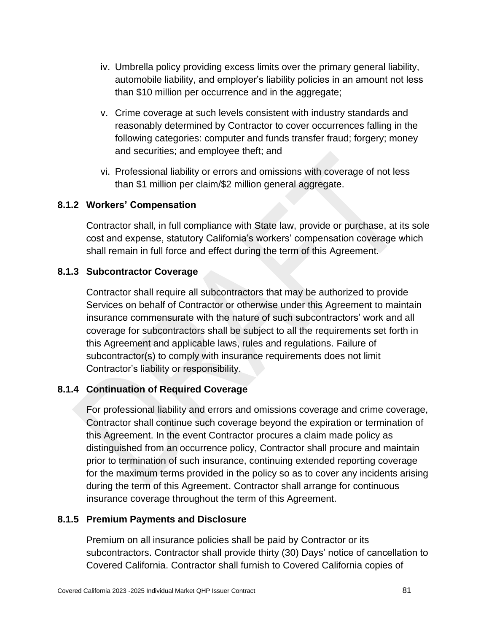- iv. Umbrella policy providing excess limits over the primary general liability, automobile liability, and employer's liability policies in an amount not less than \$10 million per occurrence and in the aggregate;
- v. Crime coverage at such levels consistent with industry standards and reasonably determined by Contractor to cover occurrences falling in the following categories: computer and funds transfer fraud; forgery; money and securities; and employee theft; and
- vi. Professional liability or errors and omissions with coverage of not less than \$1 million per claim/\$2 million general aggregate.

#### **8.1.2 Workers' Compensation**

Contractor shall, in full compliance with State law, provide or purchase, at its sole cost and expense, statutory California's workers' compensation coverage which shall remain in full force and effect during the term of this Agreement.

#### **8.1.3 Subcontractor Coverage**

Contractor shall require all subcontractors that may be authorized to provide Services on behalf of Contractor or otherwise under this Agreement to maintain insurance commensurate with the nature of such subcontractors' work and all coverage for subcontractors shall be subject to all the requirements set forth in this Agreement and applicable laws, rules and regulations. Failure of subcontractor(s) to comply with insurance requirements does not limit Contractor's liability or responsibility.

### **8.1.4 Continuation of Required Coverage**

For professional liability and errors and omissions coverage and crime coverage, Contractor shall continue such coverage beyond the expiration or termination of this Agreement. In the event Contractor procures a claim made policy as distinguished from an occurrence policy, Contractor shall procure and maintain prior to termination of such insurance, continuing extended reporting coverage for the maximum terms provided in the policy so as to cover any incidents arising during the term of this Agreement. Contractor shall arrange for continuous insurance coverage throughout the term of this Agreement.

#### **8.1.5 Premium Payments and Disclosure**

Premium on all insurance policies shall be paid by Contractor or its subcontractors. Contractor shall provide thirty (30) Days' notice of cancellation to Covered California. Contractor shall furnish to Covered California copies of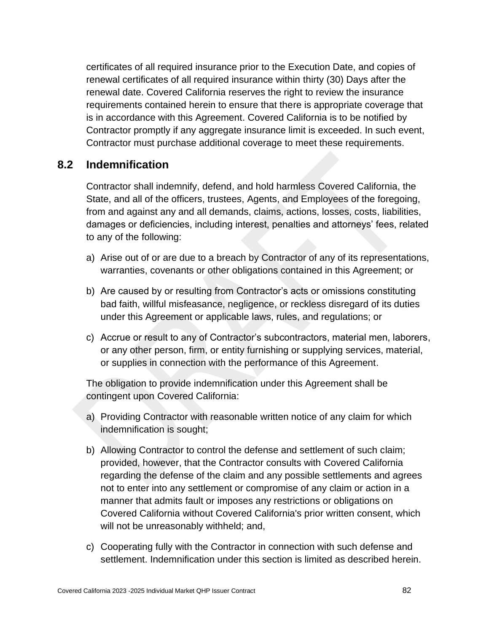certificates of all required insurance prior to the Execution Date, and copies of renewal certificates of all required insurance within thirty (30) Days after the renewal date. Covered California reserves the right to review the insurance requirements contained herein to ensure that there is appropriate coverage that is in accordance with this Agreement. Covered California is to be notified by Contractor promptly if any aggregate insurance limit is exceeded. In such event, Contractor must purchase additional coverage to meet these requirements.

### **8.2 Indemnification**

Contractor shall indemnify, defend, and hold harmless Covered California, the State, and all of the officers, trustees, Agents, and Employees of the foregoing, from and against any and all demands, claims, actions, losses, costs, liabilities, damages or deficiencies, including interest, penalties and attorneys' fees, related to any of the following:

- a) Arise out of or are due to a breach by Contractor of any of its representations, warranties, covenants or other obligations contained in this Agreement; or
- b) Are caused by or resulting from Contractor's acts or omissions constituting bad faith, willful misfeasance, negligence, or reckless disregard of its duties under this Agreement or applicable laws, rules, and regulations; or
- c) Accrue or result to any of Contractor's subcontractors, material men, laborers, or any other person, firm, or entity furnishing or supplying services, material, or supplies in connection with the performance of this Agreement.

The obligation to provide indemnification under this Agreement shall be contingent upon Covered California:

- a) Providing Contractor with reasonable written notice of any claim for which indemnification is sought;
- b) Allowing Contractor to control the defense and settlement of such claim; provided, however, that the Contractor consults with Covered California regarding the defense of the claim and any possible settlements and agrees not to enter into any settlement or compromise of any claim or action in a manner that admits fault or imposes any restrictions or obligations on Covered California without Covered California's prior written consent, which will not be unreasonably withheld; and,
- c) Cooperating fully with the Contractor in connection with such defense and settlement. Indemnification under this section is limited as described herein.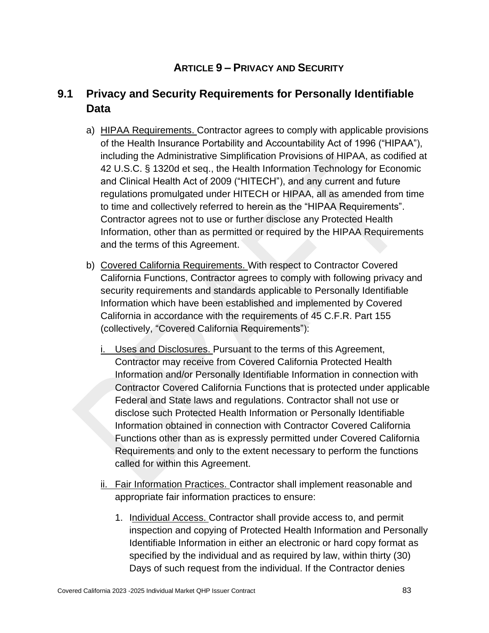## **ARTICLE 9 – PRIVACY AND SECURITY**

# **9.1 Privacy and Security Requirements for Personally Identifiable Data**

- a) HIPAA Requirements. Contractor agrees to comply with applicable provisions of the Health Insurance Portability and Accountability Act of 1996 ("HIPAA"), including the Administrative Simplification Provisions of HIPAA, as codified at 42 U.S.C. § 1320d et seq., the Health Information Technology for Economic and Clinical Health Act of 2009 ("HITECH"), and any current and future regulations promulgated under HITECH or HIPAA, all as amended from time to time and collectively referred to herein as the "HIPAA Requirements". Contractor agrees not to use or further disclose any Protected Health Information, other than as permitted or required by the HIPAA Requirements and the terms of this Agreement.
- b) Covered California Requirements. With respect to Contractor Covered California Functions, Contractor agrees to comply with following privacy and security requirements and standards applicable to Personally Identifiable Information which have been established and implemented by Covered California in accordance with the requirements of 45 C.F.R. Part 155 (collectively, "Covered California Requirements"):
	- i. Uses and Disclosures. Pursuant to the terms of this Agreement, Contractor may receive from Covered California Protected Health Information and/or Personally Identifiable Information in connection with Contractor Covered California Functions that is protected under applicable Federal and State laws and regulations. Contractor shall not use or disclose such Protected Health Information or Personally Identifiable Information obtained in connection with Contractor Covered California Functions other than as is expressly permitted under Covered California Requirements and only to the extent necessary to perform the functions called for within this Agreement.
	- ii. Fair Information Practices. Contractor shall implement reasonable and appropriate fair information practices to ensure:
		- 1. Individual Access. Contractor shall provide access to, and permit inspection and copying of Protected Health Information and Personally Identifiable Information in either an electronic or hard copy format as specified by the individual and as required by law, within thirty (30) Days of such request from the individual. If the Contractor denies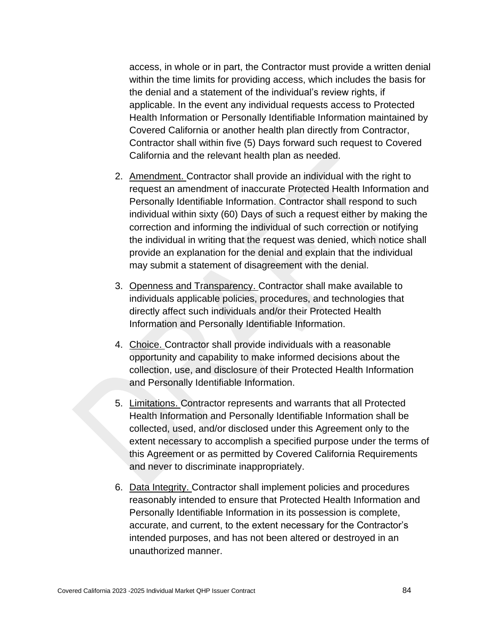access, in whole or in part, the Contractor must provide a written denial within the time limits for providing access, which includes the basis for the denial and a statement of the individual's review rights, if applicable. In the event any individual requests access to Protected Health Information or Personally Identifiable Information maintained by Covered California or another health plan directly from Contractor, Contractor shall within five (5) Days forward such request to Covered California and the relevant health plan as needed.

- 2. Amendment. Contractor shall provide an individual with the right to request an amendment of inaccurate Protected Health Information and Personally Identifiable Information. Contractor shall respond to such individual within sixty (60) Days of such a request either by making the correction and informing the individual of such correction or notifying the individual in writing that the request was denied, which notice shall provide an explanation for the denial and explain that the individual may submit a statement of disagreement with the denial.
- 3. Openness and Transparency. Contractor shall make available to individuals applicable policies, procedures, and technologies that directly affect such individuals and/or their Protected Health Information and Personally Identifiable Information.
- 4. Choice. Contractor shall provide individuals with a reasonable opportunity and capability to make informed decisions about the collection, use, and disclosure of their Protected Health Information and Personally Identifiable Information.
- 5. Limitations. Contractor represents and warrants that all Protected Health Information and Personally Identifiable Information shall be collected, used, and/or disclosed under this Agreement only to the extent necessary to accomplish a specified purpose under the terms of this Agreement or as permitted by Covered California Requirements and never to discriminate inappropriately.
- 6. Data Integrity. Contractor shall implement policies and procedures reasonably intended to ensure that Protected Health Information and Personally Identifiable Information in its possession is complete, accurate, and current, to the extent necessary for the Contractor's intended purposes, and has not been altered or destroyed in an unauthorized manner.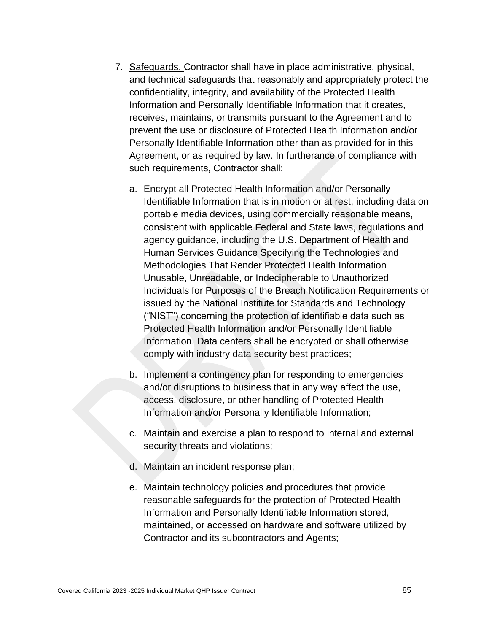- 7. Safeguards. Contractor shall have in place administrative, physical, and technical safeguards that reasonably and appropriately protect the confidentiality, integrity, and availability of the Protected Health Information and Personally Identifiable Information that it creates, receives, maintains, or transmits pursuant to the Agreement and to prevent the use or disclosure of Protected Health Information and/or Personally Identifiable Information other than as provided for in this Agreement, or as required by law. In furtherance of compliance with such requirements, Contractor shall:
	- a. Encrypt all Protected Health Information and/or Personally Identifiable Information that is in motion or at rest, including data on portable media devices, using commercially reasonable means, consistent with applicable Federal and State laws, regulations and agency guidance, including the U.S. Department of Health and Human Services Guidance Specifying the Technologies and Methodologies That Render Protected Health Information Unusable, Unreadable, or Indecipherable to Unauthorized Individuals for Purposes of the Breach Notification Requirements or issued by the National Institute for Standards and Technology ("NIST") concerning the protection of identifiable data such as Protected Health Information and/or Personally Identifiable Information. Data centers shall be encrypted or shall otherwise comply with industry data security best practices;
	- b. Implement a contingency plan for responding to emergencies and/or disruptions to business that in any way affect the use, access, disclosure, or other handling of Protected Health Information and/or Personally Identifiable Information;
	- c. Maintain and exercise a plan to respond to internal and external security threats and violations;
	- d. Maintain an incident response plan;
	- e. Maintain technology policies and procedures that provide reasonable safeguards for the protection of Protected Health Information and Personally Identifiable Information stored, maintained, or accessed on hardware and software utilized by Contractor and its subcontractors and Agents;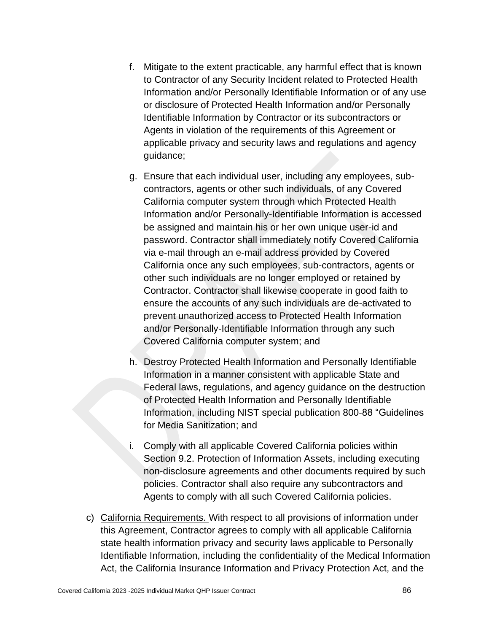- f. Mitigate to the extent practicable, any harmful effect that is known to Contractor of any Security Incident related to Protected Health Information and/or Personally Identifiable Information or of any use or disclosure of Protected Health Information and/or Personally Identifiable Information by Contractor or its subcontractors or Agents in violation of the requirements of this Agreement or applicable privacy and security laws and regulations and agency guidance;
- g. Ensure that each individual user, including any employees, subcontractors, agents or other such individuals, of any Covered California computer system through which Protected Health Information and/or Personally-Identifiable Information is accessed be assigned and maintain his or her own unique user-id and password. Contractor shall immediately notify Covered California via e-mail through an e-mail address provided by Covered California once any such employees, sub-contractors, agents or other such individuals are no longer employed or retained by Contractor. Contractor shall likewise cooperate in good faith to ensure the accounts of any such individuals are de-activated to prevent unauthorized access to Protected Health Information and/or Personally-Identifiable Information through any such Covered California computer system; and
- h. Destroy Protected Health Information and Personally Identifiable Information in a manner consistent with applicable State and Federal laws, regulations, and agency guidance on the destruction of Protected Health Information and Personally Identifiable Information, including NIST special publication 800-88 "Guidelines for Media Sanitization; and
- i. Comply with all applicable Covered California policies within Section 9.2. Protection of Information Assets, including executing non-disclosure agreements and other documents required by such policies. Contractor shall also require any subcontractors and Agents to comply with all such Covered California policies.
- c) California Requirements. With respect to all provisions of information under this Agreement, Contractor agrees to comply with all applicable California state health information privacy and security laws applicable to Personally Identifiable Information, including the confidentiality of the Medical Information Act, the California Insurance Information and Privacy Protection Act, and the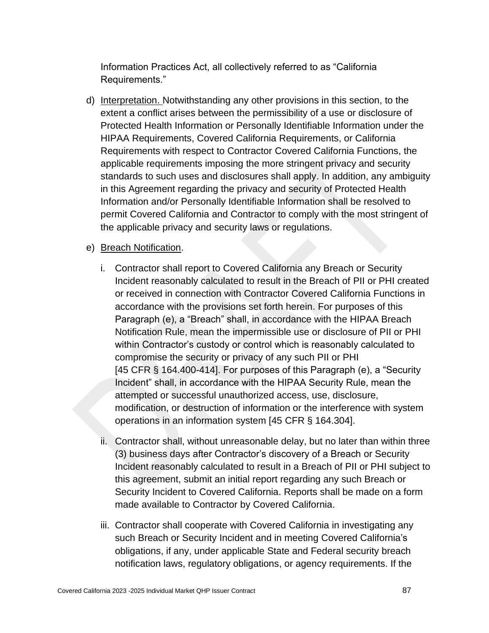Information Practices Act, all collectively referred to as "California Requirements."

d) Interpretation. Notwithstanding any other provisions in this section, to the extent a conflict arises between the permissibility of a use or disclosure of Protected Health Information or Personally Identifiable Information under the HIPAA Requirements, Covered California Requirements, or California Requirements with respect to Contractor Covered California Functions, the applicable requirements imposing the more stringent privacy and security standards to such uses and disclosures shall apply. In addition, any ambiguity in this Agreement regarding the privacy and security of Protected Health Information and/or Personally Identifiable Information shall be resolved to permit Covered California and Contractor to comply with the most stringent of the applicable privacy and security laws or regulations.

#### e) Breach Notification.

- i. Contractor shall report to Covered California any Breach or Security Incident reasonably calculated to result in the Breach of PII or PHI created or received in connection with Contractor Covered California Functions in accordance with the provisions set forth herein. For purposes of this Paragraph (e), a "Breach" shall, in accordance with the HIPAA Breach Notification Rule, mean the impermissible use or disclosure of PII or PHI within Contractor's custody or control which is reasonably calculated to compromise the security or privacy of any such PII or PHI [45 CFR § 164.400-414]. For purposes of this Paragraph (e), a "Security Incident" shall, in accordance with the HIPAA Security Rule, mean the attempted or successful unauthorized access, use, disclosure, modification, or destruction of information or the interference with system operations in an information system [45 CFR § 164.304].
- ii. Contractor shall, without unreasonable delay, but no later than within three (3) business days after Contractor's discovery of a Breach or Security Incident reasonably calculated to result in a Breach of PII or PHI subject to this agreement, submit an initial report regarding any such Breach or Security Incident to Covered California. Reports shall be made on a form made available to Contractor by Covered California.
- iii. Contractor shall cooperate with Covered California in investigating any such Breach or Security Incident and in meeting Covered California's obligations, if any, under applicable State and Federal security breach notification laws, regulatory obligations, or agency requirements. If the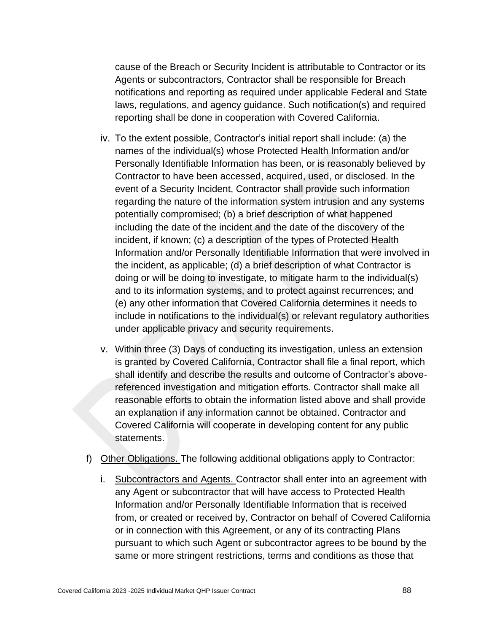cause of the Breach or Security Incident is attributable to Contractor or its Agents or subcontractors, Contractor shall be responsible for Breach notifications and reporting as required under applicable Federal and State laws, regulations, and agency guidance. Such notification(s) and required reporting shall be done in cooperation with Covered California.

- iv. To the extent possible, Contractor's initial report shall include: (a) the names of the individual(s) whose Protected Health Information and/or Personally Identifiable Information has been, or is reasonably believed by Contractor to have been accessed, acquired, used, or disclosed. In the event of a Security Incident, Contractor shall provide such information regarding the nature of the information system intrusion and any systems potentially compromised; (b) a brief description of what happened including the date of the incident and the date of the discovery of the incident, if known; (c) a description of the types of Protected Health Information and/or Personally Identifiable Information that were involved in the incident, as applicable; (d) a brief description of what Contractor is doing or will be doing to investigate, to mitigate harm to the individual(s) and to its information systems, and to protect against recurrences; and (e) any other information that Covered California determines it needs to include in notifications to the individual(s) or relevant regulatory authorities under applicable privacy and security requirements.
- v. Within three (3) Days of conducting its investigation, unless an extension is granted by Covered California, Contractor shall file a final report, which shall identify and describe the results and outcome of Contractor's abovereferenced investigation and mitigation efforts. Contractor shall make all reasonable efforts to obtain the information listed above and shall provide an explanation if any information cannot be obtained. Contractor and Covered California will cooperate in developing content for any public statements.
- f) Other Obligations. The following additional obligations apply to Contractor:
	- i. Subcontractors and Agents. Contractor shall enter into an agreement with any Agent or subcontractor that will have access to Protected Health Information and/or Personally Identifiable Information that is received from, or created or received by, Contractor on behalf of Covered California or in connection with this Agreement, or any of its contracting Plans pursuant to which such Agent or subcontractor agrees to be bound by the same or more stringent restrictions, terms and conditions as those that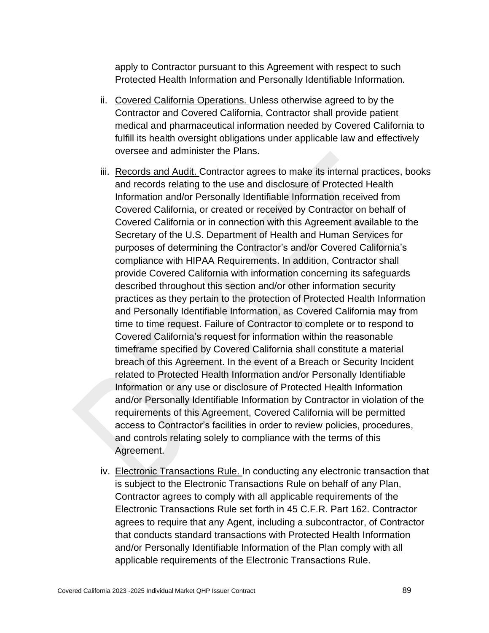apply to Contractor pursuant to this Agreement with respect to such Protected Health Information and Personally Identifiable Information.

- ii. Covered California Operations. Unless otherwise agreed to by the Contractor and Covered California, Contractor shall provide patient medical and pharmaceutical information needed by Covered California to fulfill its health oversight obligations under applicable law and effectively oversee and administer the Plans.
- iii. Records and Audit. Contractor agrees to make its internal practices, books and records relating to the use and disclosure of Protected Health Information and/or Personally Identifiable Information received from Covered California, or created or received by Contractor on behalf of Covered California or in connection with this Agreement available to the Secretary of the U.S. Department of Health and Human Services for purposes of determining the Contractor's and/or Covered California's compliance with HIPAA Requirements. In addition, Contractor shall provide Covered California with information concerning its safeguards described throughout this section and/or other information security practices as they pertain to the protection of Protected Health Information and Personally Identifiable Information, as Covered California may from time to time request. Failure of Contractor to complete or to respond to Covered California's request for information within the reasonable timeframe specified by Covered California shall constitute a material breach of this Agreement. In the event of a Breach or Security Incident related to Protected Health Information and/or Personally Identifiable Information or any use or disclosure of Protected Health Information and/or Personally Identifiable Information by Contractor in violation of the requirements of this Agreement, Covered California will be permitted access to Contractor's facilities in order to review policies, procedures, and controls relating solely to compliance with the terms of this Agreement.
- iv. Electronic Transactions Rule. In conducting any electronic transaction that is subject to the Electronic Transactions Rule on behalf of any Plan, Contractor agrees to comply with all applicable requirements of the Electronic Transactions Rule set forth in 45 C.F.R. Part 162. Contractor agrees to require that any Agent, including a subcontractor, of Contractor that conducts standard transactions with Protected Health Information and/or Personally Identifiable Information of the Plan comply with all applicable requirements of the Electronic Transactions Rule.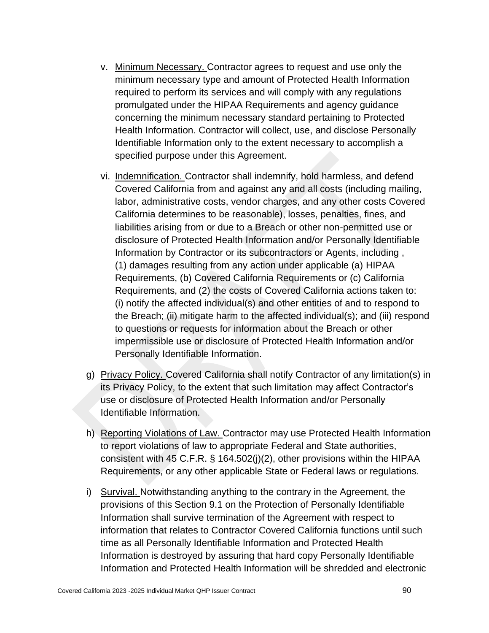- v. Minimum Necessary. Contractor agrees to request and use only the minimum necessary type and amount of Protected Health Information required to perform its services and will comply with any regulations promulgated under the HIPAA Requirements and agency guidance concerning the minimum necessary standard pertaining to Protected Health Information. Contractor will collect, use, and disclose Personally Identifiable Information only to the extent necessary to accomplish a specified purpose under this Agreement.
- vi. Indemnification. Contractor shall indemnify, hold harmless, and defend Covered California from and against any and all costs (including mailing, labor, administrative costs, vendor charges, and any other costs Covered California determines to be reasonable), losses, penalties, fines, and liabilities arising from or due to a Breach or other non-permitted use or disclosure of Protected Health Information and/or Personally Identifiable Information by Contractor or its subcontractors or Agents, including , (1) damages resulting from any action under applicable (a) HIPAA Requirements, (b) Covered California Requirements or (c) California Requirements, and (2) the costs of Covered California actions taken to: (i) notify the affected individual(s) and other entities of and to respond to the Breach; (ii) mitigate harm to the affected individual(s); and (iii) respond to questions or requests for information about the Breach or other impermissible use or disclosure of Protected Health Information and/or Personally Identifiable Information.
- g) Privacy Policy. Covered California shall notify Contractor of any limitation(s) in its Privacy Policy, to the extent that such limitation may affect Contractor's use or disclosure of Protected Health Information and/or Personally Identifiable Information.
- h) Reporting Violations of Law. Contractor may use Protected Health Information to report violations of law to appropriate Federal and State authorities, consistent with 45 C.F.R. § 164.502(j)(2), other provisions within the HIPAA Requirements, or any other applicable State or Federal laws or regulations.
- i) Survival. Notwithstanding anything to the contrary in the Agreement, the provisions of this Section 9.1 on the Protection of Personally Identifiable Information shall survive termination of the Agreement with respect to information that relates to Contractor Covered California functions until such time as all Personally Identifiable Information and Protected Health Information is destroyed by assuring that hard copy Personally Identifiable Information and Protected Health Information will be shredded and electronic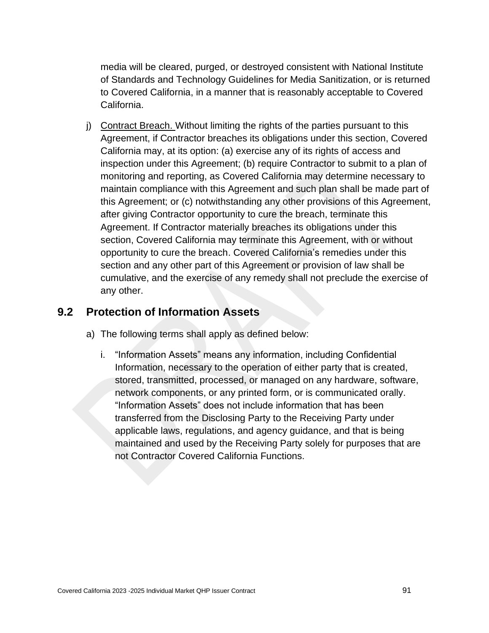media will be cleared, purged, or destroyed consistent with National Institute of Standards and Technology Guidelines for Media Sanitization, or is returned to Covered California, in a manner that is reasonably acceptable to Covered California.

j) Contract Breach. Without limiting the rights of the parties pursuant to this Agreement, if Contractor breaches its obligations under this section, Covered California may, at its option: (a) exercise any of its rights of access and inspection under this Agreement; (b) require Contractor to submit to a plan of monitoring and reporting, as Covered California may determine necessary to maintain compliance with this Agreement and such plan shall be made part of this Agreement; or (c) notwithstanding any other provisions of this Agreement, after giving Contractor opportunity to cure the breach, terminate this Agreement. If Contractor materially breaches its obligations under this section, Covered California may terminate this Agreement, with or without opportunity to cure the breach. Covered California's remedies under this section and any other part of this Agreement or provision of law shall be cumulative, and the exercise of any remedy shall not preclude the exercise of any other.

### **9.2 Protection of Information Assets**

- a) The following terms shall apply as defined below:
	- i. "Information Assets" means any information, including Confidential Information, necessary to the operation of either party that is created, stored, transmitted, processed, or managed on any hardware, software, network components, or any printed form, or is communicated orally. "Information Assets" does not include information that has been transferred from the Disclosing Party to the Receiving Party under applicable laws, regulations, and agency guidance, and that is being maintained and used by the Receiving Party solely for purposes that are not Contractor Covered California Functions.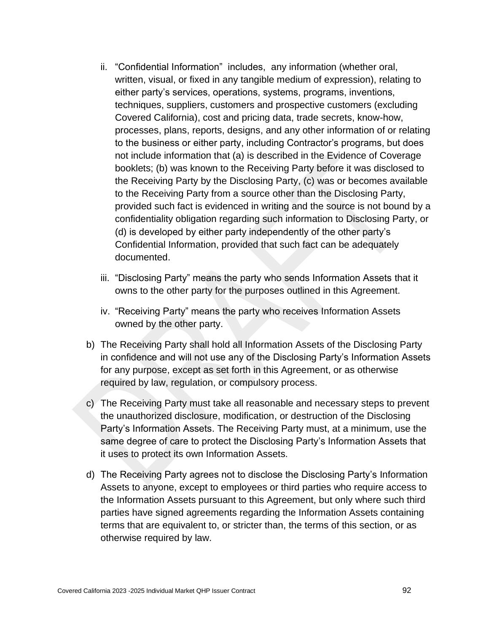- ii. "Confidential Information" includes, any information (whether oral, written, visual, or fixed in any tangible medium of expression), relating to either party's services, operations, systems, programs, inventions, techniques, suppliers, customers and prospective customers (excluding Covered California), cost and pricing data, trade secrets, know-how, processes, plans, reports, designs, and any other information of or relating to the business or either party, including Contractor's programs, but does not include information that (a) is described in the Evidence of Coverage booklets; (b) was known to the Receiving Party before it was disclosed to the Receiving Party by the Disclosing Party, (c) was or becomes available to the Receiving Party from a source other than the Disclosing Party, provided such fact is evidenced in writing and the source is not bound by a confidentiality obligation regarding such information to Disclosing Party, or (d) is developed by either party independently of the other party's Confidential Information, provided that such fact can be adequately documented.
- iii. "Disclosing Party" means the party who sends Information Assets that it owns to the other party for the purposes outlined in this Agreement.
- iv. "Receiving Party" means the party who receives Information Assets owned by the other party.
- b) The Receiving Party shall hold all Information Assets of the Disclosing Party in confidence and will not use any of the Disclosing Party's Information Assets for any purpose, except as set forth in this Agreement, or as otherwise required by law, regulation, or compulsory process.
- c) The Receiving Party must take all reasonable and necessary steps to prevent the unauthorized disclosure, modification, or destruction of the Disclosing Party's Information Assets. The Receiving Party must, at a minimum, use the same degree of care to protect the Disclosing Party's Information Assets that it uses to protect its own Information Assets.
- d) The Receiving Party agrees not to disclose the Disclosing Party's Information Assets to anyone, except to employees or third parties who require access to the Information Assets pursuant to this Agreement, but only where such third parties have signed agreements regarding the Information Assets containing terms that are equivalent to, or stricter than, the terms of this section, or as otherwise required by law.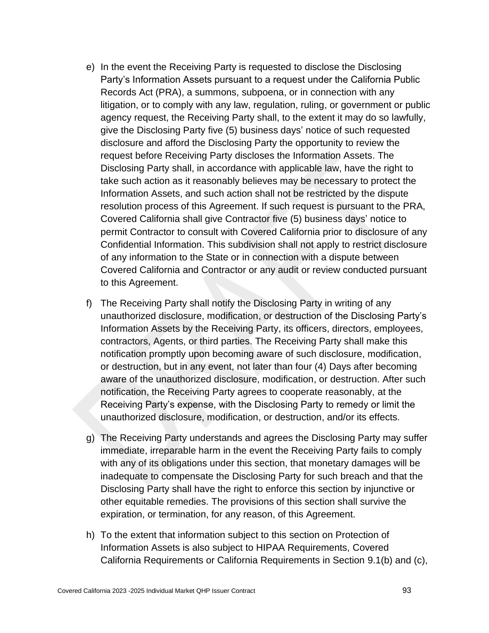- e) In the event the Receiving Party is requested to disclose the Disclosing Party's Information Assets pursuant to a request under the California Public Records Act (PRA), a summons, subpoena, or in connection with any litigation, or to comply with any law, regulation, ruling, or government or public agency request, the Receiving Party shall, to the extent it may do so lawfully, give the Disclosing Party five (5) business days' notice of such requested disclosure and afford the Disclosing Party the opportunity to review the request before Receiving Party discloses the Information Assets. The Disclosing Party shall, in accordance with applicable law, have the right to take such action as it reasonably believes may be necessary to protect the Information Assets, and such action shall not be restricted by the dispute resolution process of this Agreement. If such request is pursuant to the PRA, Covered California shall give Contractor five (5) business days' notice to permit Contractor to consult with Covered California prior to disclosure of any Confidential Information. This subdivision shall not apply to restrict disclosure of any information to the State or in connection with a dispute between Covered California and Contractor or any audit or review conducted pursuant to this Agreement.
- f) The Receiving Party shall notify the Disclosing Party in writing of any unauthorized disclosure, modification, or destruction of the Disclosing Party's Information Assets by the Receiving Party, its officers, directors, employees, contractors, Agents, or third parties. The Receiving Party shall make this notification promptly upon becoming aware of such disclosure, modification, or destruction, but in any event, not later than four (4) Days after becoming aware of the unauthorized disclosure, modification, or destruction. After such notification, the Receiving Party agrees to cooperate reasonably, at the Receiving Party's expense, with the Disclosing Party to remedy or limit the unauthorized disclosure, modification, or destruction, and/or its effects.
- g) The Receiving Party understands and agrees the Disclosing Party may suffer immediate, irreparable harm in the event the Receiving Party fails to comply with any of its obligations under this section, that monetary damages will be inadequate to compensate the Disclosing Party for such breach and that the Disclosing Party shall have the right to enforce this section by injunctive or other equitable remedies. The provisions of this section shall survive the expiration, or termination, for any reason, of this Agreement.
- h) To the extent that information subject to this section on Protection of Information Assets is also subject to HIPAA Requirements, Covered California Requirements or California Requirements in Section 9.1(b) and (c),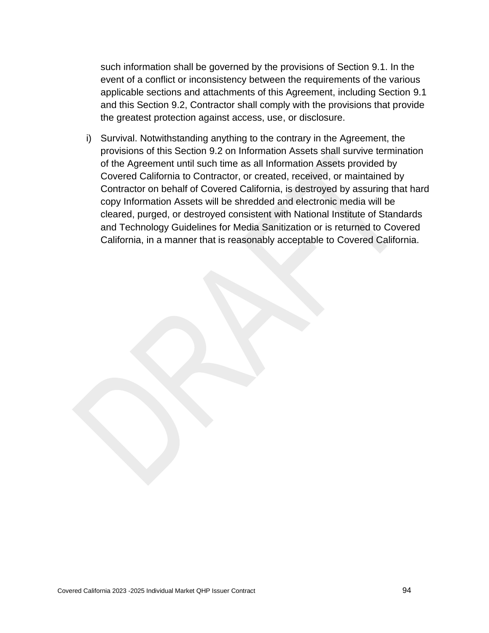such information shall be governed by the provisions of Section 9.1. In the event of a conflict or inconsistency between the requirements of the various applicable sections and attachments of this Agreement, including Section 9.1 and this Section 9.2, Contractor shall comply with the provisions that provide the greatest protection against access, use, or disclosure.

i) Survival. Notwithstanding anything to the contrary in the Agreement, the provisions of this Section 9.2 on Information Assets shall survive termination of the Agreement until such time as all Information Assets provided by Covered California to Contractor, or created, received, or maintained by Contractor on behalf of Covered California, is destroyed by assuring that hard copy Information Assets will be shredded and electronic media will be cleared, purged, or destroyed consistent with National Institute of Standards and Technology Guidelines for Media Sanitization or is returned to Covered California, in a manner that is reasonably acceptable to Covered California.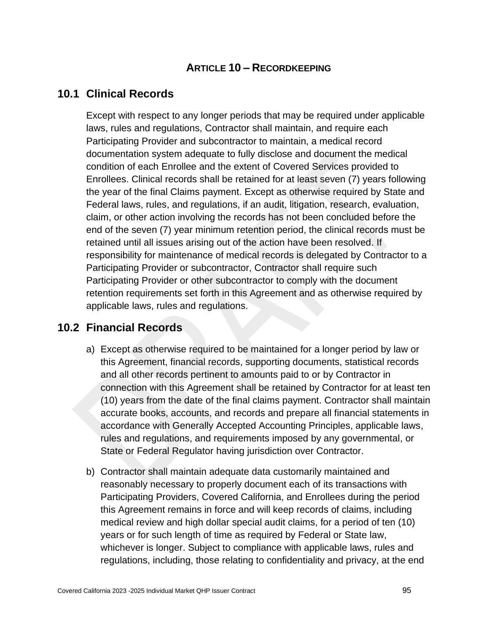### **ARTICLE 10 – RECORDKEEPING**

### **10.1 Clinical Records**

Except with respect to any longer periods that may be required under applicable laws, rules and regulations, Contractor shall maintain, and require each Participating Provider and subcontractor to maintain, a medical record documentation system adequate to fully disclose and document the medical condition of each Enrollee and the extent of Covered Services provided to Enrollees. Clinical records shall be retained for at least seven (7) years following the year of the final Claims payment. Except as otherwise required by State and Federal laws, rules, and regulations, if an audit, litigation, research, evaluation, claim, or other action involving the records has not been concluded before the end of the seven (7) year minimum retention period, the clinical records must be retained until all issues arising out of the action have been resolved. If responsibility for maintenance of medical records is delegated by Contractor to a Participating Provider or subcontractor, Contractor shall require such Participating Provider or other subcontractor to comply with the document retention requirements set forth in this Agreement and as otherwise required by applicable laws, rules and regulations.

### **10.2 Financial Records**

- a) Except as otherwise required to be maintained for a longer period by law or this Agreement, financial records, supporting documents, statistical records and all other records pertinent to amounts paid to or by Contractor in connection with this Agreement shall be retained by Contractor for at least ten (10) years from the date of the final claims payment. Contractor shall maintain accurate books, accounts, and records and prepare all financial statements in accordance with Generally Accepted Accounting Principles, applicable laws, rules and regulations, and requirements imposed by any governmental, or State or Federal Regulator having jurisdiction over Contractor.
- b) Contractor shall maintain adequate data customarily maintained and reasonably necessary to properly document each of its transactions with Participating Providers, Covered California, and Enrollees during the period this Agreement remains in force and will keep records of claims, including medical review and high dollar special audit claims, for a period of ten (10) years or for such length of time as required by Federal or State law, whichever is longer. Subject to compliance with applicable laws, rules and regulations, including, those relating to confidentiality and privacy, at the end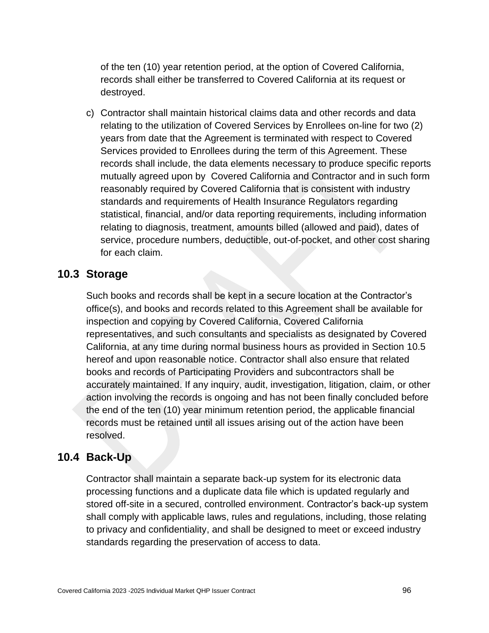of the ten (10) year retention period, at the option of Covered California, records shall either be transferred to Covered California at its request or destroyed.

c) Contractor shall maintain historical claims data and other records and data relating to the utilization of Covered Services by Enrollees on-line for two (2) years from date that the Agreement is terminated with respect to Covered Services provided to Enrollees during the term of this Agreement. These records shall include, the data elements necessary to produce specific reports mutually agreed upon by Covered California and Contractor and in such form reasonably required by Covered California that is consistent with industry standards and requirements of Health Insurance Regulators regarding statistical, financial, and/or data reporting requirements, including information relating to diagnosis, treatment, amounts billed (allowed and paid), dates of service, procedure numbers, deductible, out-of-pocket, and other cost sharing for each claim.

#### **10.3 Storage**

Such books and records shall be kept in a secure location at the Contractor's office(s), and books and records related to this Agreement shall be available for inspection and copying by Covered California, Covered California representatives, and such consultants and specialists as designated by Covered California, at any time during normal business hours as provided in Section 10.5 hereof and upon reasonable notice. Contractor shall also ensure that related books and records of Participating Providers and subcontractors shall be accurately maintained. If any inquiry, audit, investigation, litigation, claim, or other action involving the records is ongoing and has not been finally concluded before the end of the ten (10) year minimum retention period, the applicable financial records must be retained until all issues arising out of the action have been resolved.

### **10.4 Back-Up**

Contractor shall maintain a separate back-up system for its electronic data processing functions and a duplicate data file which is updated regularly and stored off-site in a secured, controlled environment. Contractor's back-up system shall comply with applicable laws, rules and regulations, including, those relating to privacy and confidentiality, and shall be designed to meet or exceed industry standards regarding the preservation of access to data.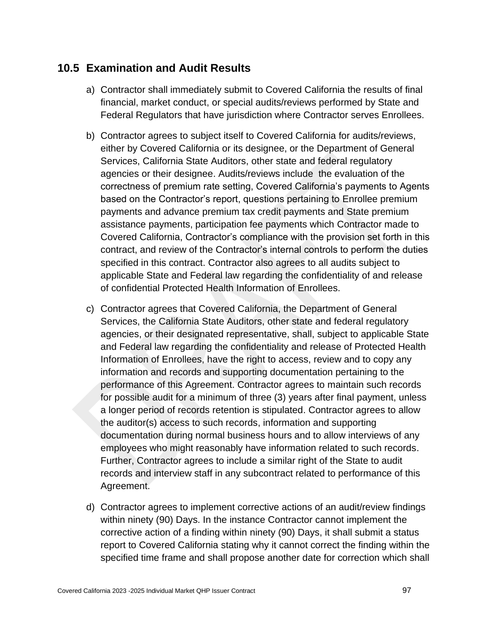## **10.5 Examination and Audit Results**

- a) Contractor shall immediately submit to Covered California the results of final financial, market conduct, or special audits/reviews performed by State and Federal Regulators that have jurisdiction where Contractor serves Enrollees.
- b) Contractor agrees to subject itself to Covered California for audits/reviews, either by Covered California or its designee, or the Department of General Services, California State Auditors, other state and federal regulatory agencies or their designee. Audits/reviews include the evaluation of the correctness of premium rate setting, Covered California's payments to Agents based on the Contractor's report, questions pertaining to Enrollee premium payments and advance premium tax credit payments and State premium assistance payments, participation fee payments which Contractor made to Covered California, Contractor's compliance with the provision set forth in this contract, and review of the Contractor's internal controls to perform the duties specified in this contract. Contractor also agrees to all audits subject to applicable State and Federal law regarding the confidentiality of and release of confidential Protected Health Information of Enrollees.
- c) Contractor agrees that Covered California, the Department of General Services, the California State Auditors, other state and federal regulatory agencies, or their designated representative, shall, subject to applicable State and Federal law regarding the confidentiality and release of Protected Health Information of Enrollees, have the right to access, review and to copy any information and records and supporting documentation pertaining to the performance of this Agreement. Contractor agrees to maintain such records for possible audit for a minimum of three (3) years after final payment, unless a longer period of records retention is stipulated. Contractor agrees to allow the auditor(s) access to such records, information and supporting documentation during normal business hours and to allow interviews of any employees who might reasonably have information related to such records. Further, Contractor agrees to include a similar right of the State to audit records and interview staff in any subcontract related to performance of this Agreement.
- d) Contractor agrees to implement corrective actions of an audit/review findings within ninety (90) Days. In the instance Contractor cannot implement the corrective action of a finding within ninety (90) Days, it shall submit a status report to Covered California stating why it cannot correct the finding within the specified time frame and shall propose another date for correction which shall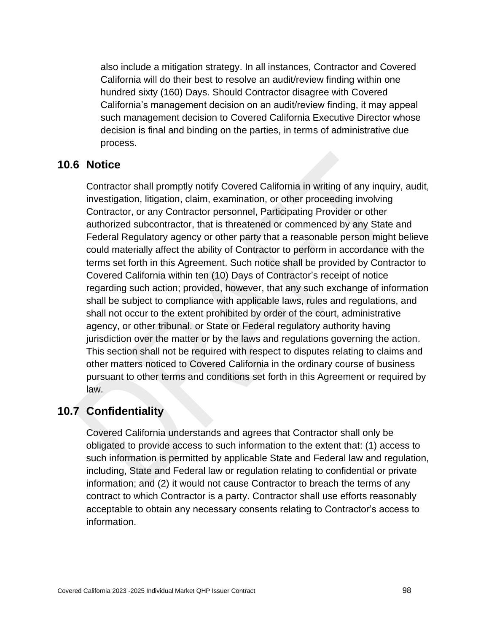also include a mitigation strategy. In all instances, Contractor and Covered California will do their best to resolve an audit/review finding within one hundred sixty (160) Days. Should Contractor disagree with Covered California's management decision on an audit/review finding, it may appeal such management decision to Covered California Executive Director whose decision is final and binding on the parties, in terms of administrative due process.

## **10.6 Notice**

Contractor shall promptly notify Covered California in writing of any inquiry, audit, investigation, litigation, claim, examination, or other proceeding involving Contractor, or any Contractor personnel, Participating Provider or other authorized subcontractor, that is threatened or commenced by any State and Federal Regulatory agency or other party that a reasonable person might believe could materially affect the ability of Contractor to perform in accordance with the terms set forth in this Agreement. Such notice shall be provided by Contractor to Covered California within ten (10) Days of Contractor's receipt of notice regarding such action; provided, however, that any such exchange of information shall be subject to compliance with applicable laws, rules and regulations, and shall not occur to the extent prohibited by order of the court, administrative agency, or other tribunal. or State or Federal regulatory authority having jurisdiction over the matter or by the laws and regulations governing the action. This section shall not be required with respect to disputes relating to claims and other matters noticed to Covered California in the ordinary course of business pursuant to other terms and conditions set forth in this Agreement or required by law.

## **10.7 Confidentiality**

Covered California understands and agrees that Contractor shall only be obligated to provide access to such information to the extent that: (1) access to such information is permitted by applicable State and Federal law and regulation, including, State and Federal law or regulation relating to confidential or private information; and (2) it would not cause Contractor to breach the terms of any contract to which Contractor is a party. Contractor shall use efforts reasonably acceptable to obtain any necessary consents relating to Contractor's access to information.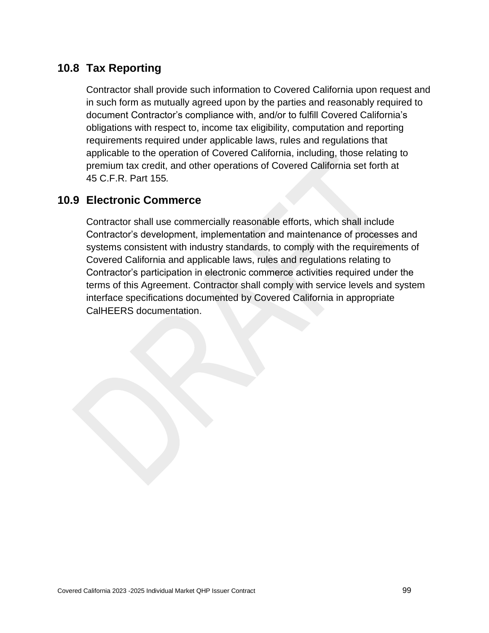## **10.8 Tax Reporting**

Contractor shall provide such information to Covered California upon request and in such form as mutually agreed upon by the parties and reasonably required to document Contractor's compliance with, and/or to fulfill Covered California's obligations with respect to, income tax eligibility, computation and reporting requirements required under applicable laws, rules and regulations that applicable to the operation of Covered California, including, those relating to premium tax credit, and other operations of Covered California set forth at 45 C.F.R. Part 155*.*

## **10.9 Electronic Commerce**

Contractor shall use commercially reasonable efforts, which shall include Contractor's development, implementation and maintenance of processes and systems consistent with industry standards, to comply with the requirements of Covered California and applicable laws, rules and regulations relating to Contractor's participation in electronic commerce activities required under the terms of this Agreement. Contractor shall comply with service levels and system interface specifications documented by Covered California in appropriate CalHEERS documentation.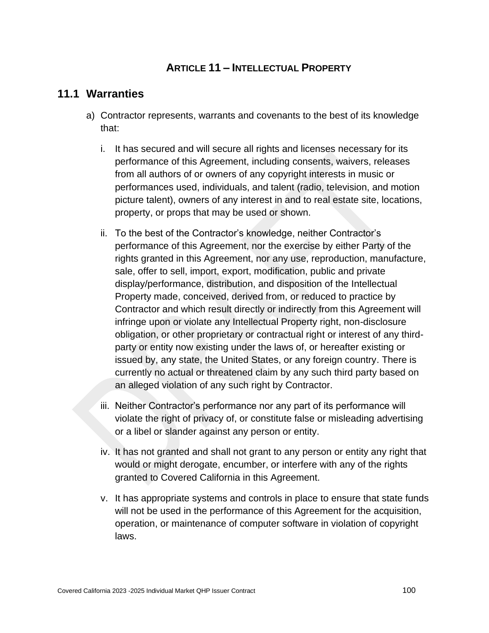### **ARTICLE 11 – INTELLECTUAL PROPERTY**

#### **11.1 Warranties**

- a) Contractor represents, warrants and covenants to the best of its knowledge that:
	- i. It has secured and will secure all rights and licenses necessary for its performance of this Agreement, including consents, waivers, releases from all authors of or owners of any copyright interests in music or performances used, individuals, and talent (radio, television, and motion picture talent), owners of any interest in and to real estate site, locations, property, or props that may be used or shown.
	- ii. To the best of the Contractor's knowledge, neither Contractor's performance of this Agreement, nor the exercise by either Party of the rights granted in this Agreement, nor any use, reproduction, manufacture, sale, offer to sell, import, export, modification, public and private display/performance, distribution, and disposition of the Intellectual Property made, conceived, derived from, or reduced to practice by Contractor and which result directly or indirectly from this Agreement will infringe upon or violate any Intellectual Property right, non-disclosure obligation, or other proprietary or contractual right or interest of any thirdparty or entity now existing under the laws of, or hereafter existing or issued by, any state, the United States, or any foreign country. There is currently no actual or threatened claim by any such third party based on an alleged violation of any such right by Contractor.
	- iii. Neither Contractor's performance nor any part of its performance will violate the right of privacy of, or constitute false or misleading advertising or a libel or slander against any person or entity.
	- iv. It has not granted and shall not grant to any person or entity any right that would or might derogate, encumber, or interfere with any of the rights granted to Covered California in this Agreement.
	- v. It has appropriate systems and controls in place to ensure that state funds will not be used in the performance of this Agreement for the acquisition, operation, or maintenance of computer software in violation of copyright laws.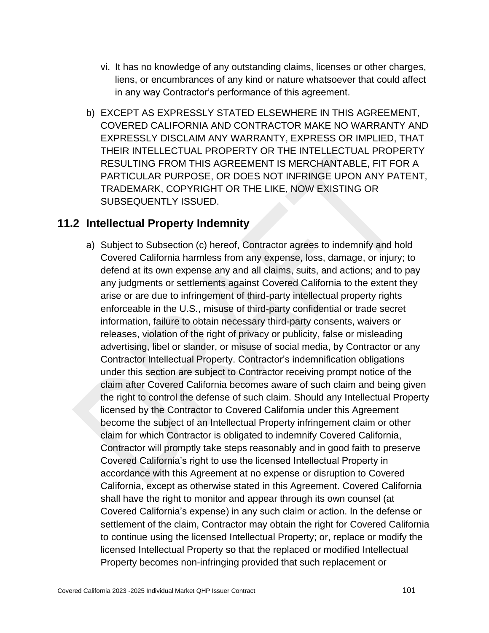- vi. It has no knowledge of any outstanding claims, licenses or other charges, liens, or encumbrances of any kind or nature whatsoever that could affect in any way Contractor's performance of this agreement.
- b) EXCEPT AS EXPRESSLY STATED ELSEWHERE IN THIS AGREEMENT, COVERED CALIFORNIA AND CONTRACTOR MAKE NO WARRANTY AND EXPRESSLY DISCLAIM ANY WARRANTY, EXPRESS OR IMPLIED, THAT THEIR INTELLECTUAL PROPERTY OR THE INTELLECTUAL PROPERTY RESULTING FROM THIS AGREEMENT IS MERCHANTABLE, FIT FOR A PARTICULAR PURPOSE, OR DOES NOT INFRINGE UPON ANY PATENT, TRADEMARK, COPYRIGHT OR THE LIKE, NOW EXISTING OR SUBSEQUENTLY ISSUED.

### **11.2 Intellectual Property Indemnity**

a) Subject to Subsection (c) hereof, Contractor agrees to indemnify and hold Covered California harmless from any expense, loss, damage, or injury; to defend at its own expense any and all claims, suits, and actions; and to pay any judgments or settlements against Covered California to the extent they arise or are due to infringement of third-party intellectual property rights enforceable in the U.S., misuse of third-party confidential or trade secret information, failure to obtain necessary third-party consents, waivers or releases, violation of the right of privacy or publicity, false or misleading advertising, libel or slander, or misuse of social media, by Contractor or any Contractor Intellectual Property. Contractor's indemnification obligations under this section are subject to Contractor receiving prompt notice of the claim after Covered California becomes aware of such claim and being given the right to control the defense of such claim. Should any Intellectual Property licensed by the Contractor to Covered California under this Agreement become the subject of an Intellectual Property infringement claim or other claim for which Contractor is obligated to indemnify Covered California, Contractor will promptly take steps reasonably and in good faith to preserve Covered California's right to use the licensed Intellectual Property in accordance with this Agreement at no expense or disruption to Covered California, except as otherwise stated in this Agreement. Covered California shall have the right to monitor and appear through its own counsel (at Covered California's expense) in any such claim or action. In the defense or settlement of the claim, Contractor may obtain the right for Covered California to continue using the licensed Intellectual Property; or, replace or modify the licensed Intellectual Property so that the replaced or modified Intellectual Property becomes non-infringing provided that such replacement or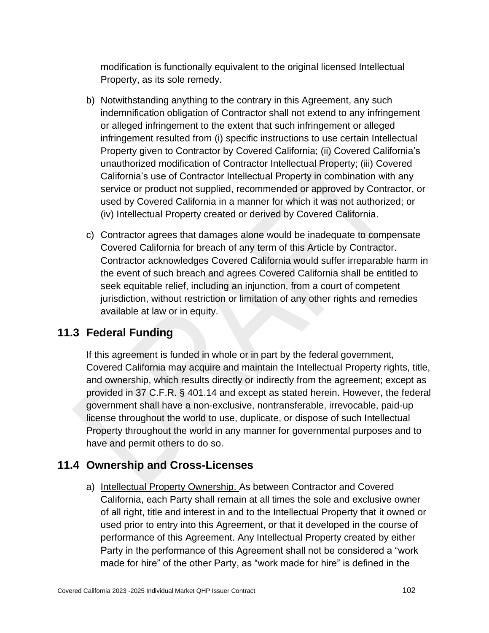modification is functionally equivalent to the original licensed Intellectual Property, as its sole remedy.

- b) Notwithstanding anything to the contrary in this Agreement, any such indemnification obligation of Contractor shall not extend to any infringement or alleged infringement to the extent that such infringement or alleged infringement resulted from (i) specific instructions to use certain Intellectual Property given to Contractor by Covered California; (ii) Covered California's unauthorized modification of Contractor Intellectual Property; (iii) Covered California's use of Contractor Intellectual Property in combination with any service or product not supplied, recommended or approved by Contractor, or used by Covered California in a manner for which it was not authorized; or (iv) Intellectual Property created or derived by Covered California.
- c) Contractor agrees that damages alone would be inadequate to compensate Covered California for breach of any term of this Article by Contractor. Contractor acknowledges Covered California would suffer irreparable harm in the event of such breach and agrees Covered California shall be entitled to seek equitable relief, including an injunction, from a court of competent jurisdiction, without restriction or limitation of any other rights and remedies available at law or in equity.

# **11.3 Federal Funding**

If this agreement is funded in whole or in part by the federal government, Covered California may acquire and maintain the Intellectual Property rights, title, and ownership, which results directly or indirectly from the agreement; except as provided in 37 C.F.R. § 401.14 and except as stated herein. However, the federal government shall have a non-exclusive, nontransferable, irrevocable, paid-up license throughout the world to use, duplicate, or dispose of such Intellectual Property throughout the world in any manner for governmental purposes and to have and permit others to do so.

# **11.4 Ownership and Cross-Licenses**

a) Intellectual Property Ownership. As between Contractor and Covered California, each Party shall remain at all times the sole and exclusive owner of all right, title and interest in and to the Intellectual Property that it owned or used prior to entry into this Agreement, or that it developed in the course of performance of this Agreement. Any Intellectual Property created by either Party in the performance of this Agreement shall not be considered a "work made for hire" of the other Party, as "work made for hire" is defined in the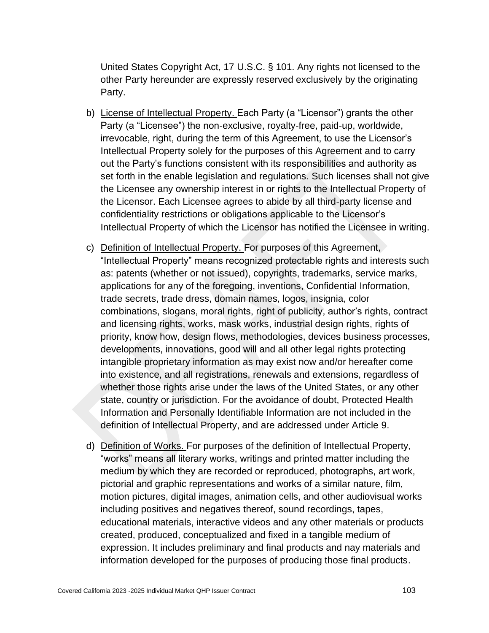United States Copyright Act, 17 U.S.C. § 101. Any rights not licensed to the other Party hereunder are expressly reserved exclusively by the originating Party.

- b) License of Intellectual Property. Each Party (a "Licensor") grants the other Party (a "Licensee") the non-exclusive, royalty-free, paid-up, worldwide, irrevocable, right, during the term of this Agreement, to use the Licensor's Intellectual Property solely for the purposes of this Agreement and to carry out the Party's functions consistent with its responsibilities and authority as set forth in the enable legislation and regulations. Such licenses shall not give the Licensee any ownership interest in or rights to the Intellectual Property of the Licensor. Each Licensee agrees to abide by all third-party license and confidentiality restrictions or obligations applicable to the Licensor's Intellectual Property of which the Licensor has notified the Licensee in writing.
- c) Definition of Intellectual Property. For purposes of this Agreement, "Intellectual Property" means recognized protectable rights and interests such as: patents (whether or not issued), copyrights, trademarks, service marks, applications for any of the foregoing, inventions, Confidential Information, trade secrets, trade dress, domain names, logos, insignia, color combinations, slogans, moral rights, right of publicity, author's rights, contract and licensing rights, works, mask works, industrial design rights, rights of priority, know how, design flows, methodologies, devices business processes, developments, innovations, good will and all other legal rights protecting intangible proprietary information as may exist now and/or hereafter come into existence, and all registrations, renewals and extensions, regardless of whether those rights arise under the laws of the United States, or any other state, country or jurisdiction. For the avoidance of doubt, Protected Health Information and Personally Identifiable Information are not included in the definition of Intellectual Property, and are addressed under Article 9.
- d) Definition of Works. For purposes of the definition of Intellectual Property, "works" means all literary works, writings and printed matter including the medium by which they are recorded or reproduced, photographs, art work, pictorial and graphic representations and works of a similar nature, film, motion pictures, digital images, animation cells, and other audiovisual works including positives and negatives thereof, sound recordings, tapes, educational materials, interactive videos and any other materials or products created, produced, conceptualized and fixed in a tangible medium of expression. It includes preliminary and final products and nay materials and information developed for the purposes of producing those final products.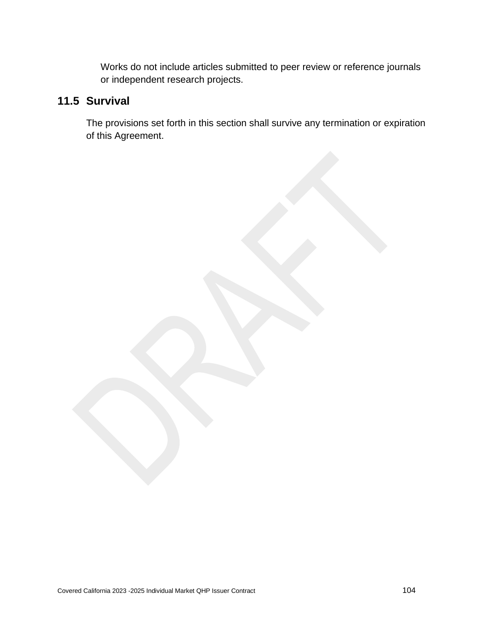Works do not include articles submitted to peer review or reference journals or independent research projects.

# **11.5 Survival**

The provisions set forth in this section shall survive any termination or expiration of this Agreement.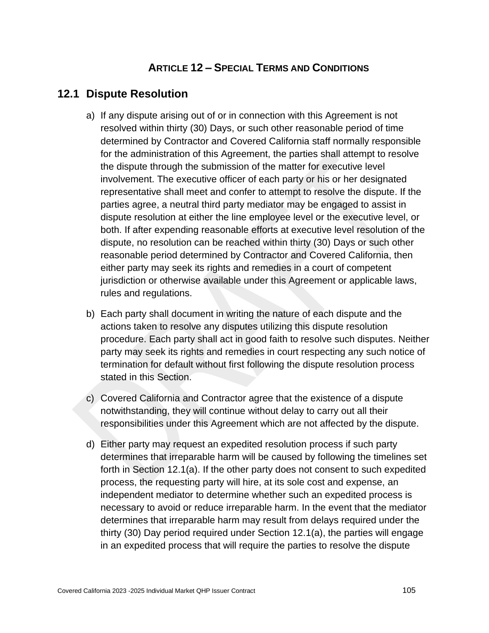#### **ARTICLE 12 – SPECIAL TERMS AND CONDITIONS**

#### **12.1 Dispute Resolution**

- a) If any dispute arising out of or in connection with this Agreement is not resolved within thirty (30) Days, or such other reasonable period of time determined by Contractor and Covered California staff normally responsible for the administration of this Agreement, the parties shall attempt to resolve the dispute through the submission of the matter for executive level involvement. The executive officer of each party or his or her designated representative shall meet and confer to attempt to resolve the dispute. If the parties agree, a neutral third party mediator may be engaged to assist in dispute resolution at either the line employee level or the executive level, or both. If after expending reasonable efforts at executive level resolution of the dispute, no resolution can be reached within thirty (30) Days or such other reasonable period determined by Contractor and Covered California, then either party may seek its rights and remedies in a court of competent jurisdiction or otherwise available under this Agreement or applicable laws, rules and regulations.
- b) Each party shall document in writing the nature of each dispute and the actions taken to resolve any disputes utilizing this dispute resolution procedure. Each party shall act in good faith to resolve such disputes. Neither party may seek its rights and remedies in court respecting any such notice of termination for default without first following the dispute resolution process stated in this Section.
- c) Covered California and Contractor agree that the existence of a dispute notwithstanding, they will continue without delay to carry out all their responsibilities under this Agreement which are not affected by the dispute.
- d) Either party may request an expedited resolution process if such party determines that irreparable harm will be caused by following the timelines set forth in Section 12.1(a). If the other party does not consent to such expedited process, the requesting party will hire, at its sole cost and expense, an independent mediator to determine whether such an expedited process is necessary to avoid or reduce irreparable harm. In the event that the mediator determines that irreparable harm may result from delays required under the thirty (30) Day period required under Section 12.1(a), the parties will engage in an expedited process that will require the parties to resolve the dispute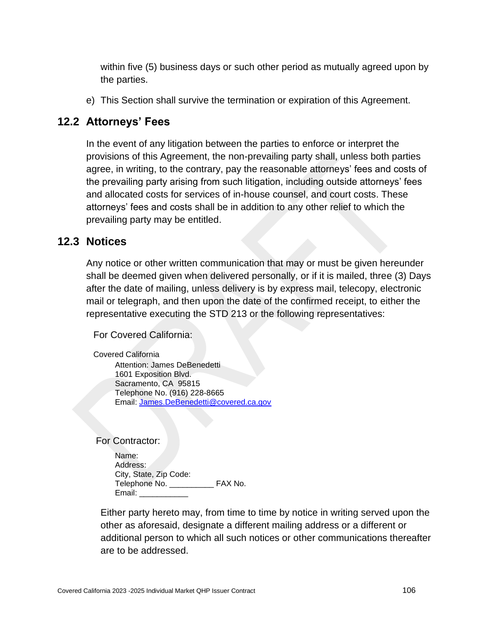within five (5) business days or such other period as mutually agreed upon by the parties.

e) This Section shall survive the termination or expiration of this Agreement.

### **12.2 Attorneys' Fees**

In the event of any litigation between the parties to enforce or interpret the provisions of this Agreement, the non-prevailing party shall, unless both parties agree, in writing, to the contrary, pay the reasonable attorneys' fees and costs of the prevailing party arising from such litigation, including outside attorneys' fees and allocated costs for services of in-house counsel, and court costs. These attorneys' fees and costs shall be in addition to any other relief to which the prevailing party may be entitled.

### **12.3 Notices**

Any notice or other written communication that may or must be given hereunder shall be deemed given when delivered personally, or if it is mailed, three (3) Days after the date of mailing, unless delivery is by express mail, telecopy, electronic mail or telegraph, and then upon the date of the confirmed receipt, to either the representative executing the STD 213 or the following representatives:

For Covered California:

Covered California Attention: James DeBenedetti 1601 Exposition Blvd. Sacramento, CA 95815 Telephone No. (916) 228-8665 Email: [James.DeBenedetti@covered.ca.gov](mailto:James.DeBenedetti@covered.ca.gov)

For Contractor:

Name: Address: City, State, Zip Code: Telephone No. **EXA No.** Email:

Either party hereto may, from time to time by notice in writing served upon the other as aforesaid, designate a different mailing address or a different or additional person to which all such notices or other communications thereafter are to be addressed.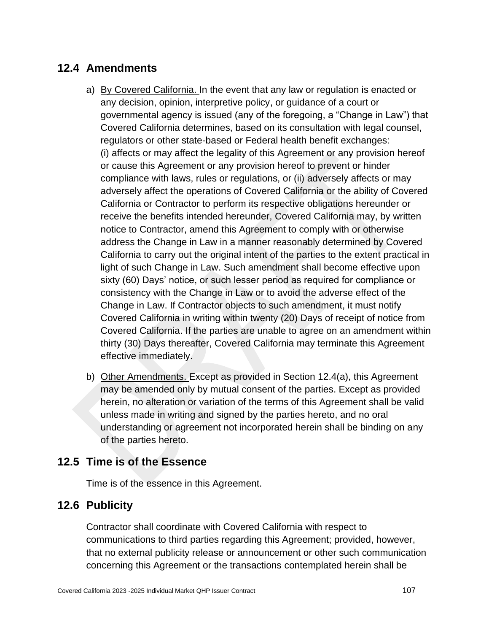# **12.4 Amendments**

- a) By Covered California. In the event that any law or regulation is enacted or any decision, opinion, interpretive policy, or guidance of a court or governmental agency is issued (any of the foregoing, a "Change in Law") that Covered California determines, based on its consultation with legal counsel, regulators or other state-based or Federal health benefit exchanges: (i) affects or may affect the legality of this Agreement or any provision hereof or cause this Agreement or any provision hereof to prevent or hinder compliance with laws, rules or regulations, or (ii) adversely affects or may adversely affect the operations of Covered California or the ability of Covered California or Contractor to perform its respective obligations hereunder or receive the benefits intended hereunder, Covered California may, by written notice to Contractor, amend this Agreement to comply with or otherwise address the Change in Law in a manner reasonably determined by Covered California to carry out the original intent of the parties to the extent practical in light of such Change in Law. Such amendment shall become effective upon sixty (60) Days' notice, or such lesser period as required for compliance or consistency with the Change in Law or to avoid the adverse effect of the Change in Law. If Contractor objects to such amendment, it must notify Covered California in writing within twenty (20) Days of receipt of notice from Covered California. If the parties are unable to agree on an amendment within thirty (30) Days thereafter, Covered California may terminate this Agreement effective immediately.
- b) Other Amendments. Except as provided in Section 12.4(a), this Agreement may be amended only by mutual consent of the parties. Except as provided herein, no alteration or variation of the terms of this Agreement shall be valid unless made in writing and signed by the parties hereto, and no oral understanding or agreement not incorporated herein shall be binding on any of the parties hereto.

### **12.5 Time is of the Essence**

Time is of the essence in this Agreement.

# **12.6 Publicity**

Contractor shall coordinate with Covered California with respect to communications to third parties regarding this Agreement; provided, however, that no external publicity release or announcement or other such communication concerning this Agreement or the transactions contemplated herein shall be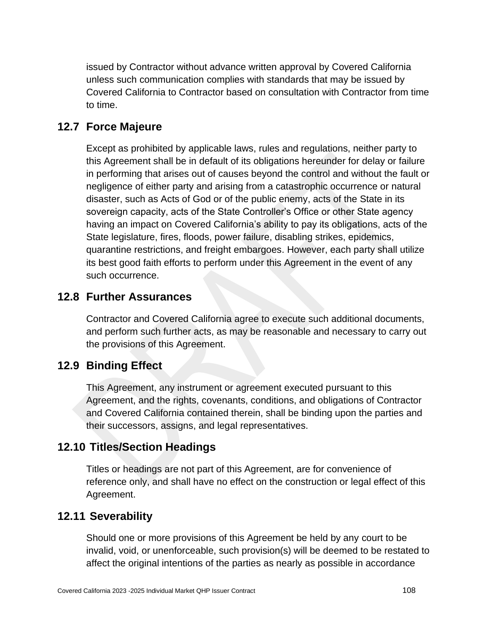issued by Contractor without advance written approval by Covered California unless such communication complies with standards that may be issued by Covered California to Contractor based on consultation with Contractor from time to time.

#### **12.7 Force Majeure**

Except as prohibited by applicable laws, rules and regulations, neither party to this Agreement shall be in default of its obligations hereunder for delay or failure in performing that arises out of causes beyond the control and without the fault or negligence of either party and arising from a catastrophic occurrence or natural disaster, such as Acts of God or of the public enemy, acts of the State in its sovereign capacity, acts of the State Controller's Office or other State agency having an impact on Covered California's ability to pay its obligations, acts of the State legislature, fires, floods, power failure, disabling strikes, epidemics, quarantine restrictions, and freight embargoes. However, each party shall utilize its best good faith efforts to perform under this Agreement in the event of any such occurrence.

#### **12.8 Further Assurances**

Contractor and Covered California agree to execute such additional documents, and perform such further acts, as may be reasonable and necessary to carry out the provisions of this Agreement.

### **12.9 Binding Effect**

This Agreement, any instrument or agreement executed pursuant to this Agreement, and the rights, covenants, conditions, and obligations of Contractor and Covered California contained therein, shall be binding upon the parties and their successors, assigns, and legal representatives.

### **12.10 Titles/Section Headings**

Titles or headings are not part of this Agreement, are for convenience of reference only, and shall have no effect on the construction or legal effect of this Agreement.

### **12.11 Severability**

Should one or more provisions of this Agreement be held by any court to be invalid, void, or unenforceable, such provision(s) will be deemed to be restated to affect the original intentions of the parties as nearly as possible in accordance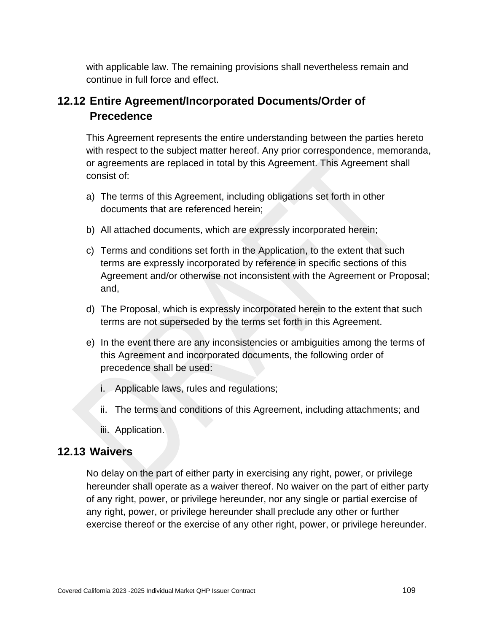with applicable law. The remaining provisions shall nevertheless remain and continue in full force and effect.

# **12.12 Entire Agreement/Incorporated Documents/Order of Precedence**

This Agreement represents the entire understanding between the parties hereto with respect to the subject matter hereof. Any prior correspondence, memoranda, or agreements are replaced in total by this Agreement. This Agreement shall consist of:

- a) The terms of this Agreement, including obligations set forth in other documents that are referenced herein;
- b) All attached documents, which are expressly incorporated herein;
- c) Terms and conditions set forth in the Application, to the extent that such terms are expressly incorporated by reference in specific sections of this Agreement and/or otherwise not inconsistent with the Agreement or Proposal; and,
- d) The Proposal, which is expressly incorporated herein to the extent that such terms are not superseded by the terms set forth in this Agreement.
- e) In the event there are any inconsistencies or ambiguities among the terms of this Agreement and incorporated documents, the following order of precedence shall be used:
	- i. Applicable laws, rules and regulations;
	- ii. The terms and conditions of this Agreement, including attachments; and
	- iii. Application.

### **12.13 Waivers**

No delay on the part of either party in exercising any right, power, or privilege hereunder shall operate as a waiver thereof. No waiver on the part of either party of any right, power, or privilege hereunder, nor any single or partial exercise of any right, power, or privilege hereunder shall preclude any other or further exercise thereof or the exercise of any other right, power, or privilege hereunder.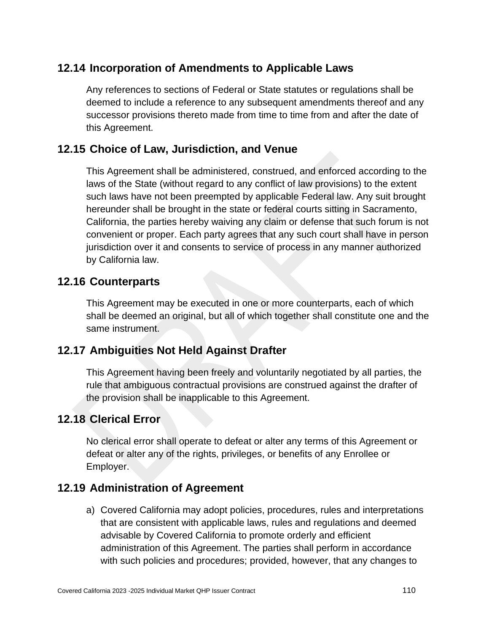# **12.14 Incorporation of Amendments to Applicable Laws**

Any references to sections of Federal or State statutes or regulations shall be deemed to include a reference to any subsequent amendments thereof and any successor provisions thereto made from time to time from and after the date of this Agreement.

#### **12.15 Choice of Law, Jurisdiction, and Venue**

This Agreement shall be administered, construed, and enforced according to the laws of the State (without regard to any conflict of law provisions) to the extent such laws have not been preempted by applicable Federal law. Any suit brought hereunder shall be brought in the state or federal courts sitting in Sacramento, California, the parties hereby waiving any claim or defense that such forum is not convenient or proper. Each party agrees that any such court shall have in person jurisdiction over it and consents to service of process in any manner authorized by California law.

#### **12.16 Counterparts**

This Agreement may be executed in one or more counterparts, each of which shall be deemed an original, but all of which together shall constitute one and the same instrument.

#### **12.17 Ambiguities Not Held Against Drafter**

This Agreement having been freely and voluntarily negotiated by all parties, the rule that ambiguous contractual provisions are construed against the drafter of the provision shall be inapplicable to this Agreement.

#### **12.18 Clerical Error**

No clerical error shall operate to defeat or alter any terms of this Agreement or defeat or alter any of the rights, privileges, or benefits of any Enrollee or Employer.

#### **12.19 Administration of Agreement**

a) Covered California may adopt policies, procedures, rules and interpretations that are consistent with applicable laws, rules and regulations and deemed advisable by Covered California to promote orderly and efficient administration of this Agreement. The parties shall perform in accordance with such policies and procedures; provided, however, that any changes to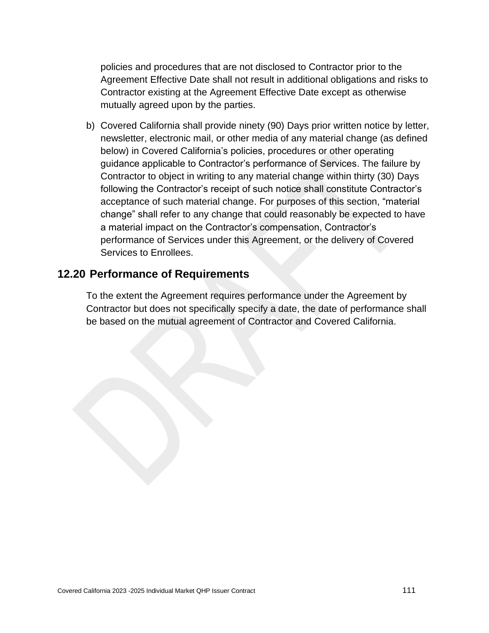policies and procedures that are not disclosed to Contractor prior to the Agreement Effective Date shall not result in additional obligations and risks to Contractor existing at the Agreement Effective Date except as otherwise mutually agreed upon by the parties.

b) Covered California shall provide ninety (90) Days prior written notice by letter, newsletter, electronic mail, or other media of any material change (as defined below) in Covered California's policies, procedures or other operating guidance applicable to Contractor's performance of Services. The failure by Contractor to object in writing to any material change within thirty (30) Days following the Contractor's receipt of such notice shall constitute Contractor's acceptance of such material change. For purposes of this section, "material change" shall refer to any change that could reasonably be expected to have a material impact on the Contractor's compensation, Contractor's performance of Services under this Agreement, or the delivery of Covered Services to Enrollees.

#### **12.20 Performance of Requirements**

To the extent the Agreement requires performance under the Agreement by Contractor but does not specifically specify a date, the date of performance shall be based on the mutual agreement of Contractor and Covered California.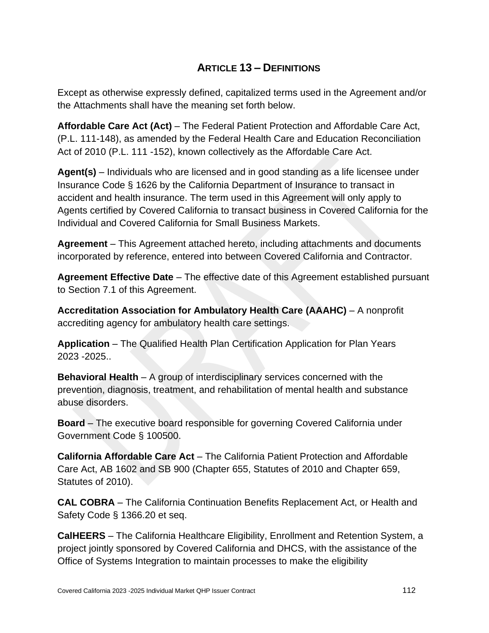# **ARTICLE 13 – DEFINITIONS**

Except as otherwise expressly defined, capitalized terms used in the Agreement and/or the Attachments shall have the meaning set forth below.

**Affordable Care Act (Act)** – The Federal Patient Protection and Affordable Care Act, (P.L. 111-148), as amended by the Federal Health Care and Education Reconciliation Act of 2010 (P.L. 111 -152), known collectively as the Affordable Care Act.

**Agent(s)** – Individuals who are licensed and in good standing as a life licensee under Insurance Code § 1626 by the California Department of Insurance to transact in accident and health insurance. The term used in this Agreement will only apply to Agents certified by Covered California to transact business in Covered California for the Individual and Covered California for Small Business Markets.

**Agreement** – This Agreement attached hereto, including attachments and documents incorporated by reference, entered into between Covered California and Contractor.

**Agreement Effective Date** – The effective date of this Agreement established pursuant to Section 7.1 of this Agreement.

**Accreditation Association for Ambulatory Health Care (AAAHC)** – A nonprofit accrediting agency for ambulatory health care settings.

**Application** – The Qualified Health Plan Certification Application for Plan Years 2023 -2025..

**Behavioral Health** – A group of interdisciplinary services concerned with the prevention, diagnosis, treatment, and rehabilitation of mental health and substance abuse disorders.

**Board** – The executive board responsible for governing Covered California under Government Code § 100500.

**California Affordable Care Act** – The California Patient Protection and Affordable Care Act, AB 1602 and SB 900 (Chapter 655, Statutes of 2010 and Chapter 659, Statutes of 2010).

**CAL COBRA** – The California Continuation Benefits Replacement Act, or Health and Safety Code § 1366.20 et seq.

**CalHEERS** – The California Healthcare Eligibility, Enrollment and Retention System, a project jointly sponsored by Covered California and DHCS, with the assistance of the Office of Systems Integration to maintain processes to make the eligibility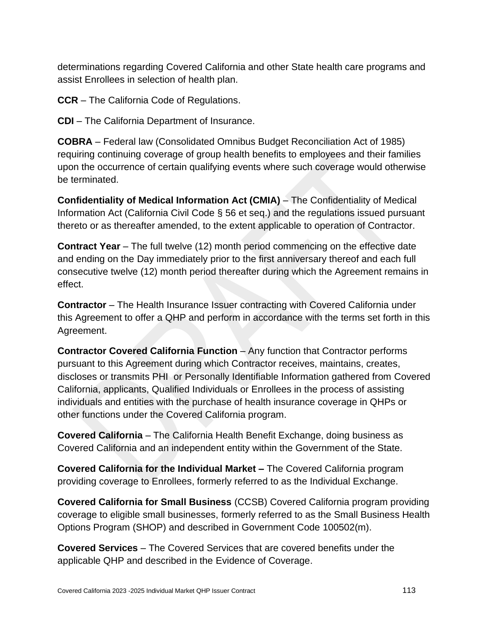determinations regarding Covered California and other State health care programs and assist Enrollees in selection of health plan.

**CCR** – The California Code of Regulations.

**CDI** – The California Department of Insurance.

**COBRA** – Federal law (Consolidated Omnibus Budget Reconciliation Act of 1985) requiring continuing coverage of group health benefits to employees and their families upon the occurrence of certain qualifying events where such coverage would otherwise be terminated.

**Confidentiality of Medical Information Act (CMIA)** – The Confidentiality of Medical Information Act (California Civil Code § 56 et seq.) and the regulations issued pursuant thereto or as thereafter amended, to the extent applicable to operation of Contractor.

**Contract Year** – The full twelve (12) month period commencing on the effective date and ending on the Day immediately prior to the first anniversary thereof and each full consecutive twelve (12) month period thereafter during which the Agreement remains in effect.

**Contractor** – The Health Insurance Issuer contracting with Covered California under this Agreement to offer a QHP and perform in accordance with the terms set forth in this Agreement.

**Contractor Covered California Function** – Any function that Contractor performs pursuant to this Agreement during which Contractor receives, maintains, creates, discloses or transmits PHI or Personally Identifiable Information gathered from Covered California, applicants, Qualified Individuals or Enrollees in the process of assisting individuals and entities with the purchase of health insurance coverage in QHPs or other functions under the Covered California program.

**Covered California** – The California Health Benefit Exchange, doing business as Covered California and an independent entity within the Government of the State.

**Covered California for the Individual Market –** The Covered California program providing coverage to Enrollees, formerly referred to as the Individual Exchange.

**Covered California for Small Business** (CCSB) Covered California program providing coverage to eligible small businesses, formerly referred to as the Small Business Health Options Program (SHOP) and described in Government Code 100502(m).

**Covered Services** – The Covered Services that are covered benefits under the applicable QHP and described in the Evidence of Coverage.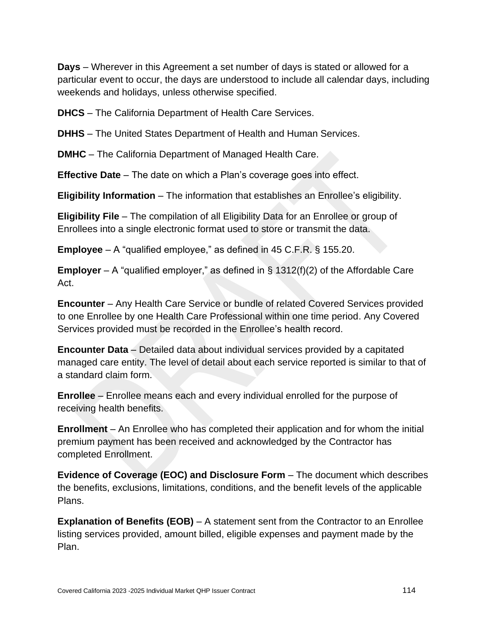**Days** – Wherever in this Agreement a set number of days is stated or allowed for a particular event to occur, the days are understood to include all calendar days, including weekends and holidays, unless otherwise specified.

**DHCS** – The California Department of Health Care Services.

**DHHS** – The United States Department of Health and Human Services.

**DMHC** – The California Department of Managed Health Care.

**Effective Date** – The date on which a Plan's coverage goes into effect.

**Eligibility Information** – The information that establishes an Enrollee's eligibility.

**Eligibility File** – The compilation of all Eligibility Data for an Enrollee or group of Enrollees into a single electronic format used to store or transmit the data.

**Employee** – A "qualified employee," as defined in 45 C.F.R. § 155.20.

**Employer** – A "qualified employer," as defined in § 1312(f)(2) of the Affordable Care Act.

**Encounter** – Any Health Care Service or bundle of related Covered Services provided to one Enrollee by one Health Care Professional within one time period. Any Covered Services provided must be recorded in the Enrollee's health record.

**Encounter Data** – Detailed data about individual services provided by a capitated managed care entity. The level of detail about each service reported is similar to that of a standard claim form.

**Enrollee** – Enrollee means each and every individual enrolled for the purpose of receiving health benefits.

**Enrollment** – An Enrollee who has completed their application and for whom the initial premium payment has been received and acknowledged by the Contractor has completed Enrollment.

**Evidence of Coverage (EOC) and Disclosure Form** – The document which describes the benefits, exclusions, limitations, conditions, and the benefit levels of the applicable Plans.

**Explanation of Benefits (EOB)** – A statement sent from the Contractor to an Enrollee listing services provided, amount billed, eligible expenses and payment made by the Plan.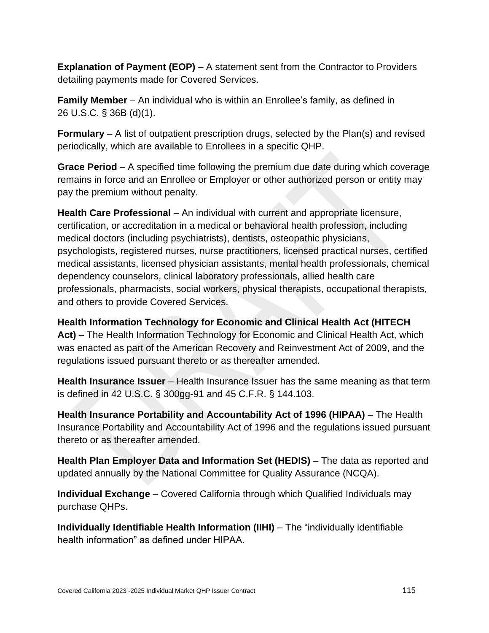**Explanation of Payment (EOP)** – A statement sent from the Contractor to Providers detailing payments made for Covered Services.

**Family Member** – An individual who is within an Enrollee's family, as defined in 26 U.S.C. § 36B (d)(1).

**Formulary** – A list of outpatient prescription drugs, selected by the Plan(s) and revised periodically, which are available to Enrollees in a specific QHP.

**Grace Period** – A specified time following the premium due date during which coverage remains in force and an Enrollee or Employer or other authorized person or entity may pay the premium without penalty.

**Health Care Professional** – An individual with current and appropriate licensure, certification, or accreditation in a medical or behavioral health profession, including medical doctors (including psychiatrists), dentists, osteopathic physicians, psychologists, registered nurses, nurse practitioners, licensed practical nurses, certified medical assistants, licensed physician assistants, mental health professionals, chemical dependency counselors, clinical laboratory professionals, allied health care professionals, pharmacists, social workers, physical therapists, occupational therapists, and others to provide Covered Services.

**Health Information Technology for Economic and Clinical Health Act (HITECH Act)** – The Health Information Technology for Economic and Clinical Health Act, which was enacted as part of the American Recovery and Reinvestment Act of 2009, and the regulations issued pursuant thereto or as thereafter amended.

**Health Insurance Issuer** – Health Insurance Issuer has the same meaning as that term is defined in 42 U.S.C. § 300gg-91 and 45 C.F.R. § 144.103.

**Health Insurance Portability and Accountability Act of 1996 (HIPAA)** – The Health Insurance Portability and Accountability Act of 1996 and the regulations issued pursuant thereto or as thereafter amended.

**Health Plan Employer Data and Information Set (HEDIS)** – The data as reported and updated annually by the National Committee for Quality Assurance (NCQA).

**Individual Exchange** – Covered California through which Qualified Individuals may purchase QHPs.

**Individually Identifiable Health Information (IIHI)** – The "individually identifiable health information" as defined under HIPAA.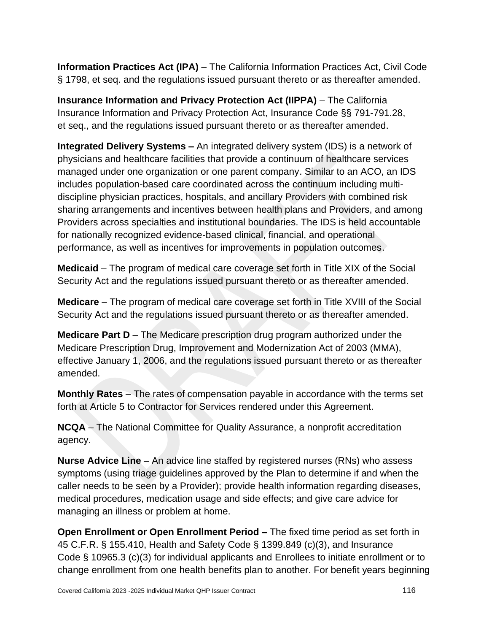**Information Practices Act (IPA)** – The California Information Practices Act, Civil Code § 1798, et seq. and the regulations issued pursuant thereto or as thereafter amended.

**Insurance Information and Privacy Protection Act (IIPPA)** – The California Insurance Information and Privacy Protection Act, Insurance Code §§ 791-791.28, et seq., and the regulations issued pursuant thereto or as thereafter amended.

**Integrated Delivery Systems –** An integrated delivery system (IDS) is a network of physicians and healthcare facilities that provide a continuum of healthcare services managed under one organization or one parent company. Similar to an ACO, an IDS includes population-based care coordinated across the continuum including multidiscipline physician practices, hospitals, and ancillary Providers with combined risk sharing arrangements and incentives between health plans and Providers, and among Providers across specialties and institutional boundaries. The IDS is held accountable for nationally recognized evidence-based clinical, financial, and operational performance, as well as incentives for improvements in population outcomes.

**Medicaid** – The program of medical care coverage set forth in Title XIX of the Social Security Act and the regulations issued pursuant thereto or as thereafter amended.

**Medicare** – The program of medical care coverage set forth in Title XVIII of the Social Security Act and the regulations issued pursuant thereto or as thereafter amended.

**Medicare Part D** – The Medicare prescription drug program authorized under the Medicare Prescription Drug, Improvement and Modernization Act of 2003 (MMA), effective January 1, 2006, and the regulations issued pursuant thereto or as thereafter amended.

**Monthly Rates** – The rates of compensation payable in accordance with the terms set forth at Article 5 to Contractor for Services rendered under this Agreement.

**NCQA** – The National Committee for Quality Assurance, a nonprofit accreditation agency.

**Nurse Advice Line** – An advice line staffed by registered nurses (RNs) who assess symptoms (using triage guidelines approved by the Plan to determine if and when the caller needs to be seen by a Provider); provide health information regarding diseases, medical procedures, medication usage and side effects; and give care advice for managing an illness or problem at home.

**Open Enrollment or Open Enrollment Period –** The fixed time period as set forth in 45 C.F.R. § 155.410, Health and Safety Code § 1399.849 (c)(3), and Insurance Code § 10965.3 (c)(3) for individual applicants and Enrollees to initiate enrollment or to change enrollment from one health benefits plan to another. For benefit years beginning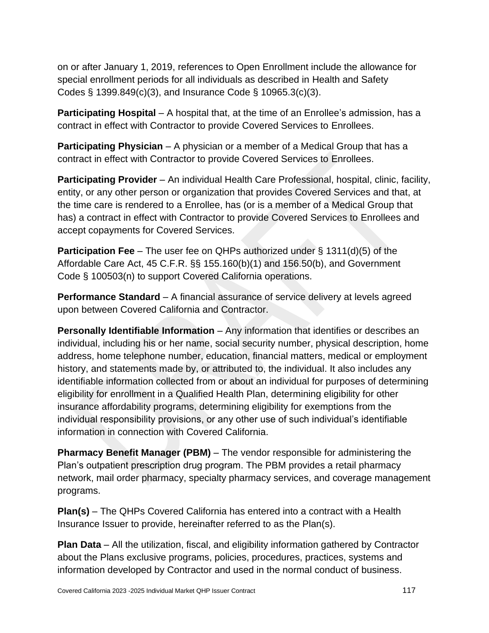on or after January 1, 2019, references to Open Enrollment include the allowance for special enrollment periods for all individuals as described in Health and Safety Codes § 1399.849(c)(3), and Insurance Code § 10965.3(c)(3).

**Participating Hospital** – A hospital that, at the time of an Enrollee's admission, has a contract in effect with Contractor to provide Covered Services to Enrollees.

**Participating Physician** – A physician or a member of a Medical Group that has a contract in effect with Contractor to provide Covered Services to Enrollees.

**Participating Provider** – An individual Health Care Professional, hospital, clinic, facility, entity, or any other person or organization that provides Covered Services and that, at the time care is rendered to a Enrollee, has (or is a member of a Medical Group that has) a contract in effect with Contractor to provide Covered Services to Enrollees and accept copayments for Covered Services.

**Participation Fee** – The user fee on QHPs authorized under § 1311(d)(5) of the Affordable Care Act, 45 C.F.R. §§ 155.160(b)(1) and 156.50(b), and Government Code § 100503(n) to support Covered California operations.

**Performance Standard** – A financial assurance of service delivery at levels agreed upon between Covered California and Contractor.

**Personally Identifiable Information** – Any information that identifies or describes an individual, including his or her name, social security number, physical description, home address, home telephone number, education, financial matters, medical or employment history, and statements made by, or attributed to, the individual. It also includes any identifiable information collected from or about an individual for purposes of determining eligibility for enrollment in a Qualified Health Plan, determining eligibility for other insurance affordability programs, determining eligibility for exemptions from the individual responsibility provisions, or any other use of such individual's identifiable information in connection with Covered California.

**Pharmacy Benefit Manager (PBM)** – The vendor responsible for administering the Plan's outpatient prescription drug program. The PBM provides a retail pharmacy network, mail order pharmacy, specialty pharmacy services, and coverage management programs.

**Plan(s)** – The QHPs Covered California has entered into a contract with a Health Insurance Issuer to provide, hereinafter referred to as the Plan(s).

**Plan Data** – All the utilization, fiscal, and eligibility information gathered by Contractor about the Plans exclusive programs, policies, procedures, practices, systems and information developed by Contractor and used in the normal conduct of business.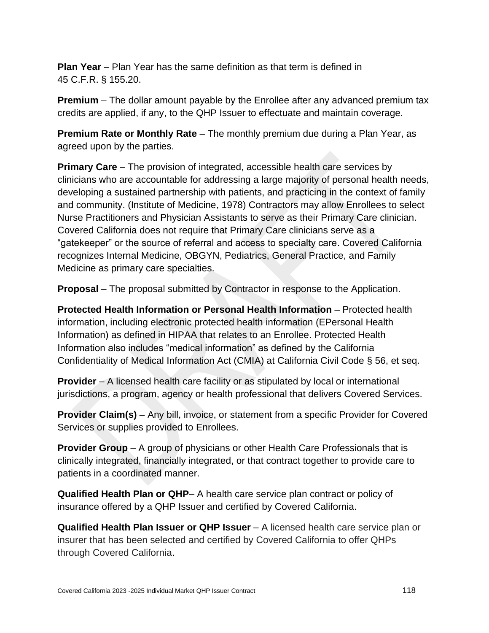**Plan Year** – Plan Year has the same definition as that term is defined in 45 C.F.R. § 155.20.

**Premium** – The dollar amount payable by the Enrollee after any advanced premium tax credits are applied, if any, to the QHP Issuer to effectuate and maintain coverage.

**Premium Rate or Monthly Rate** – The monthly premium due during a Plan Year, as agreed upon by the parties.

**Primary Care** – The provision of integrated, accessible health care services by clinicians who are accountable for addressing a large majority of personal health needs, developing a sustained partnership with patients, and practicing in the context of family and community. (Institute of Medicine, 1978) Contractors may allow Enrollees to select Nurse Practitioners and Physician Assistants to serve as their Primary Care clinician. Covered California does not require that Primary Care clinicians serve as a "gatekeeper" or the source of referral and access to specialty care. Covered California recognizes Internal Medicine, OBGYN, Pediatrics, General Practice, and Family Medicine as primary care specialties.

**Proposal** – The proposal submitted by Contractor in response to the Application.

**Protected Health Information or Personal Health Information** – Protected health information, including electronic protected health information (EPersonal Health Information) as defined in HIPAA that relates to an Enrollee. Protected Health Information also includes "medical information" as defined by the California Confidentiality of Medical Information Act (CMIA) at California Civil Code § 56, et seq.

**Provider** – A licensed health care facility or as stipulated by local or international jurisdictions, a program, agency or health professional that delivers Covered Services.

**Provider Claim(s)** – Any bill, invoice, or statement from a specific Provider for Covered Services or supplies provided to Enrollees.

**Provider Group** – A group of physicians or other Health Care Professionals that is clinically integrated, financially integrated, or that contract together to provide care to patients in a coordinated manner.

**Qualified Health Plan or QHP**– A health care service plan contract or policy of insurance offered by a QHP Issuer and certified by Covered California.

**Qualified Health Plan Issuer or QHP Issuer** - A licensed health care service plan or insurer that has been selected and certified by Covered California to offer QHPs through Covered California.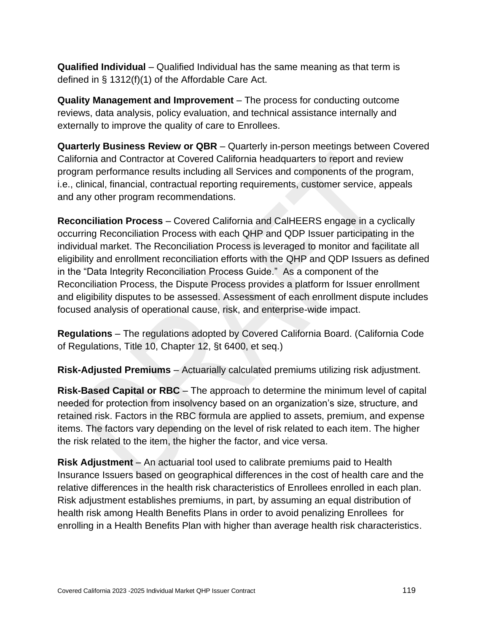**Qualified Individual** – Qualified Individual has the same meaning as that term is defined in § 1312(f)(1) of the Affordable Care Act.

**Quality Management and Improvement** – The process for conducting outcome reviews, data analysis, policy evaluation, and technical assistance internally and externally to improve the quality of care to Enrollees.

**Quarterly Business Review or QBR** – Quarterly in-person meetings between Covered California and Contractor at Covered California headquarters to report and review program performance results including all Services and components of the program, i.e., clinical, financial, contractual reporting requirements, customer service, appeals and any other program recommendations.

**Reconciliation Process** – Covered California and CalHEERS engage in a cyclically occurring Reconciliation Process with each QHP and QDP Issuer participating in the individual market. The Reconciliation Process is leveraged to monitor and facilitate all eligibility and enrollment reconciliation efforts with the QHP and QDP Issuers as defined in the "Data Integrity Reconciliation Process Guide." As a component of the Reconciliation Process, the Dispute Process provides a platform for Issuer enrollment and eligibility disputes to be assessed. Assessment of each enrollment dispute includes focused analysis of operational cause, risk, and enterprise-wide impact.

**Regulations** – The regulations adopted by Covered California Board. (California Code of Regulations, Title 10, Chapter 12, §t 6400, et seq.)

**Risk-Adjusted Premiums** – Actuarially calculated premiums utilizing risk adjustment.

**Risk-Based Capital or RBC** – The approach to determine the minimum level of capital needed for protection from insolvency based on an organization's size, structure, and retained risk. Factors in the RBC formula are applied to assets, premium, and expense items. The factors vary depending on the level of risk related to each item. The higher the risk related to the item, the higher the factor, and vice versa.

**Risk Adjustment** – An actuarial tool used to calibrate premiums paid to Health Insurance Issuers based on geographical differences in the cost of health care and the relative differences in the health risk characteristics of Enrollees enrolled in each plan. Risk adjustment establishes premiums, in part, by assuming an equal distribution of health risk among Health Benefits Plans in order to avoid penalizing Enrollees for enrolling in a Health Benefits Plan with higher than average health risk characteristics.